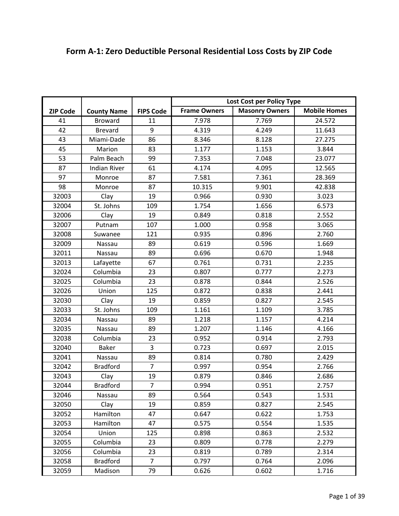|                 |                     |                  | Lost Cost per Policy Type |                       |                     |
|-----------------|---------------------|------------------|---------------------------|-----------------------|---------------------|
| <b>ZIP Code</b> | <b>County Name</b>  | <b>FIPS Code</b> | <b>Frame Owners</b>       | <b>Masonry Owners</b> | <b>Mobile Homes</b> |
| 41              | <b>Broward</b>      | 11               | 7.978                     | 7.769                 | 24.572              |
| 42              | <b>Brevard</b>      | 9                | 4.319                     | 4.249                 | 11.643              |
| 43              | Miami-Dade          | 86               | 8.346                     | 8.128                 | 27.275              |
| 45              | Marion              | 83               | 1.177                     | 1.153                 | 3.844               |
| 53              | Palm Beach          | 99               | 7.353                     | 7.048                 | 23.077              |
| 87              | <b>Indian River</b> | 61               | 4.174                     | 4.095                 | 12.565              |
| 97              | Monroe              | 87               | 7.581                     | 7.361                 | 28.369              |
| 98              | Monroe              | 87               | 10.315                    | 9.901                 | 42.838              |
| 32003           | Clay                | 19               | 0.966                     | 0.930                 | 3.023               |
| 32004           | St. Johns           | 109              | 1.754                     | 1.656                 | 6.573               |
| 32006           | Clay                | 19               | 0.849                     | 0.818                 | 2.552               |
| 32007           | Putnam              | 107              | 1.000                     | 0.958                 | 3.065               |
| 32008           | Suwanee             | 121              | 0.935                     | 0.896                 | 2.760               |
| 32009           | Nassau              | 89               | 0.619                     | 0.596                 | 1.669               |
| 32011           | Nassau              | 89               | 0.696                     | 0.670                 | 1.948               |
| 32013           | Lafayette           | 67               | 0.761                     | 0.731                 | 2.235               |
| 32024           | Columbia            | 23               | 0.807                     | 0.777                 | 2.273               |
| 32025           | Columbia            | 23               | 0.878                     | 0.844                 | 2.526               |
| 32026           | Union               | 125              | 0.872                     | 0.838                 | 2.441               |
| 32030           | Clay                | 19               | 0.859                     | 0.827                 | 2.545               |
| 32033           | St. Johns           | 109              | 1.161                     | 1.109                 | 3.785               |
| 32034           | Nassau              | 89               | 1.218                     | 1.157                 | 4.214               |
| 32035           | Nassau              | 89               | 1.207                     | 1.146                 | 4.166               |
| 32038           | Columbia            | 23               | 0.952                     | 0.914                 | 2.793               |
| 32040           | Baker               | 3                | 0.723                     | 0.697                 | 2.015               |
| 32041           | Nassau              | 89               | 0.814                     | 0.780                 | 2.429               |
| 32042           | <b>Bradford</b>     | $\overline{7}$   | 0.997                     | 0.954                 | 2.766               |
| 32043           | Clay                | 19               | 0.879                     | 0.846                 | 2.686               |
| 32044           | <b>Bradford</b>     | $\overline{7}$   | 0.994                     | 0.951                 | 2.757               |
| 32046           | Nassau              | 89               | 0.564                     | 0.543                 | 1.531               |
| 32050           | Clay                | 19               | 0.859                     | 0.827                 | 2.545               |
| 32052           | Hamilton            | 47               | 0.647                     | 0.622                 | 1.753               |
| 32053           | Hamilton            | 47               | 0.575                     | 0.554                 | 1.535               |
| 32054           | Union               | 125              | 0.898                     | 0.863                 | 2.532               |
| 32055           | Columbia            | 23               | 0.809                     | 0.778                 | 2.279               |
| 32056           | Columbia            | 23               | 0.819                     | 0.789                 | 2.314               |
| 32058           | <b>Bradford</b>     | $\overline{7}$   | 0.797                     | 0.764                 | 2.096               |
| 32059           | Madison             | 79               | 0.626                     | 0.602                 | 1.716               |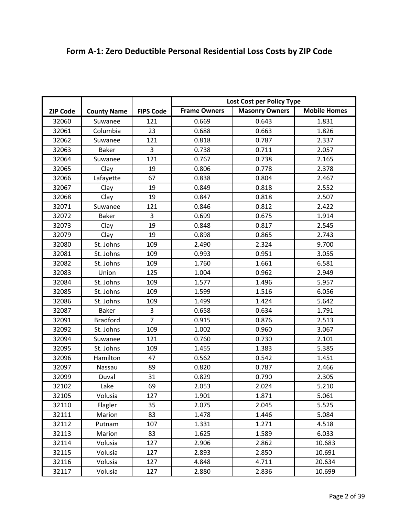|                 |                    |                  | Lost Cost per Policy Type |                       |                     |
|-----------------|--------------------|------------------|---------------------------|-----------------------|---------------------|
|                 |                    |                  | <b>Frame Owners</b>       | <b>Masonry Owners</b> | <b>Mobile Homes</b> |
| <b>ZIP Code</b> | <b>County Name</b> | <b>FIPS Code</b> |                           |                       |                     |
| 32060           | Suwanee            | 121              | 0.669                     | 0.643                 | 1.831               |
| 32061           | Columbia           | 23               | 0.688                     | 0.663                 | 1.826               |
| 32062           | Suwanee            | 121              | 0.818                     | 0.787                 | 2.337               |
| 32063           | <b>Baker</b>       | 3                | 0.738                     | 0.711                 | 2.057               |
| 32064           | Suwanee            | 121              | 0.767                     | 0.738                 | 2.165               |
| 32065           | Clay               | 19               | 0.806                     | 0.778                 | 2.378               |
| 32066           | Lafayette          | 67               | 0.838                     | 0.804                 | 2.467               |
| 32067           | Clay               | 19               | 0.849                     | 0.818                 | 2.552               |
| 32068           | Clay               | 19               | 0.847                     | 0.818                 | 2.507               |
| 32071           | Suwanee            | 121              | 0.846                     | 0.812                 | 2.422               |
| 32072           | <b>Baker</b>       | 3                | 0.699                     | 0.675                 | 1.914               |
| 32073           | Clay               | 19               | 0.848                     | 0.817                 | 2.545               |
| 32079           | Clay               | 19               | 0.898                     | 0.865                 | 2.743               |
| 32080           | St. Johns          | 109              | 2.490                     | 2.324                 | 9.700               |
| 32081           | St. Johns          | 109              | 0.993                     | 0.951                 | 3.055               |
| 32082           | St. Johns          | 109              | 1.760                     | 1.661                 | 6.581               |
| 32083           | Union              | 125              | 1.004                     | 0.962                 | 2.949               |
| 32084           | St. Johns          | 109              | 1.577                     | 1.496                 | 5.957               |
| 32085           | St. Johns          | 109              | 1.599                     | 1.516                 | 6.056               |
| 32086           | St. Johns          | 109              | 1.499                     | 1.424                 | 5.642               |
| 32087           | <b>Baker</b>       | 3                | 0.658                     | 0.634                 | 1.791               |
| 32091           | <b>Bradford</b>    | $\overline{7}$   | 0.915                     | 0.876                 | 2.513               |
| 32092           | St. Johns          | 109              | 1.002                     | 0.960                 | 3.067               |
| 32094           | Suwanee            | 121              | 0.760                     | 0.730                 | 2.101               |
| 32095           | St. Johns          | 109              | 1.455                     | 1.383                 | 5.385               |
| 32096           | Hamilton           | 47               | 0.562                     | 0.542                 | 1.451               |
| 32097           | Nassau             | 89               | 0.820                     | 0.787                 | 2.466               |
| 32099           | Duval              | 31               | 0.829                     | 0.790                 | 2.305               |
| 32102           | Lake               | 69               | 2.053                     | 2.024                 | 5.210               |
| 32105           | Volusia            | 127              | 1.901                     | 1.871                 | 5.061               |
| 32110           | Flagler            | 35               | 2.075                     | 2.045                 | 5.525               |
| 32111           | Marion             | 83               | 1.478                     | 1.446                 | 5.084               |
| 32112           | Putnam             | 107              | 1.331                     | 1.271                 | 4.518               |
| 32113           | Marion             | 83               | 1.625                     | 1.589                 | 6.033               |
| 32114           | Volusia            | 127              | 2.906                     | 2.862                 | 10.683              |
| 32115           | Volusia            | 127              | 2.893                     | 2.850                 | 10.691              |
| 32116           | Volusia            | 127              | 4.848                     | 4.711                 | 20.634              |
| 32117           | Volusia            | 127              | 2.880                     | 2.836                 | 10.699              |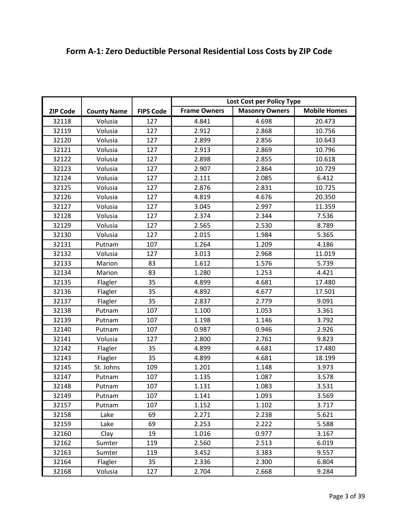|                 |                    |                  | Lost Cost per Policy Type |                       |                     |
|-----------------|--------------------|------------------|---------------------------|-----------------------|---------------------|
|                 |                    |                  | <b>Frame Owners</b>       | <b>Masonry Owners</b> | <b>Mobile Homes</b> |
| <b>ZIP Code</b> | <b>County Name</b> | <b>FIPS Code</b> |                           |                       |                     |
| 32118           | Volusia            | 127              | 4.841                     | 4.698                 | 20.473              |
| 32119           | Volusia            | 127              | 2.912                     | 2.868                 | 10.756              |
| 32120           | Volusia            | 127              | 2.899                     | 2.856                 | 10.643              |
| 32121           | Volusia            | 127              | 2.913                     | 2.869                 | 10.796              |
| 32122           | Volusia            | 127              | 2.898                     | 2.855                 | 10.618              |
| 32123           | Volusia            | 127              | 2.907                     | 2.864                 | 10.729              |
| 32124           | Volusia            | 127              | 2.111                     | 2.085                 | 6.412               |
| 32125           | Volusia            | 127              | 2.876                     | 2.831                 | 10.725              |
| 32126           | Volusia            | 127              | 4.819                     | 4.676                 | 20.350              |
| 32127           | Volusia            | 127              | 3.045                     | 2.997                 | 11.359              |
| 32128           | Volusia            | 127              | 2.374                     | 2.344                 | 7.536               |
| 32129           | Volusia            | 127              | 2.565                     | 2.530                 | 8.789               |
| 32130           | Volusia            | 127              | 2.015                     | 1.984                 | 5.365               |
| 32131           | Putnam             | 107              | 1.264                     | 1.209                 | 4.186               |
| 32132           | Volusia            | 127              | 3.013                     | 2.968                 | 11.019              |
| 32133           | Marion             | 83               | 1.612                     | 1.576                 | 5.739               |
| 32134           | Marion             | 83               | 1.280                     | 1.253                 | 4.421               |
| 32135           | Flagler            | 35               | 4.899                     | 4.681                 | 17.480              |
| 32136           | Flagler            | 35               | 4.892                     | 4.677                 | 17.501              |
| 32137           | Flagler            | 35               | 2.837                     | 2.779                 | 9.091               |
| 32138           | Putnam             | 107              | 1.100                     | 1.053                 | 3.361               |
| 32139           | Putnam             | 107              | 1.198                     | 1.146                 | 3.792               |
| 32140           | Putnam             | 107              | 0.987                     | 0.946                 | 2.926               |
| 32141           | Volusia            | 127              | 2.800                     | 2.761                 | 9.823               |
| 32142           | Flagler            | 35               | 4.899                     | 4.681                 | 17.480              |
| 32143           | Flagler            | 35               | 4.899                     | 4.681                 | 18.199              |
| 32145           | St. Johns          | 109              | 1.201                     | 1.148                 | 3.973               |
| 32147           | Putnam             | 107              | 1.135                     | 1.087                 | 3.578               |
| 32148           | Putnam             | 107              | 1.131                     | 1.083                 | 3.531               |
| 32149           | Putnam             | 107              | 1.141                     | 1.093                 | 3.569               |
| 32157           | Putnam             | 107              | 1.152                     | 1.102                 | 3.717               |
| 32158           | Lake               | 69               | 2.271                     | 2.238                 | 5.621               |
| 32159           | Lake               | 69               | 2.253                     | 2.222                 | 5.588               |
| 32160           | Clay               | 19               | 1.016                     | 0.977                 | 3.167               |
| 32162           | Sumter             | 119              | 2.560                     | 2.513                 | 6.019               |
| 32163           | Sumter             | 119              | 3.452                     | 3.383                 | 9.557               |
| 32164           | Flagler            | 35               | 2.336                     | 2.300                 | 6.804               |
| 32168           | Volusia            | 127              | 2.704                     | 2.668                 | 9.284               |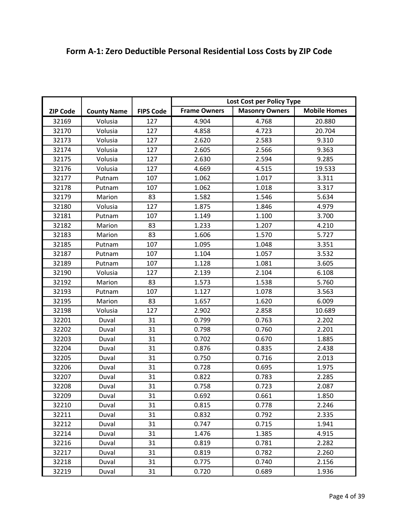|                 |                    |                  | Lost Cost per Policy Type |                       |                     |
|-----------------|--------------------|------------------|---------------------------|-----------------------|---------------------|
| <b>ZIP Code</b> | <b>County Name</b> | <b>FIPS Code</b> | <b>Frame Owners</b>       | <b>Masonry Owners</b> | <b>Mobile Homes</b> |
| 32169           | Volusia            | 127              | 4.904                     | 4.768                 | 20.880              |
| 32170           | Volusia            | 127              | 4.858                     | 4.723                 | 20.704              |
| 32173           | Volusia            | 127              | 2.620                     | 2.583                 | 9.310               |
| 32174           | Volusia            | 127              | 2.605                     | 2.566                 | 9.363               |
| 32175           | Volusia            | 127              | 2.630                     | 2.594                 | 9.285               |
| 32176           | Volusia            | 127              | 4.669                     | 4.515                 | 19.533              |
| 32177           | Putnam             | 107              | 1.062                     | 1.017                 | 3.311               |
| 32178           | Putnam             | 107              | 1.062                     | 1.018                 | 3.317               |
| 32179           | Marion             | 83               | 1.582                     | 1.546                 | 5.634               |
| 32180           | Volusia            | 127              | 1.875                     | 1.846                 | 4.979               |
| 32181           | Putnam             | 107              | 1.149                     | 1.100                 | 3.700               |
| 32182           | Marion             | 83               | 1.233                     | 1.207                 | 4.210               |
| 32183           | Marion             | 83               | 1.606                     | 1.570                 | 5.727               |
| 32185           | Putnam             | 107              | 1.095                     | 1.048                 | 3.351               |
| 32187           | Putnam             | 107              | 1.104                     | 1.057                 | 3.532               |
| 32189           | Putnam             | 107              | 1.128                     | 1.081                 | 3.605               |
| 32190           | Volusia            | 127              | 2.139                     | 2.104                 | 6.108               |
| 32192           | Marion             | 83               | 1.573                     | 1.538                 | 5.760               |
| 32193           | Putnam             | 107              | 1.127                     | 1.078                 | 3.563               |
| 32195           | Marion             | 83               | 1.657                     | 1.620                 | 6.009               |
| 32198           | Volusia            | 127              | 2.902                     | 2.858                 | 10.689              |
| 32201           | Duval              | 31               | 0.799                     | 0.763                 | 2.202               |
| 32202           | Duval              | 31               | 0.798                     | 0.760                 | 2.201               |
| 32203           | Duval              | 31               | 0.702                     | 0.670                 | 1.885               |
| 32204           | Duval              | 31               | 0.876                     | 0.835                 | 2.438               |
| 32205           | Duval              | 31               | 0.750                     | 0.716                 | 2.013               |
| 32206           | Duval              | 31               | 0.728                     | 0.695                 | 1.975               |
| 32207           | Duval              | 31               | 0.822                     | 0.783                 | 2.285               |
| 32208           | Duval              | 31               | 0.758                     | 0.723                 | 2.087               |
| 32209           | Duval              | 31               | 0.692                     | 0.661                 | 1.850               |
| 32210           | Duval              | 31               | 0.815                     | 0.778                 | 2.246               |
| 32211           | Duval              | 31               | 0.832                     | 0.792                 | 2.335               |
| 32212           | Duval              | 31               | 0.747                     | 0.715                 | 1.941               |
| 32214           | Duval              | 31               | 1.476                     | 1.385                 | 4.915               |
| 32216           | Duval              | 31               | 0.819                     | 0.781                 | 2.282               |
| 32217           | Duval              | 31               | 0.819                     | 0.782                 | 2.260               |
| 32218           | Duval              | 31               | 0.775                     | 0.740                 | 2.156               |
| 32219           | Duval              | 31               | 0.720                     | 0.689                 | 1.936               |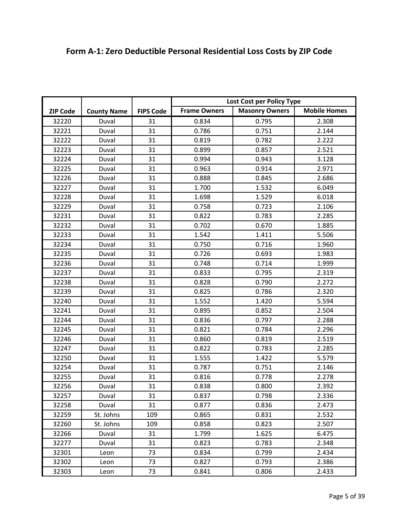|                 |                    |                  |                     | Lost Cost per Policy Type | <b>Mobile Homes</b> |
|-----------------|--------------------|------------------|---------------------|---------------------------|---------------------|
| <b>ZIP Code</b> | <b>County Name</b> | <b>FIPS Code</b> | <b>Frame Owners</b> | <b>Masonry Owners</b>     |                     |
| 32220           | Duval              | 31               | 0.834               | 0.795                     | 2.308               |
| 32221           | Duval              | 31               | 0.786               | 0.751                     | 2.144               |
| 32222           | Duval              | 31               | 0.819               | 0.782                     | 2.222               |
| 32223           | Duval              | 31               | 0.899               | 0.857                     | 2.521               |
| 32224           | Duval              | 31               | 0.994               | 0.943                     | 3.128               |
| 32225           | Duval              | 31               | 0.963               | 0.914                     | 2.971               |
| 32226           | Duval              | 31               | 0.888               | 0.845                     | 2.686               |
| 32227           | Duval              | 31               | 1.700               | 1.532                     | 6.049               |
| 32228           | Duval              | 31               | 1.698               | 1.529                     | 6.018               |
| 32229           | Duval              | 31               | 0.758               | 0.723                     | 2.106               |
| 32231           | Duval              | 31               | 0.822               | 0.783                     | 2.285               |
| 32232           | Duval              | 31               | 0.702               | 0.670                     | 1.885               |
| 32233           | Duval              | 31               | 1.542               | 1.411                     | 5.506               |
| 32234           | Duval              | 31               | 0.750               | 0.716                     | 1.960               |
| 32235           | Duval              | 31               | 0.726               | 0.693                     | 1.983               |
| 32236           | Duval              | 31               | 0.748               | 0.714                     | 1.999               |
| 32237           | Duval              | 31               | 0.833               | 0.795                     | 2.319               |
| 32238           | Duval              | 31               | 0.828               | 0.790                     | 2.272               |
| 32239           | Duval              | 31               | 0.825               | 0.786                     | 2.320               |
| 32240           | Duval              | 31               | 1.552               | 1.420                     | 5.594               |
| 32241           | Duval              | 31               | 0.895               | 0.852                     | 2.504               |
| 32244           | Duval              | 31               | 0.836               | 0.797                     | 2.288               |
| 32245           | Duval              | 31               | 0.821               | 0.784                     | 2.296               |
| 32246           | Duval              | 31               | 0.860               | 0.819                     | 2.519               |
| 32247           | Duval              | 31               | 0.822               | 0.783                     | 2.285               |
| 32250           | Duval              | 31               | 1.555               | 1.422                     | 5.579               |
| 32254           | Duval              | 31               | 0.787               | 0.751                     | 2.146               |
| 32255           | Duval              | 31               | 0.816               | 0.778                     | 2.278               |
| 32256           | Duval              | 31               | 0.838               | 0.800                     | 2.392               |
| 32257           | Duval              | 31               | 0.837               | 0.798                     | 2.336               |
| 32258           | Duval              | 31               | 0.877               | 0.836                     | 2.473               |
| 32259           | St. Johns          | 109              | 0.865               | 0.831                     | 2.532               |
| 32260           | St. Johns          | 109              | 0.858               | 0.823                     | 2.507               |
| 32266           | Duval              | 31               | 1.799               | 1.625                     | 6.475               |
| 32277           | Duval              | 31               | 0.823               | 0.783                     | 2.348               |
| 32301           | Leon               | 73               | 0.834               | 0.799                     | 2.434               |
| 32302           | Leon               | 73               | 0.827               | 0.793                     | 2.386               |

32303 Leon 73 0.841 0.806 2.433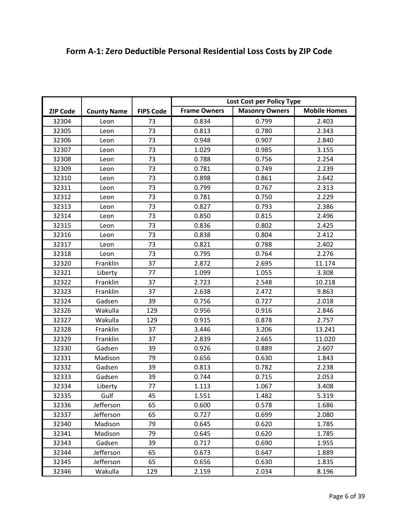|                 |                    |                  | Lost Cost per Policy Type |                       |                     |
|-----------------|--------------------|------------------|---------------------------|-----------------------|---------------------|
|                 |                    |                  | <b>Frame Owners</b>       | <b>Masonry Owners</b> | <b>Mobile Homes</b> |
| <b>ZIP Code</b> | <b>County Name</b> | <b>FIPS Code</b> |                           |                       |                     |
| 32304           | Leon               | 73               | 0.834                     | 0.799                 | 2.403               |
| 32305           | Leon               | 73               | 0.813                     | 0.780                 | 2.343               |
| 32306           | Leon               | 73               | 0.948                     | 0.907                 | 2.840               |
| 32307           | Leon               | 73               | 1.029                     | 0.985                 | 3.155               |
| 32308           | Leon               | 73               | 0.788                     | 0.756                 | 2.254               |
| 32309           | Leon               | 73               | 0.781                     | 0.749                 | 2.239               |
| 32310           | Leon               | 73               | 0.898                     | 0.861                 | 2.642               |
| 32311           | Leon               | 73               | 0.799                     | 0.767                 | 2.313               |
| 32312           | Leon               | 73               | 0.781                     | 0.750                 | 2.229               |
| 32313           | Leon               | 73               | 0.827                     | 0.793                 | 2.386               |
| 32314           | Leon               | 73               | 0.850                     | 0.815                 | 2.496               |
| 32315           | Leon               | 73               | 0.836                     | 0.802                 | 2.425               |
| 32316           | Leon               | 73               | 0.838                     | 0.804                 | 2.412               |
| 32317           | Leon               | 73               | 0.821                     | 0.788                 | 2.402               |
| 32318           | Leon               | 73               | 0.795                     | 0.764                 | 2.276               |
| 32320           | Franklin           | 37               | 2.872                     | 2.695                 | 11.174              |
| 32321           | Liberty            | 77               | 1.099                     | 1.055                 | 3.308               |
| 32322           | Franklin           | 37               | 2.723                     | 2.548                 | 10.218              |
| 32323           | Franklin           | 37               | 2.638                     | 2.472                 | 9.863               |
| 32324           | Gadsen             | 39               | 0.756                     | 0.727                 | 2.018               |
| 32326           | Wakulla            | 129              | 0.956                     | 0.916                 | 2.846               |
| 32327           | Wakulla            | 129              | 0.915                     | 0.878                 | 2.757               |
| 32328           | Franklin           | 37               | 3.446                     | 3.206                 | 13.241              |
| 32329           | Franklin           | 37               | 2.839                     | 2.665                 | 11.020              |
| 32330           | Gadsen             | 39               | 0.926                     | 0.889                 | 2.607               |
| 32331           | Madison            | 79               | 0.656                     | 0.630                 | 1.843               |
| 32332           | Gadsen             | 39               | 0.813                     | 0.782                 | 2.238               |
| 32333           | Gadsen             | 39               | 0.744                     | 0.715                 | 2.053               |
| 32334           | Liberty            | 77               | 1.113                     | 1.067                 | 3.408               |
| 32335           | Gulf               | 45               | 1.551                     | 1.482                 | 5.319               |
| 32336           | Jefferson          | 65               | 0.600                     | 0.578                 | 1.686               |
| 32337           | Jefferson          | 65               | 0.727                     | 0.699                 | 2.080               |
| 32340           | Madison            | 79               | 0.645                     | 0.620                 | 1.785               |
| 32341           | Madison            | 79               | 0.645                     | 0.620                 | 1.785               |
| 32343           | Gadsen             | 39               | 0.717                     | 0.690                 | 1.955               |
| 32344           | Jefferson          | 65               | 0.673                     | 0.647                 | 1.889               |
| 32345           | Jefferson          | 65               | 0.656                     | 0.630                 | 1.835               |
| 32346           | Wakulla            | 129              | 2.159                     | 2.034                 | 8.196               |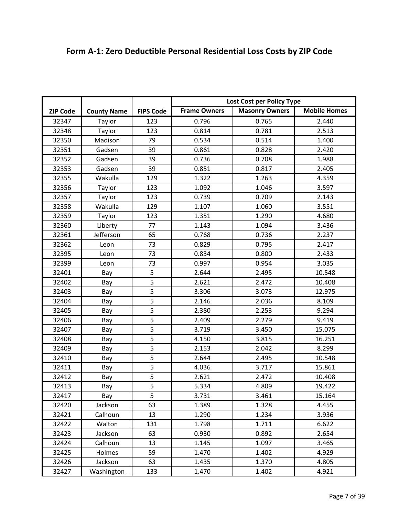|                 |                    |                  | Lost Cost per Policy Type |                       |                     |
|-----------------|--------------------|------------------|---------------------------|-----------------------|---------------------|
| <b>ZIP Code</b> | <b>County Name</b> | <b>FIPS Code</b> | <b>Frame Owners</b>       | <b>Masonry Owners</b> | <b>Mobile Homes</b> |
| 32347           |                    | 123              | 0.796                     | 0.765                 | 2.440               |
|                 | Taylor             | 123              | 0.814                     | 0.781                 |                     |
| 32348           | Taylor             |                  |                           |                       | 2.513               |
| 32350           | Madison            | 79               | 0.534                     | 0.514                 | 1.400               |
| 32351           | Gadsen             | 39               | 0.861                     | 0.828                 | 2.420               |
| 32352           | Gadsen             | 39               | 0.736                     | 0.708                 | 1.988               |
| 32353           | Gadsen             | 39               | 0.851                     | 0.817                 | 2.405               |
| 32355           | Wakulla            | 129              | 1.322                     | 1.263                 | 4.359               |
| 32356           | Taylor             | 123              | 1.092                     | 1.046                 | 3.597               |
| 32357           | Taylor             | 123              | 0.739                     | 0.709                 | 2.143               |
| 32358           | Wakulla            | 129              | 1.107                     | 1.060                 | 3.551               |
| 32359           | Taylor             | 123              | 1.351                     | 1.290                 | 4.680               |
| 32360           | Liberty            | 77               | 1.143                     | 1.094                 | 3.436               |
| 32361           | Jefferson          | 65               | 0.768                     | 0.736                 | 2.237               |
| 32362           | Leon               | 73               | 0.829                     | 0.795                 | 2.417               |
| 32395           | Leon               | 73               | 0.834                     | 0.800                 | 2.433               |
| 32399           | Leon               | 73               | 0.997                     | 0.954                 | 3.035               |
| 32401           | Bay                | 5                | 2.644                     | 2.495                 | 10.548              |
| 32402           | Bay                | 5                | 2.621                     | 2.472                 | 10.408              |
| 32403           | Bay                | $\overline{5}$   | 3.306                     | 3.073                 | 12.975              |
| 32404           | Bay                | 5                | 2.146                     | 2.036                 | 8.109               |
| 32405           | Bay                | 5                | 2.380                     | 2.253                 | 9.294               |
| 32406           | Bay                | 5                | 2.409                     | 2.279                 | 9.419               |
| 32407           | Bay                | 5                | 3.719                     | 3.450                 | 15.075              |
| 32408           | Bay                | 5                | 4.150                     | 3.815                 | 16.251              |
| 32409           | Bay                | 5                | 2.153                     | 2.042                 | 8.299               |
| 32410           | Bay                | 5                | 2.644                     | 2.495                 | 10.548              |
| 32411           | Bay                | 5                | 4.036                     | 3.717                 | 15.861              |
| 32412           | Bay                | 5                | 2.621                     | 2.472                 | 10.408              |
| 32413           | Bay                | 5                | 5.334                     | 4.809                 | 19.422              |
| 32417           | Bay                | $\overline{5}$   | 3.731                     | 3.461                 | 15.164              |
| 32420           | Jackson            | 63               | 1.389                     | 1.328                 | 4.455               |
|                 |                    | 13               |                           |                       |                     |
| 32421           | Calhoun            |                  | 1.290                     | 1.234                 | 3.936               |
| 32422           | Walton             | 131              | 1.798                     | 1.711                 | 6.622               |
| 32423           | Jackson            | 63               | 0.930                     | 0.892                 | 2.654               |
| 32424           | Calhoun            | 13               | 1.145                     | 1.097                 | 3.465               |
| 32425           | Holmes             | 59               | 1.470                     | 1.402                 | 4.929               |
| 32426           | Jackson            | 63               | 1.435                     | 1.370                 | 4.805               |
| 32427           | Washington         | 133              | 1.470                     | 1.402                 | 4.921               |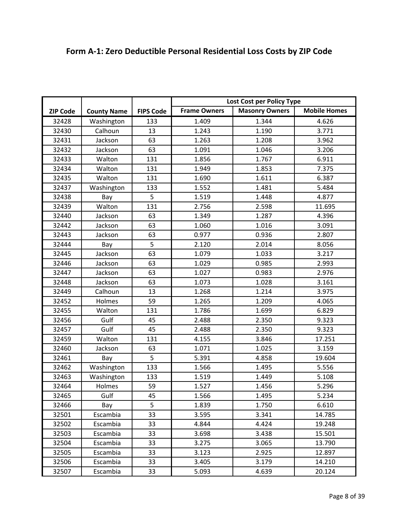| <b>Frame Owners</b><br><b>Masonry Owners</b><br><b>Mobile Homes</b><br><b>FIPS Code</b><br><b>ZIP Code</b><br><b>County Name</b><br>1.344<br>32428<br>Washington<br>133<br>1.409<br>4.626<br>Calhoun<br>32430<br>13<br>1.243<br>1.190<br>3.771<br>63<br>1.263<br>Jackson<br>1.208<br>3.962<br>32431<br>32432<br>63<br>Jackson<br>1.091<br>1.046<br>3.206<br>32433<br>131<br>1.767<br>Walton<br>1.856<br>6.911<br>131<br>1.949<br>32434<br>Walton<br>1.853<br>7.375<br>32435<br>Walton<br>131<br>1.690<br>1.611<br>6.387<br>1.552<br>1.481<br>32437<br>Washington<br>133<br>5.484<br>5<br>32438<br>1.519<br>1.448<br>4.877<br>Bay<br>2.756<br>Walton<br>131<br>2.598<br>11.695<br>32439<br>32440<br>63<br>1.349<br>1.287<br>4.396<br>Jackson<br>3.091<br>32442<br>Jackson<br>63<br>1.060<br>1.016<br>32443<br>63<br>0.977<br>0.936<br>2.807<br>Jackson<br>5<br>2.120<br>32444<br>2.014<br>8.056<br>Bay<br>63<br>32445<br>Jackson<br>1.079<br>1.033<br>3.217<br>32446<br>63<br>1.029<br>Jackson<br>0.985<br>2.993<br>63<br>1.027<br>0.983<br>2.976<br>32447<br>Jackson<br>63<br>1.073<br>1.028<br>3.161<br>32448<br>Jackson<br>32449<br>Calhoun<br>13<br>1.268<br>1.214<br>3.975<br>59<br>1.265<br>32452<br>Holmes<br>1.209<br>4.065<br>Walton<br>131<br>32455<br>1.786<br>1.699<br>6.829<br>Gulf<br>2.488<br>2.350<br>32456<br>45<br>9.323<br>32457<br>Gulf<br>45<br>2.488<br>2.350<br>9.323<br>Walton<br>131<br>3.846<br>32459<br>4.155<br>17.251<br>1.071<br>32460<br>Jackson<br>63<br>1.025<br>3.159<br>5<br>5.391<br>32461<br>4.858<br>19.604<br>Bay<br>1.566<br>Washington<br>133<br>5.556<br>32462<br>1.495<br>1.519<br>5.108<br>32463<br>Washington<br>133<br>1.449<br>59<br>5.296<br>32464<br>1.527<br>1.456<br>Holmes<br>Gulf<br>32465<br>45<br>1.566<br>1.495<br>5.234<br>5<br>1.750<br>6.610<br>32466<br>1.839<br>Bay<br>Escambia<br>33<br>32501<br>3.595<br>3.341<br>14.785<br>32502<br>Escambia<br>33<br>4.844<br>4.424<br>19.248<br>32503<br>Escambia<br>33<br>3.698<br>3.438<br>15.501<br>32504<br>Escambia<br>3.275<br>33<br>3.065<br>13.790<br>33<br>2.925<br>32505<br>Escambia<br>3.123<br>12.897<br>32506<br>Escambia<br>33<br>3.405<br>3.179<br>14.210 |       |          |    | Lost Cost per Policy Type |       |        |
|---------------------------------------------------------------------------------------------------------------------------------------------------------------------------------------------------------------------------------------------------------------------------------------------------------------------------------------------------------------------------------------------------------------------------------------------------------------------------------------------------------------------------------------------------------------------------------------------------------------------------------------------------------------------------------------------------------------------------------------------------------------------------------------------------------------------------------------------------------------------------------------------------------------------------------------------------------------------------------------------------------------------------------------------------------------------------------------------------------------------------------------------------------------------------------------------------------------------------------------------------------------------------------------------------------------------------------------------------------------------------------------------------------------------------------------------------------------------------------------------------------------------------------------------------------------------------------------------------------------------------------------------------------------------------------------------------------------------------------------------------------------------------------------------------------------------------------------------------------------------------------------------------------------------------------------------------------------------------------------------------------------------------------------------------------------------------------------------------------------------------------------------------------------------------|-------|----------|----|---------------------------|-------|--------|
|                                                                                                                                                                                                                                                                                                                                                                                                                                                                                                                                                                                                                                                                                                                                                                                                                                                                                                                                                                                                                                                                                                                                                                                                                                                                                                                                                                                                                                                                                                                                                                                                                                                                                                                                                                                                                                                                                                                                                                                                                                                                                                                                                                           |       |          |    |                           |       |        |
|                                                                                                                                                                                                                                                                                                                                                                                                                                                                                                                                                                                                                                                                                                                                                                                                                                                                                                                                                                                                                                                                                                                                                                                                                                                                                                                                                                                                                                                                                                                                                                                                                                                                                                                                                                                                                                                                                                                                                                                                                                                                                                                                                                           |       |          |    |                           |       |        |
|                                                                                                                                                                                                                                                                                                                                                                                                                                                                                                                                                                                                                                                                                                                                                                                                                                                                                                                                                                                                                                                                                                                                                                                                                                                                                                                                                                                                                                                                                                                                                                                                                                                                                                                                                                                                                                                                                                                                                                                                                                                                                                                                                                           |       |          |    |                           |       |        |
|                                                                                                                                                                                                                                                                                                                                                                                                                                                                                                                                                                                                                                                                                                                                                                                                                                                                                                                                                                                                                                                                                                                                                                                                                                                                                                                                                                                                                                                                                                                                                                                                                                                                                                                                                                                                                                                                                                                                                                                                                                                                                                                                                                           |       |          |    |                           |       |        |
|                                                                                                                                                                                                                                                                                                                                                                                                                                                                                                                                                                                                                                                                                                                                                                                                                                                                                                                                                                                                                                                                                                                                                                                                                                                                                                                                                                                                                                                                                                                                                                                                                                                                                                                                                                                                                                                                                                                                                                                                                                                                                                                                                                           |       |          |    |                           |       |        |
|                                                                                                                                                                                                                                                                                                                                                                                                                                                                                                                                                                                                                                                                                                                                                                                                                                                                                                                                                                                                                                                                                                                                                                                                                                                                                                                                                                                                                                                                                                                                                                                                                                                                                                                                                                                                                                                                                                                                                                                                                                                                                                                                                                           |       |          |    |                           |       |        |
|                                                                                                                                                                                                                                                                                                                                                                                                                                                                                                                                                                                                                                                                                                                                                                                                                                                                                                                                                                                                                                                                                                                                                                                                                                                                                                                                                                                                                                                                                                                                                                                                                                                                                                                                                                                                                                                                                                                                                                                                                                                                                                                                                                           |       |          |    |                           |       |        |
|                                                                                                                                                                                                                                                                                                                                                                                                                                                                                                                                                                                                                                                                                                                                                                                                                                                                                                                                                                                                                                                                                                                                                                                                                                                                                                                                                                                                                                                                                                                                                                                                                                                                                                                                                                                                                                                                                                                                                                                                                                                                                                                                                                           |       |          |    |                           |       |        |
|                                                                                                                                                                                                                                                                                                                                                                                                                                                                                                                                                                                                                                                                                                                                                                                                                                                                                                                                                                                                                                                                                                                                                                                                                                                                                                                                                                                                                                                                                                                                                                                                                                                                                                                                                                                                                                                                                                                                                                                                                                                                                                                                                                           |       |          |    |                           |       |        |
|                                                                                                                                                                                                                                                                                                                                                                                                                                                                                                                                                                                                                                                                                                                                                                                                                                                                                                                                                                                                                                                                                                                                                                                                                                                                                                                                                                                                                                                                                                                                                                                                                                                                                                                                                                                                                                                                                                                                                                                                                                                                                                                                                                           |       |          |    |                           |       |        |
|                                                                                                                                                                                                                                                                                                                                                                                                                                                                                                                                                                                                                                                                                                                                                                                                                                                                                                                                                                                                                                                                                                                                                                                                                                                                                                                                                                                                                                                                                                                                                                                                                                                                                                                                                                                                                                                                                                                                                                                                                                                                                                                                                                           |       |          |    |                           |       |        |
|                                                                                                                                                                                                                                                                                                                                                                                                                                                                                                                                                                                                                                                                                                                                                                                                                                                                                                                                                                                                                                                                                                                                                                                                                                                                                                                                                                                                                                                                                                                                                                                                                                                                                                                                                                                                                                                                                                                                                                                                                                                                                                                                                                           |       |          |    |                           |       |        |
|                                                                                                                                                                                                                                                                                                                                                                                                                                                                                                                                                                                                                                                                                                                                                                                                                                                                                                                                                                                                                                                                                                                                                                                                                                                                                                                                                                                                                                                                                                                                                                                                                                                                                                                                                                                                                                                                                                                                                                                                                                                                                                                                                                           |       |          |    |                           |       |        |
|                                                                                                                                                                                                                                                                                                                                                                                                                                                                                                                                                                                                                                                                                                                                                                                                                                                                                                                                                                                                                                                                                                                                                                                                                                                                                                                                                                                                                                                                                                                                                                                                                                                                                                                                                                                                                                                                                                                                                                                                                                                                                                                                                                           |       |          |    |                           |       |        |
|                                                                                                                                                                                                                                                                                                                                                                                                                                                                                                                                                                                                                                                                                                                                                                                                                                                                                                                                                                                                                                                                                                                                                                                                                                                                                                                                                                                                                                                                                                                                                                                                                                                                                                                                                                                                                                                                                                                                                                                                                                                                                                                                                                           |       |          |    |                           |       |        |
|                                                                                                                                                                                                                                                                                                                                                                                                                                                                                                                                                                                                                                                                                                                                                                                                                                                                                                                                                                                                                                                                                                                                                                                                                                                                                                                                                                                                                                                                                                                                                                                                                                                                                                                                                                                                                                                                                                                                                                                                                                                                                                                                                                           |       |          |    |                           |       |        |
|                                                                                                                                                                                                                                                                                                                                                                                                                                                                                                                                                                                                                                                                                                                                                                                                                                                                                                                                                                                                                                                                                                                                                                                                                                                                                                                                                                                                                                                                                                                                                                                                                                                                                                                                                                                                                                                                                                                                                                                                                                                                                                                                                                           |       |          |    |                           |       |        |
|                                                                                                                                                                                                                                                                                                                                                                                                                                                                                                                                                                                                                                                                                                                                                                                                                                                                                                                                                                                                                                                                                                                                                                                                                                                                                                                                                                                                                                                                                                                                                                                                                                                                                                                                                                                                                                                                                                                                                                                                                                                                                                                                                                           |       |          |    |                           |       |        |
|                                                                                                                                                                                                                                                                                                                                                                                                                                                                                                                                                                                                                                                                                                                                                                                                                                                                                                                                                                                                                                                                                                                                                                                                                                                                                                                                                                                                                                                                                                                                                                                                                                                                                                                                                                                                                                                                                                                                                                                                                                                                                                                                                                           |       |          |    |                           |       |        |
|                                                                                                                                                                                                                                                                                                                                                                                                                                                                                                                                                                                                                                                                                                                                                                                                                                                                                                                                                                                                                                                                                                                                                                                                                                                                                                                                                                                                                                                                                                                                                                                                                                                                                                                                                                                                                                                                                                                                                                                                                                                                                                                                                                           |       |          |    |                           |       |        |
|                                                                                                                                                                                                                                                                                                                                                                                                                                                                                                                                                                                                                                                                                                                                                                                                                                                                                                                                                                                                                                                                                                                                                                                                                                                                                                                                                                                                                                                                                                                                                                                                                                                                                                                                                                                                                                                                                                                                                                                                                                                                                                                                                                           |       |          |    |                           |       |        |
|                                                                                                                                                                                                                                                                                                                                                                                                                                                                                                                                                                                                                                                                                                                                                                                                                                                                                                                                                                                                                                                                                                                                                                                                                                                                                                                                                                                                                                                                                                                                                                                                                                                                                                                                                                                                                                                                                                                                                                                                                                                                                                                                                                           |       |          |    |                           |       |        |
|                                                                                                                                                                                                                                                                                                                                                                                                                                                                                                                                                                                                                                                                                                                                                                                                                                                                                                                                                                                                                                                                                                                                                                                                                                                                                                                                                                                                                                                                                                                                                                                                                                                                                                                                                                                                                                                                                                                                                                                                                                                                                                                                                                           |       |          |    |                           |       |        |
|                                                                                                                                                                                                                                                                                                                                                                                                                                                                                                                                                                                                                                                                                                                                                                                                                                                                                                                                                                                                                                                                                                                                                                                                                                                                                                                                                                                                                                                                                                                                                                                                                                                                                                                                                                                                                                                                                                                                                                                                                                                                                                                                                                           |       |          |    |                           |       |        |
|                                                                                                                                                                                                                                                                                                                                                                                                                                                                                                                                                                                                                                                                                                                                                                                                                                                                                                                                                                                                                                                                                                                                                                                                                                                                                                                                                                                                                                                                                                                                                                                                                                                                                                                                                                                                                                                                                                                                                                                                                                                                                                                                                                           |       |          |    |                           |       |        |
|                                                                                                                                                                                                                                                                                                                                                                                                                                                                                                                                                                                                                                                                                                                                                                                                                                                                                                                                                                                                                                                                                                                                                                                                                                                                                                                                                                                                                                                                                                                                                                                                                                                                                                                                                                                                                                                                                                                                                                                                                                                                                                                                                                           |       |          |    |                           |       |        |
|                                                                                                                                                                                                                                                                                                                                                                                                                                                                                                                                                                                                                                                                                                                                                                                                                                                                                                                                                                                                                                                                                                                                                                                                                                                                                                                                                                                                                                                                                                                                                                                                                                                                                                                                                                                                                                                                                                                                                                                                                                                                                                                                                                           |       |          |    |                           |       |        |
|                                                                                                                                                                                                                                                                                                                                                                                                                                                                                                                                                                                                                                                                                                                                                                                                                                                                                                                                                                                                                                                                                                                                                                                                                                                                                                                                                                                                                                                                                                                                                                                                                                                                                                                                                                                                                                                                                                                                                                                                                                                                                                                                                                           |       |          |    |                           |       |        |
|                                                                                                                                                                                                                                                                                                                                                                                                                                                                                                                                                                                                                                                                                                                                                                                                                                                                                                                                                                                                                                                                                                                                                                                                                                                                                                                                                                                                                                                                                                                                                                                                                                                                                                                                                                                                                                                                                                                                                                                                                                                                                                                                                                           |       |          |    |                           |       |        |
|                                                                                                                                                                                                                                                                                                                                                                                                                                                                                                                                                                                                                                                                                                                                                                                                                                                                                                                                                                                                                                                                                                                                                                                                                                                                                                                                                                                                                                                                                                                                                                                                                                                                                                                                                                                                                                                                                                                                                                                                                                                                                                                                                                           |       |          |    |                           |       |        |
|                                                                                                                                                                                                                                                                                                                                                                                                                                                                                                                                                                                                                                                                                                                                                                                                                                                                                                                                                                                                                                                                                                                                                                                                                                                                                                                                                                                                                                                                                                                                                                                                                                                                                                                                                                                                                                                                                                                                                                                                                                                                                                                                                                           |       |          |    |                           |       |        |
|                                                                                                                                                                                                                                                                                                                                                                                                                                                                                                                                                                                                                                                                                                                                                                                                                                                                                                                                                                                                                                                                                                                                                                                                                                                                                                                                                                                                                                                                                                                                                                                                                                                                                                                                                                                                                                                                                                                                                                                                                                                                                                                                                                           |       |          |    |                           |       |        |
|                                                                                                                                                                                                                                                                                                                                                                                                                                                                                                                                                                                                                                                                                                                                                                                                                                                                                                                                                                                                                                                                                                                                                                                                                                                                                                                                                                                                                                                                                                                                                                                                                                                                                                                                                                                                                                                                                                                                                                                                                                                                                                                                                                           |       |          |    |                           |       |        |
|                                                                                                                                                                                                                                                                                                                                                                                                                                                                                                                                                                                                                                                                                                                                                                                                                                                                                                                                                                                                                                                                                                                                                                                                                                                                                                                                                                                                                                                                                                                                                                                                                                                                                                                                                                                                                                                                                                                                                                                                                                                                                                                                                                           |       |          |    |                           |       |        |
|                                                                                                                                                                                                                                                                                                                                                                                                                                                                                                                                                                                                                                                                                                                                                                                                                                                                                                                                                                                                                                                                                                                                                                                                                                                                                                                                                                                                                                                                                                                                                                                                                                                                                                                                                                                                                                                                                                                                                                                                                                                                                                                                                                           |       |          |    |                           |       |        |
|                                                                                                                                                                                                                                                                                                                                                                                                                                                                                                                                                                                                                                                                                                                                                                                                                                                                                                                                                                                                                                                                                                                                                                                                                                                                                                                                                                                                                                                                                                                                                                                                                                                                                                                                                                                                                                                                                                                                                                                                                                                                                                                                                                           |       |          |    |                           |       |        |
|                                                                                                                                                                                                                                                                                                                                                                                                                                                                                                                                                                                                                                                                                                                                                                                                                                                                                                                                                                                                                                                                                                                                                                                                                                                                                                                                                                                                                                                                                                                                                                                                                                                                                                                                                                                                                                                                                                                                                                                                                                                                                                                                                                           |       |          |    |                           |       |        |
|                                                                                                                                                                                                                                                                                                                                                                                                                                                                                                                                                                                                                                                                                                                                                                                                                                                                                                                                                                                                                                                                                                                                                                                                                                                                                                                                                                                                                                                                                                                                                                                                                                                                                                                                                                                                                                                                                                                                                                                                                                                                                                                                                                           |       |          |    |                           |       |        |
|                                                                                                                                                                                                                                                                                                                                                                                                                                                                                                                                                                                                                                                                                                                                                                                                                                                                                                                                                                                                                                                                                                                                                                                                                                                                                                                                                                                                                                                                                                                                                                                                                                                                                                                                                                                                                                                                                                                                                                                                                                                                                                                                                                           | 32507 | Escambia | 33 | 5.093                     | 4.639 | 20.124 |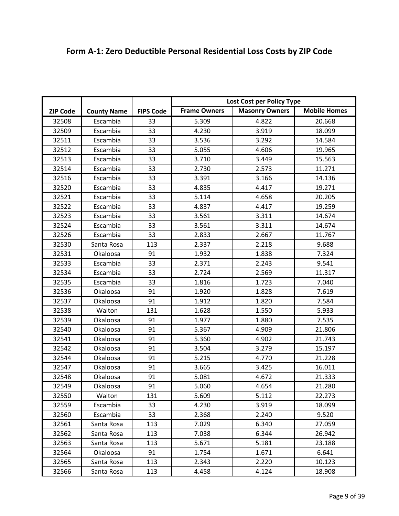|                 |                    |                  | Lost Cost per Policy Type |                       |                     |
|-----------------|--------------------|------------------|---------------------------|-----------------------|---------------------|
| <b>ZIP Code</b> | <b>County Name</b> | <b>FIPS Code</b> | <b>Frame Owners</b>       | <b>Masonry Owners</b> | <b>Mobile Homes</b> |
| 32508           | Escambia           | 33               | 5.309                     | 4.822                 | 20.668              |
| 32509           | Escambia           | 33               | 4.230                     | 3.919                 | 18.099              |
| 32511           | Escambia           | 33               | 3.536                     | 3.292                 | 14.584              |
| 32512           | Escambia           | 33               | 5.055                     | 4.606                 | 19.965              |
| 32513           | Escambia           | 33               | 3.710                     | 3.449                 | 15.563              |
| 32514           | Escambia           | 33               | 2.730                     | 2.573                 | 11.271              |
| 32516           | Escambia           | 33               | 3.391                     | 3.166                 | 14.136              |
| 32520           | Escambia           | 33               | 4.835                     | 4.417                 | 19.271              |
| 32521           | Escambia           | 33               | 5.114                     | 4.658                 | 20.205              |
| 32522           | Escambia           | 33               | 4.837                     | 4.417                 | 19.259              |
| 32523           | Escambia           | 33               | 3.561                     | 3.311                 | 14.674              |
| 32524           | Escambia           | 33               | 3.561                     | 3.311                 | 14.674              |
| 32526           | Escambia           | 33               | 2.833                     | 2.667                 | 11.767              |
| 32530           | Santa Rosa         | 113              | 2.337                     | 2.218                 | 9.688               |
| 32531           | Okaloosa           | 91               | 1.932                     | 1.838                 | 7.324               |
| 32533           | Escambia           | 33               | 2.371                     | 2.243                 | 9.541               |
| 32534           | Escambia           | 33               | 2.724                     | 2.569                 | 11.317              |
| 32535           | Escambia           | 33               | 1.816                     | 1.723                 | 7.040               |
| 32536           | Okaloosa           | 91               | 1.920                     | 1.828                 | 7.619               |
| 32537           | Okaloosa           | 91               | 1.912                     | 1.820                 | 7.584               |
| 32538           | Walton             | 131              | 1.628                     | 1.550                 | 5.933               |
| 32539           | Okaloosa           | 91               | 1.977                     | 1.880                 | 7.535               |
| 32540           | Okaloosa           | 91               | 5.367                     | 4.909                 | 21.806              |
| 32541           | Okaloosa           | 91               | 5.360                     | 4.902                 | 21.743              |
| 32542           | Okaloosa           | 91               | 3.504                     | 3.279                 | 15.197              |
| 32544           | Okaloosa           | 91               | 5.215                     | 4.770                 | 21.228              |
| 32547           | Okaloosa           | 91               | 3.665                     | 3.425                 | 16.011              |
| 32548           | Okaloosa           | 91               | 5.081                     | 4.672                 | 21.333              |
| 32549           | Okaloosa           | 91               | 5.060                     | 4.654                 | 21.280              |
| 32550           | Walton             | 131              | 5.609                     | 5.112                 | 22.273              |
| 32559           | Escambia           | 33               | 4.230                     | 3.919                 | 18.099              |
| 32560           | Escambia           | 33               | 2.368                     | 2.240                 | 9.520               |
| 32561           | Santa Rosa         | 113              | 7.029                     | 6.340                 | 27.059              |
| 32562           | Santa Rosa         | 113              | 7.038                     | 6.344                 | 26.942              |
| 32563           | Santa Rosa         | 113              | 5.671                     | 5.181                 | 23.188              |
| 32564           | Okaloosa           | 91               | 1.754                     | 1.671                 | 6.641               |
| 32565           | Santa Rosa         | 113              | 2.343                     | 2.220                 | 10.123              |
| 32566           | Santa Rosa         | 113              | 4.458                     | 4.124                 | 18.908              |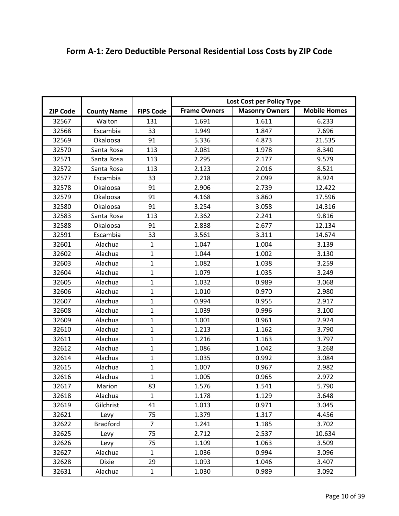|                 |                    |                  | Lost Cost per Policy Type |                       |                     |
|-----------------|--------------------|------------------|---------------------------|-----------------------|---------------------|
| <b>ZIP Code</b> |                    | <b>FIPS Code</b> | <b>Frame Owners</b>       | <b>Masonry Owners</b> | <b>Mobile Homes</b> |
|                 | <b>County Name</b> |                  |                           |                       |                     |
| 32567           | Walton             | 131              | 1.691                     | 1.611                 | 6.233               |
| 32568           | Escambia           | 33               | 1.949                     | 1.847                 | 7.696               |
| 32569           | Okaloosa           | 91               | 5.336                     | 4.873                 | 21.535              |
| 32570           | Santa Rosa         | 113              | 2.081                     | 1.978                 | 8.340               |
| 32571           | Santa Rosa         | 113              | 2.295                     | 2.177                 | 9.579               |
| 32572           | Santa Rosa         | 113              | 2.123                     | 2.016                 | 8.521               |
| 32577           | Escambia           | 33               | 2.218                     | 2.099                 | 8.924               |
| 32578           | Okaloosa           | 91               | 2.906                     | 2.739                 | 12.422              |
| 32579           | Okaloosa           | 91               | 4.168                     | 3.860                 | 17.596              |
| 32580           | Okaloosa           | 91               | 3.254                     | 3.058                 | 14.316              |
| 32583           | Santa Rosa         | 113              | 2.362                     | 2.241                 | 9.816               |
| 32588           | Okaloosa           | 91               | 2.838                     | 2.677                 | 12.134              |
| 32591           | Escambia           | 33               | 3.561                     | 3.311                 | 14.674              |
| 32601           | Alachua            | $\mathbf{1}$     | 1.047                     | 1.004                 | 3.139               |
| 32602           | Alachua            | $\mathbf{1}$     | 1.044                     | 1.002                 | 3.130               |
| 32603           | Alachua            | $\mathbf{1}$     | 1.082                     | 1.038                 | 3.259               |
| 32604           | Alachua            | $\mathbf{1}$     | 1.079                     | 1.035                 | 3.249               |
| 32605           | Alachua            | $\mathbf{1}$     | 1.032                     | 0.989                 | 3.068               |
| 32606           | Alachua            | $\mathbf{1}$     | 1.010                     | 0.970                 | 2.980               |
| 32607           | Alachua            | $\mathbf{1}$     | 0.994                     | 0.955                 | 2.917               |
| 32608           | Alachua            | $\mathbf{1}$     | 1.039                     | 0.996                 | 3.100               |
| 32609           | Alachua            | $\mathbf{1}$     | 1.001                     | 0.961                 | 2.924               |
| 32610           | Alachua            | $\mathbf{1}$     | 1.213                     | 1.162                 | 3.790               |
| 32611           | Alachua            | $\mathbf{1}$     | 1.216                     | 1.163                 | 3.797               |
| 32612           | Alachua            | $\mathbf{1}$     | 1.086                     | 1.042                 | 3.268               |
| 32614           | Alachua            | $\mathbf{1}$     | 1.035                     | 0.992                 | 3.084               |
| 32615           | Alachua            | $\mathbf{1}$     | 1.007                     | 0.967                 | 2.982               |
| 32616           | Alachua            | $\mathbf{1}$     | 1.005                     | 0.965                 | 2.972               |
| 32617           | Marion             | 83               | 1.576                     | 1.541                 | 5.790               |
| 32618           | Alachua            | $\mathbf{1}$     | 1.178                     | 1.129                 | 3.648               |
| 32619           | Gilchrist          | 41               | 1.013                     | 0.971                 | 3.045               |
| 32621           | Levy               | 75               | 1.379                     | 1.317                 | 4.456               |
| 32622           | <b>Bradford</b>    | $\overline{7}$   | 1.241                     | 1.185                 | 3.702               |
| 32625           | Levy               | 75               | 2.712                     | 2.537                 | 10.634              |
| 32626           | Levy               | 75               | 1.109                     | 1.063                 | 3.509               |
| 32627           | Alachua            | $\mathbf{1}$     | 1.036                     | 0.994                 | 3.096               |
| 32628           | <b>Dixie</b>       | 29               | 1.093                     | 1.046                 | 3.407               |
| 32631           | Alachua            | $\mathbf{1}$     | 1.030                     | 0.989                 | 3.092               |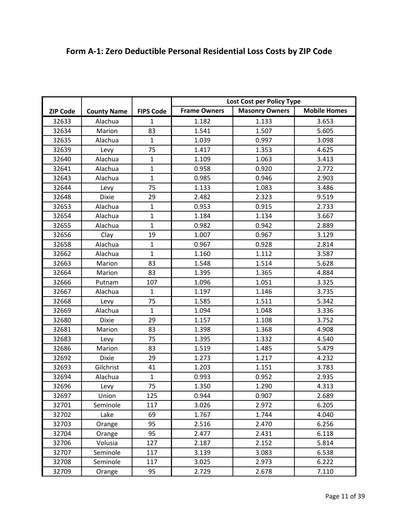| Form A-1: Zero Deductible Personal Residential Loss Costs by ZIP Code |
|-----------------------------------------------------------------------|
|                                                                       |

|                 |                    |                  | Lost Cost per Policy Type |                       |                     |
|-----------------|--------------------|------------------|---------------------------|-----------------------|---------------------|
| <b>ZIP Code</b> | <b>County Name</b> | <b>FIPS Code</b> | <b>Frame Owners</b>       | <b>Masonry Owners</b> | <b>Mobile Homes</b> |
| 32633           | Alachua            | $\mathbf{1}$     | 1.182                     | 1.133                 | 3.653               |
| 32634           | Marion             | 83               | 1.541                     | 1.507                 | 5.605               |
| 32635           | Alachua            | $\mathbf{1}$     | 1.039                     | 0.997                 | 3.098               |
| 32639           | Levy               | 75               | 1.417                     | 1.353                 | 4.625               |
| 32640           | Alachua            | $\mathbf{1}$     | 1.109                     | 1.063                 | 3.413               |
| 32641           | Alachua            | $\mathbf{1}$     | 0.958                     | 0.920                 | 2.772               |
| 32643           | Alachua            | $\mathbf{1}$     | 0.985                     | 0.946                 | 2.903               |
| 32644           | Levy               | 75               | 1.133                     | 1.083                 | 3.486               |
| 32648           | <b>Dixie</b>       | 29               | 2.482                     | 2.323                 | 9.519               |
| 32653           | Alachua            | $\mathbf{1}$     | 0.953                     | 0.915                 | 2.733               |
| 32654           | Alachua            | $\mathbf{1}$     | 1.184                     | 1.134                 | 3.667               |
| 32655           | Alachua            | $\mathbf{1}$     | 0.982                     | 0.942                 | 2.889               |
| 32656           | Clay               | 19               | 1.007                     | 0.967                 | 3.129               |
| 32658           | Alachua            | $\mathbf{1}$     | 0.967                     | 0.928                 | 2.814               |
| 32662           | Alachua            | $\mathbf{1}$     | 1.160                     | 1.112                 | 3.587               |
| 32663           | Marion             | 83               | 1.548                     | 1.514                 | 5.628               |
| 32664           | Marion             | 83               | 1.395                     | 1.365                 | 4.884               |
| 32666           | Putnam             | 107              | 1.096                     | 1.051                 | 3.325               |
| 32667           | Alachua            | $\mathbf{1}$     | 1.197                     | 1.146                 | 3.735               |
| 32668           | Levy               | 75               | 1.585                     | 1.511                 | 5.342               |
| 32669           | Alachua            | $\mathbf{1}$     | 1.094                     | 1.048                 | 3.336               |
| 32680           | <b>Dixie</b>       | 29               | 1.157                     | 1.108                 | 3.752               |
| 32681           | Marion             | 83               | 1.398                     | 1.368                 | 4.908               |
| 32683           | Levy               | 75               | 1.395                     | 1.332                 | 4.540               |
| 32686           | Marion             | 83               | 1.519                     | 1.485                 | 5.479               |
| 32692           | <b>Dixie</b>       | 29               | 1.273                     | 1.217                 | 4.232               |
| 32693           | Gilchrist          | 41               | 1.203                     | 1.151                 | 3.783               |
| 32694           | Alachua            | $\mathbf{1}$     | 0.993                     | 0.952                 | 2.935               |
| 32696           | Levy               | 75               | 1.350                     | 1.290                 | 4.313               |
| 32697           | Union              | 125              | 0.944                     | 0.907                 | 2.689               |
| 32701           | Seminole           | 117              | 3.026                     | 2.972                 | 6.205               |
| 32702           | Lake               | 69               | 1.767                     | 1.744                 | 4.040               |
| 32703           | Orange             | 95               | 2.516                     | 2.470                 | 6.256               |
| 32704           | Orange             | 95               | 2.477                     | 2.431                 | 6.118               |
| 32706           | Volusia            | 127              | 2.187                     | 2.152                 | 5.814               |
| 32707           | Seminole           | 117              | 3.139                     | 3.083                 | 6.538               |
| 32708           | Seminole           | 117              | 3.025                     | 2.973                 | 6.222               |
| 32709           | Orange             | 95               | 2.729                     | 2.678                 | 7.110               |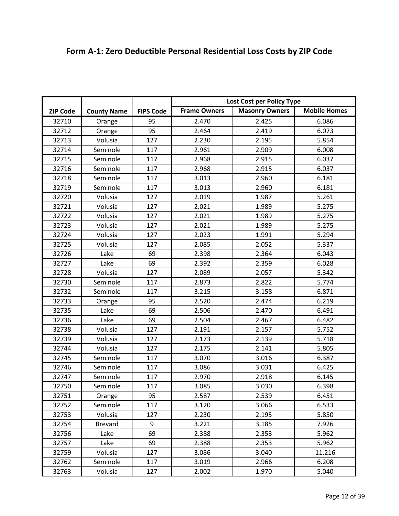| <b>Mobile Homes</b><br><b>Frame Owners</b><br><b>Masonry Owners</b><br><b>ZIP Code</b><br><b>County Name</b><br><b>FIPS Code</b><br>32710<br>95<br>2.470<br>6.086<br>2.425<br>Orange<br>95<br>32712<br>2.464<br>2.419<br>6.073<br>Orange<br>127<br>32713<br>Volusia<br>2.230<br>2.195<br>5.854<br>32714<br>Seminole<br>117<br>2.961<br>2.909<br>6.008<br>32715<br>Seminole<br>117<br>2.968<br>2.915<br>6.037<br>32716<br>117<br>2.915<br>Seminole<br>2.968<br>6.037<br>32718<br>Seminole<br>117<br>3.013<br>2.960<br>6.181<br>Seminole<br>117<br>3.013<br>6.181<br>32719<br>2.960<br>32720<br>Volusia<br>127<br>2.019<br>1.987<br>5.261<br>32721<br>Volusia<br>127<br>2.021<br>1.989<br>5.275<br>32722<br>2.021<br>5.275<br>Volusia<br>127<br>1.989<br>32723<br>127<br>2.021<br>5.275<br>1.989<br>Volusia<br>32724<br>127<br>2.023<br>1.991<br>5.294<br>Volusia<br>32725<br>Volusia<br>127<br>2.085<br>2.052<br>5.337<br>Lake<br>69<br>32726<br>2.398<br>2.364<br>6.043<br>69<br>32727<br>Lake<br>2.392<br>2.359<br>6.028<br>32728<br>Volusia<br>127<br>2.089<br>2.057<br>5.342<br>32730<br>117<br>2.873<br>2.822<br>5.774<br>Seminole<br>3.215<br>32732<br>Seminole<br>117<br>3.158<br>6.871<br>95<br>32733<br>2.520<br>2.474<br>6.219<br>Orange<br>69<br>32735<br>Lake<br>2.506<br>2.470<br>6.491<br>69<br>32736<br>Lake<br>2.504<br>2.467<br>6.482<br>32738<br>Volusia<br>127<br>2.191<br>2.157<br>5.752<br>32739<br>127<br>2.173<br>5.718<br>Volusia<br>2.139<br>127<br>2.175<br>2.141<br>32744<br>Volusia<br>5.805<br>3.070<br>32745<br>Seminole<br>117<br>3.016<br>6.387<br>Seminole<br>117<br>3.086<br>6.425<br>32746<br>3.031<br>2.970<br>32747<br>Seminole<br>117<br>2.918<br>6.145<br>32750<br>Seminole<br>117<br>3.085<br>3.030<br>6.398<br>32751<br>95<br>2.587<br>2.539<br>6.451<br>Orange<br>32752<br>Seminole<br>117<br>3.120<br>3.066<br>6.533<br>2.230<br>2.195<br>32753<br>Volusia<br>127<br>5.850<br>9<br>3.221<br>32754<br><b>Brevard</b><br>3.185<br>7.926<br>32756<br>Lake<br>69<br>2.388<br>2.353<br>5.962<br>69<br>2.388<br>2.353<br>32757<br>Lake<br>5.962<br>32759<br>127<br>3.086<br>11.216<br>Volusia<br>3.040<br>3.019<br>6.208<br>32762<br>Seminole<br>117<br>2.966 |  | Lost Cost per Policy Type |  |  |
|---------------------------------------------------------------------------------------------------------------------------------------------------------------------------------------------------------------------------------------------------------------------------------------------------------------------------------------------------------------------------------------------------------------------------------------------------------------------------------------------------------------------------------------------------------------------------------------------------------------------------------------------------------------------------------------------------------------------------------------------------------------------------------------------------------------------------------------------------------------------------------------------------------------------------------------------------------------------------------------------------------------------------------------------------------------------------------------------------------------------------------------------------------------------------------------------------------------------------------------------------------------------------------------------------------------------------------------------------------------------------------------------------------------------------------------------------------------------------------------------------------------------------------------------------------------------------------------------------------------------------------------------------------------------------------------------------------------------------------------------------------------------------------------------------------------------------------------------------------------------------------------------------------------------------------------------------------------------------------------------------------------------------------------------------------------------------------------------------------------------------------------------------------------------------------------------------|--|---------------------------|--|--|
|                                                                                                                                                                                                                                                                                                                                                                                                                                                                                                                                                                                                                                                                                                                                                                                                                                                                                                                                                                                                                                                                                                                                                                                                                                                                                                                                                                                                                                                                                                                                                                                                                                                                                                                                                                                                                                                                                                                                                                                                                                                                                                                                                                                                   |  |                           |  |  |
|                                                                                                                                                                                                                                                                                                                                                                                                                                                                                                                                                                                                                                                                                                                                                                                                                                                                                                                                                                                                                                                                                                                                                                                                                                                                                                                                                                                                                                                                                                                                                                                                                                                                                                                                                                                                                                                                                                                                                                                                                                                                                                                                                                                                   |  |                           |  |  |
|                                                                                                                                                                                                                                                                                                                                                                                                                                                                                                                                                                                                                                                                                                                                                                                                                                                                                                                                                                                                                                                                                                                                                                                                                                                                                                                                                                                                                                                                                                                                                                                                                                                                                                                                                                                                                                                                                                                                                                                                                                                                                                                                                                                                   |  |                           |  |  |
|                                                                                                                                                                                                                                                                                                                                                                                                                                                                                                                                                                                                                                                                                                                                                                                                                                                                                                                                                                                                                                                                                                                                                                                                                                                                                                                                                                                                                                                                                                                                                                                                                                                                                                                                                                                                                                                                                                                                                                                                                                                                                                                                                                                                   |  |                           |  |  |
|                                                                                                                                                                                                                                                                                                                                                                                                                                                                                                                                                                                                                                                                                                                                                                                                                                                                                                                                                                                                                                                                                                                                                                                                                                                                                                                                                                                                                                                                                                                                                                                                                                                                                                                                                                                                                                                                                                                                                                                                                                                                                                                                                                                                   |  |                           |  |  |
|                                                                                                                                                                                                                                                                                                                                                                                                                                                                                                                                                                                                                                                                                                                                                                                                                                                                                                                                                                                                                                                                                                                                                                                                                                                                                                                                                                                                                                                                                                                                                                                                                                                                                                                                                                                                                                                                                                                                                                                                                                                                                                                                                                                                   |  |                           |  |  |
|                                                                                                                                                                                                                                                                                                                                                                                                                                                                                                                                                                                                                                                                                                                                                                                                                                                                                                                                                                                                                                                                                                                                                                                                                                                                                                                                                                                                                                                                                                                                                                                                                                                                                                                                                                                                                                                                                                                                                                                                                                                                                                                                                                                                   |  |                           |  |  |
|                                                                                                                                                                                                                                                                                                                                                                                                                                                                                                                                                                                                                                                                                                                                                                                                                                                                                                                                                                                                                                                                                                                                                                                                                                                                                                                                                                                                                                                                                                                                                                                                                                                                                                                                                                                                                                                                                                                                                                                                                                                                                                                                                                                                   |  |                           |  |  |
|                                                                                                                                                                                                                                                                                                                                                                                                                                                                                                                                                                                                                                                                                                                                                                                                                                                                                                                                                                                                                                                                                                                                                                                                                                                                                                                                                                                                                                                                                                                                                                                                                                                                                                                                                                                                                                                                                                                                                                                                                                                                                                                                                                                                   |  |                           |  |  |
|                                                                                                                                                                                                                                                                                                                                                                                                                                                                                                                                                                                                                                                                                                                                                                                                                                                                                                                                                                                                                                                                                                                                                                                                                                                                                                                                                                                                                                                                                                                                                                                                                                                                                                                                                                                                                                                                                                                                                                                                                                                                                                                                                                                                   |  |                           |  |  |
|                                                                                                                                                                                                                                                                                                                                                                                                                                                                                                                                                                                                                                                                                                                                                                                                                                                                                                                                                                                                                                                                                                                                                                                                                                                                                                                                                                                                                                                                                                                                                                                                                                                                                                                                                                                                                                                                                                                                                                                                                                                                                                                                                                                                   |  |                           |  |  |
|                                                                                                                                                                                                                                                                                                                                                                                                                                                                                                                                                                                                                                                                                                                                                                                                                                                                                                                                                                                                                                                                                                                                                                                                                                                                                                                                                                                                                                                                                                                                                                                                                                                                                                                                                                                                                                                                                                                                                                                                                                                                                                                                                                                                   |  |                           |  |  |
|                                                                                                                                                                                                                                                                                                                                                                                                                                                                                                                                                                                                                                                                                                                                                                                                                                                                                                                                                                                                                                                                                                                                                                                                                                                                                                                                                                                                                                                                                                                                                                                                                                                                                                                                                                                                                                                                                                                                                                                                                                                                                                                                                                                                   |  |                           |  |  |
|                                                                                                                                                                                                                                                                                                                                                                                                                                                                                                                                                                                                                                                                                                                                                                                                                                                                                                                                                                                                                                                                                                                                                                                                                                                                                                                                                                                                                                                                                                                                                                                                                                                                                                                                                                                                                                                                                                                                                                                                                                                                                                                                                                                                   |  |                           |  |  |
|                                                                                                                                                                                                                                                                                                                                                                                                                                                                                                                                                                                                                                                                                                                                                                                                                                                                                                                                                                                                                                                                                                                                                                                                                                                                                                                                                                                                                                                                                                                                                                                                                                                                                                                                                                                                                                                                                                                                                                                                                                                                                                                                                                                                   |  |                           |  |  |
|                                                                                                                                                                                                                                                                                                                                                                                                                                                                                                                                                                                                                                                                                                                                                                                                                                                                                                                                                                                                                                                                                                                                                                                                                                                                                                                                                                                                                                                                                                                                                                                                                                                                                                                                                                                                                                                                                                                                                                                                                                                                                                                                                                                                   |  |                           |  |  |
|                                                                                                                                                                                                                                                                                                                                                                                                                                                                                                                                                                                                                                                                                                                                                                                                                                                                                                                                                                                                                                                                                                                                                                                                                                                                                                                                                                                                                                                                                                                                                                                                                                                                                                                                                                                                                                                                                                                                                                                                                                                                                                                                                                                                   |  |                           |  |  |
|                                                                                                                                                                                                                                                                                                                                                                                                                                                                                                                                                                                                                                                                                                                                                                                                                                                                                                                                                                                                                                                                                                                                                                                                                                                                                                                                                                                                                                                                                                                                                                                                                                                                                                                                                                                                                                                                                                                                                                                                                                                                                                                                                                                                   |  |                           |  |  |
|                                                                                                                                                                                                                                                                                                                                                                                                                                                                                                                                                                                                                                                                                                                                                                                                                                                                                                                                                                                                                                                                                                                                                                                                                                                                                                                                                                                                                                                                                                                                                                                                                                                                                                                                                                                                                                                                                                                                                                                                                                                                                                                                                                                                   |  |                           |  |  |
|                                                                                                                                                                                                                                                                                                                                                                                                                                                                                                                                                                                                                                                                                                                                                                                                                                                                                                                                                                                                                                                                                                                                                                                                                                                                                                                                                                                                                                                                                                                                                                                                                                                                                                                                                                                                                                                                                                                                                                                                                                                                                                                                                                                                   |  |                           |  |  |
|                                                                                                                                                                                                                                                                                                                                                                                                                                                                                                                                                                                                                                                                                                                                                                                                                                                                                                                                                                                                                                                                                                                                                                                                                                                                                                                                                                                                                                                                                                                                                                                                                                                                                                                                                                                                                                                                                                                                                                                                                                                                                                                                                                                                   |  |                           |  |  |
|                                                                                                                                                                                                                                                                                                                                                                                                                                                                                                                                                                                                                                                                                                                                                                                                                                                                                                                                                                                                                                                                                                                                                                                                                                                                                                                                                                                                                                                                                                                                                                                                                                                                                                                                                                                                                                                                                                                                                                                                                                                                                                                                                                                                   |  |                           |  |  |
|                                                                                                                                                                                                                                                                                                                                                                                                                                                                                                                                                                                                                                                                                                                                                                                                                                                                                                                                                                                                                                                                                                                                                                                                                                                                                                                                                                                                                                                                                                                                                                                                                                                                                                                                                                                                                                                                                                                                                                                                                                                                                                                                                                                                   |  |                           |  |  |
|                                                                                                                                                                                                                                                                                                                                                                                                                                                                                                                                                                                                                                                                                                                                                                                                                                                                                                                                                                                                                                                                                                                                                                                                                                                                                                                                                                                                                                                                                                                                                                                                                                                                                                                                                                                                                                                                                                                                                                                                                                                                                                                                                                                                   |  |                           |  |  |
|                                                                                                                                                                                                                                                                                                                                                                                                                                                                                                                                                                                                                                                                                                                                                                                                                                                                                                                                                                                                                                                                                                                                                                                                                                                                                                                                                                                                                                                                                                                                                                                                                                                                                                                                                                                                                                                                                                                                                                                                                                                                                                                                                                                                   |  |                           |  |  |
|                                                                                                                                                                                                                                                                                                                                                                                                                                                                                                                                                                                                                                                                                                                                                                                                                                                                                                                                                                                                                                                                                                                                                                                                                                                                                                                                                                                                                                                                                                                                                                                                                                                                                                                                                                                                                                                                                                                                                                                                                                                                                                                                                                                                   |  |                           |  |  |
|                                                                                                                                                                                                                                                                                                                                                                                                                                                                                                                                                                                                                                                                                                                                                                                                                                                                                                                                                                                                                                                                                                                                                                                                                                                                                                                                                                                                                                                                                                                                                                                                                                                                                                                                                                                                                                                                                                                                                                                                                                                                                                                                                                                                   |  |                           |  |  |
|                                                                                                                                                                                                                                                                                                                                                                                                                                                                                                                                                                                                                                                                                                                                                                                                                                                                                                                                                                                                                                                                                                                                                                                                                                                                                                                                                                                                                                                                                                                                                                                                                                                                                                                                                                                                                                                                                                                                                                                                                                                                                                                                                                                                   |  |                           |  |  |
|                                                                                                                                                                                                                                                                                                                                                                                                                                                                                                                                                                                                                                                                                                                                                                                                                                                                                                                                                                                                                                                                                                                                                                                                                                                                                                                                                                                                                                                                                                                                                                                                                                                                                                                                                                                                                                                                                                                                                                                                                                                                                                                                                                                                   |  |                           |  |  |
|                                                                                                                                                                                                                                                                                                                                                                                                                                                                                                                                                                                                                                                                                                                                                                                                                                                                                                                                                                                                                                                                                                                                                                                                                                                                                                                                                                                                                                                                                                                                                                                                                                                                                                                                                                                                                                                                                                                                                                                                                                                                                                                                                                                                   |  |                           |  |  |
|                                                                                                                                                                                                                                                                                                                                                                                                                                                                                                                                                                                                                                                                                                                                                                                                                                                                                                                                                                                                                                                                                                                                                                                                                                                                                                                                                                                                                                                                                                                                                                                                                                                                                                                                                                                                                                                                                                                                                                                                                                                                                                                                                                                                   |  |                           |  |  |
|                                                                                                                                                                                                                                                                                                                                                                                                                                                                                                                                                                                                                                                                                                                                                                                                                                                                                                                                                                                                                                                                                                                                                                                                                                                                                                                                                                                                                                                                                                                                                                                                                                                                                                                                                                                                                                                                                                                                                                                                                                                                                                                                                                                                   |  |                           |  |  |
|                                                                                                                                                                                                                                                                                                                                                                                                                                                                                                                                                                                                                                                                                                                                                                                                                                                                                                                                                                                                                                                                                                                                                                                                                                                                                                                                                                                                                                                                                                                                                                                                                                                                                                                                                                                                                                                                                                                                                                                                                                                                                                                                                                                                   |  |                           |  |  |
|                                                                                                                                                                                                                                                                                                                                                                                                                                                                                                                                                                                                                                                                                                                                                                                                                                                                                                                                                                                                                                                                                                                                                                                                                                                                                                                                                                                                                                                                                                                                                                                                                                                                                                                                                                                                                                                                                                                                                                                                                                                                                                                                                                                                   |  |                           |  |  |
|                                                                                                                                                                                                                                                                                                                                                                                                                                                                                                                                                                                                                                                                                                                                                                                                                                                                                                                                                                                                                                                                                                                                                                                                                                                                                                                                                                                                                                                                                                                                                                                                                                                                                                                                                                                                                                                                                                                                                                                                                                                                                                                                                                                                   |  |                           |  |  |
|                                                                                                                                                                                                                                                                                                                                                                                                                                                                                                                                                                                                                                                                                                                                                                                                                                                                                                                                                                                                                                                                                                                                                                                                                                                                                                                                                                                                                                                                                                                                                                                                                                                                                                                                                                                                                                                                                                                                                                                                                                                                                                                                                                                                   |  |                           |  |  |
|                                                                                                                                                                                                                                                                                                                                                                                                                                                                                                                                                                                                                                                                                                                                                                                                                                                                                                                                                                                                                                                                                                                                                                                                                                                                                                                                                                                                                                                                                                                                                                                                                                                                                                                                                                                                                                                                                                                                                                                                                                                                                                                                                                                                   |  |                           |  |  |
|                                                                                                                                                                                                                                                                                                                                                                                                                                                                                                                                                                                                                                                                                                                                                                                                                                                                                                                                                                                                                                                                                                                                                                                                                                                                                                                                                                                                                                                                                                                                                                                                                                                                                                                                                                                                                                                                                                                                                                                                                                                                                                                                                                                                   |  |                           |  |  |
|                                                                                                                                                                                                                                                                                                                                                                                                                                                                                                                                                                                                                                                                                                                                                                                                                                                                                                                                                                                                                                                                                                                                                                                                                                                                                                                                                                                                                                                                                                                                                                                                                                                                                                                                                                                                                                                                                                                                                                                                                                                                                                                                                                                                   |  |                           |  |  |
| 32763<br>Volusia<br>2.002<br>1.970<br>5.040<br>127                                                                                                                                                                                                                                                                                                                                                                                                                                                                                                                                                                                                                                                                                                                                                                                                                                                                                                                                                                                                                                                                                                                                                                                                                                                                                                                                                                                                                                                                                                                                                                                                                                                                                                                                                                                                                                                                                                                                                                                                                                                                                                                                                |  |                           |  |  |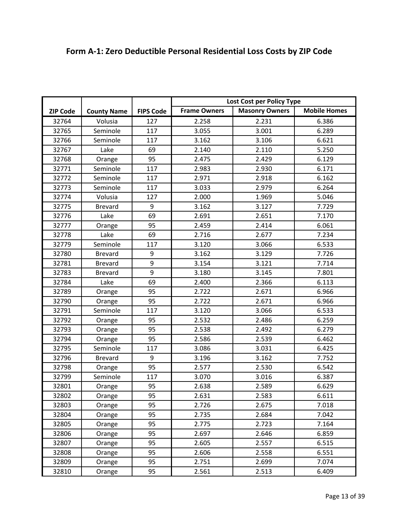|                 |                    |                  | Lost Cost per Policy Type |                       |                     |
|-----------------|--------------------|------------------|---------------------------|-----------------------|---------------------|
| <b>ZIP Code</b> | <b>County Name</b> | <b>FIPS Code</b> | <b>Frame Owners</b>       | <b>Masonry Owners</b> | <b>Mobile Homes</b> |
| 32764           | Volusia            | 127              | 2.258                     | 2.231                 | 6.386               |
| 32765           | Seminole           | 117              | 3.055                     | 3.001                 | 6.289               |
| 32766           | Seminole           | 117              | 3.162                     | 3.106                 | 6.621               |
|                 | Lake               | 69               |                           | 2.110                 | 5.250               |
| 32767           |                    |                  | 2.140                     |                       |                     |
| 32768           | Orange             | 95               | 2.475                     | 2.429                 | 6.129               |
| 32771           | Seminole           | 117              | 2.983                     | 2.930                 | 6.171               |
| 32772           | Seminole           | 117              | 2.971                     | 2.918                 | 6.162               |
| 32773           | Seminole           | 117              | 3.033                     | 2.979                 | 6.264               |
| 32774           | Volusia            | 127              | 2.000                     | 1.969                 | 5.046               |
| 32775           | <b>Brevard</b>     | 9                | 3.162                     | 3.127                 | 7.729               |
| 32776           | Lake               | 69               | 2.691                     | 2.651                 | 7.170               |
| 32777           | Orange             | 95               | 2.459                     | 2.414                 | 6.061               |
| 32778           | Lake               | 69               | 2.716                     | 2.677                 | 7.234               |
| 32779           | Seminole           | 117              | 3.120                     | 3.066                 | 6.533               |
| 32780           | <b>Brevard</b>     | 9                | 3.162                     | 3.129                 | 7.726               |
| 32781           | <b>Brevard</b>     | 9                | 3.154                     | 3.121                 | 7.714               |
| 32783           | <b>Brevard</b>     | 9                | 3.180                     | 3.145                 | 7.801               |
| 32784           | Lake               | 69               | 2.400                     | 2.366                 | 6.113               |
| 32789           | Orange             | 95               | 2.722                     | 2.671                 | 6.966               |
| 32790           | Orange             | 95               | 2.722                     | 2.671                 | 6.966               |
| 32791           | Seminole           | 117              | 3.120                     | 3.066                 | 6.533               |
| 32792           | Orange             | 95               | 2.532                     | 2.486                 | 6.259               |
| 32793           | Orange             | 95               | 2.538                     | 2.492                 | 6.279               |
| 32794           | Orange             | 95               | 2.586                     | 2.539                 | 6.462               |
| 32795           | Seminole           | 117              | 3.086                     | 3.031                 | 6.425               |
| 32796           | <b>Brevard</b>     | 9                | 3.196                     | 3.162                 | 7.752               |
| 32798           | Orange             | 95               | 2.577                     | 2.530                 | 6.542               |
| 32799           | Seminole           | 117              | 3.070                     | 3.016                 | 6.387               |
| 32801           | Orange             | 95               | 2.638                     | 2.589                 | 6.629               |
| 32802           | Orange             | 95               | 2.631                     | 2.583                 | 6.611               |
| 32803           | Orange             | 95               | 2.726                     | 2.675                 | 7.018               |
| 32804           | Orange             | 95               | 2.735                     | 2.684                 | 7.042               |
| 32805           | Orange             | 95               | 2.775                     | 2.723                 | 7.164               |
| 32806           | Orange             | 95               | 2.697                     | 2.646                 | 6.859               |
| 32807           | Orange             | 95               | 2.605                     | 2.557                 | 6.515               |
| 32808           | Orange             | 95               | 2.606                     | 2.558                 | 6.551               |
| 32809           | Orange             | 95               | 2.751                     | 2.699                 | 7.074               |
| 32810           | Orange             | 95               | 2.561                     | 2.513                 | 6.409               |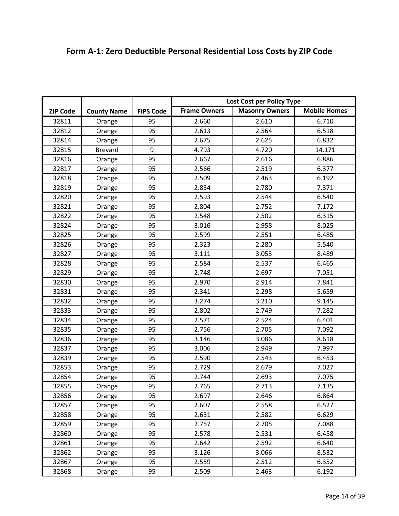|                 |                    |                  | Lost Cost per Policy Type |                       |                     |
|-----------------|--------------------|------------------|---------------------------|-----------------------|---------------------|
| <b>ZIP Code</b> | <b>County Name</b> | <b>FIPS Code</b> | <b>Frame Owners</b>       | <b>Masonry Owners</b> | <b>Mobile Homes</b> |
| 32811           | Orange             | 95               | 2.660                     | 2.610                 | 6.710               |
| 32812           | Orange             | 95               | 2.613                     | 2.564                 | 6.518               |
| 32814           | Orange             | 95               | 2.675                     | 2.625                 | 6.832               |
| 32815           | <b>Brevard</b>     | 9                | 4.793                     | 4.720                 | 14.171              |
| 32816           | Orange             | 95               | 2.667                     | 2.616                 | 6.886               |
| 32817           | Orange             | 95               | 2.566                     | 2.519                 | 6.377               |
| 32818           | Orange             | 95               | 2.509                     | 2.463                 | 6.192               |
| 32819           | Orange             | 95               | 2.834                     | 2.780                 | 7.371               |
| 32820           | Orange             | 95               | 2.593                     | 2.544                 | 6.540               |
| 32821           | Orange             | 95               | 2.804                     | 2.752                 | 7.172               |
| 32822           | Orange             | 95               | 2.548                     | 2.502                 | 6.315               |
| 32824           | Orange             | 95               | 3.016                     | 2.958                 | 8.025               |
| 32825           | Orange             | 95               | 2.599                     | 2.551                 | 6.485               |
| 32826           | Orange             | 95               | 2.323                     | 2.280                 | 5.540               |
| 32827           | Orange             | 95               | 3.111                     | 3.053                 | 8.489               |
| 32828           | Orange             | 95               | 2.584                     | 2.537                 | 6.465               |
| 32829           | Orange             | 95               | 2.748                     | 2.697                 | 7.051               |
| 32830           | Orange             | 95               | 2.970                     | 2.914                 | 7.841               |
| 32831           | Orange             | 95               | 2.341                     | 2.298                 | 5.659               |
| 32832           | Orange             | 95               | 3.274                     | 3.210                 | 9.145               |
| 32833           | Orange             | 95               | 2.802                     | 2.749                 | 7.282               |
| 32834           | Orange             | 95               | 2.571                     | 2.524                 | 6.401               |
| 32835           | Orange             | 95               | 2.756                     | 2.705                 | 7.092               |
| 32836           | Orange             | 95               | 3.146                     | 3.086                 | 8.618               |
| 32837           | Orange             | 95               | 3.006                     | 2.949                 | 7.997               |
| 32839           | Orange             | 95               | 2.590                     | 2.543                 | 6.453               |
| 32853           | Orange             | 95               | 2.729                     | 2.679                 | 7.027               |
| 32854           | Orange             | 95               | 2.744                     | 2.693                 | 7.075               |
| 32855           | Orange             | 95               | 2.765                     | 2.713                 | 7.135               |
| 32856           | Orange             | 95               | 2.697                     | 2.646                 | 6.864               |
| 32857           | Orange             | 95               | 2.607                     | 2.558                 | 6.527               |
| 32858           | Orange             | 95               | 2.631                     | 2.582                 | 6.629               |
| 32859           | Orange             | 95               | 2.757                     | 2.705                 | 7.088               |
| 32860           | Orange             | 95               | 2.578                     | 2.531                 | 6.458               |
| 32861           | Orange             | 95               | 2.642                     | 2.592                 | 6.640               |
| 32862           | Orange             | 95               | 3.126                     | 3.066                 | 8.532               |
| 32867           | Orange             | 95               | 2.559                     | 2.512                 | 6.352               |
| 32868           | Orange             | 95               | 2.509                     | 2.463                 | 6.192               |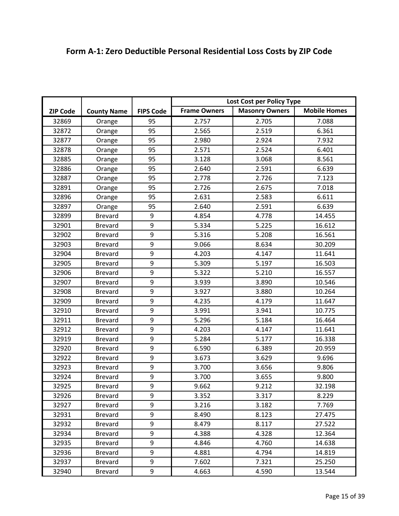|                 |                    |                  | Lost Cost per Policy Type |                       |                     |
|-----------------|--------------------|------------------|---------------------------|-----------------------|---------------------|
| <b>ZIP Code</b> | <b>County Name</b> | <b>FIPS Code</b> | <b>Frame Owners</b>       | <b>Masonry Owners</b> | <b>Mobile Homes</b> |
| 32869           | Orange             | 95               | 2.757                     | 2.705                 | 7.088               |
| 32872           | Orange             | 95               | 2.565                     | 2.519                 | 6.361               |
| 32877           | Orange             | 95               | 2.980                     | 2.924                 | 7.932               |
| 32878           | Orange             | 95               | 2.571                     | 2.524                 | 6.401               |
| 32885           | Orange             | 95               | 3.128                     | 3.068                 | 8.561               |
| 32886           | Orange             | 95               | 2.640                     | 2.591                 | 6.639               |
| 32887           | Orange             | 95               | 2.778                     | 2.726                 | 7.123               |
| 32891           | Orange             | 95               | 2.726                     | 2.675                 | 7.018               |
| 32896           | Orange             | 95               | 2.631                     | 2.583                 | 6.611               |
| 32897           | Orange             | 95               | 2.640                     | 2.591                 | 6.639               |
| 32899           | <b>Brevard</b>     | $\boldsymbol{9}$ | 4.854                     | 4.778                 | 14.455              |
| 32901           | <b>Brevard</b>     | 9                | 5.334                     | 5.225                 | 16.612              |
| 32902           | <b>Brevard</b>     | 9                | 5.316                     | 5.208                 | 16.561              |
| 32903           | <b>Brevard</b>     | 9                | 9.066                     | 8.634                 | 30.209              |
| 32904           | <b>Brevard</b>     | 9                | 4.203                     | 4.147                 | 11.641              |
| 32905           | <b>Brevard</b>     | $\boldsymbol{9}$ | 5.309                     | 5.197                 | 16.503              |
| 32906           | <b>Brevard</b>     | 9                | 5.322                     | 5.210                 | 16.557              |
| 32907           | <b>Brevard</b>     | 9                | 3.939                     | 3.890                 | 10.546              |
| 32908           | <b>Brevard</b>     | 9                | 3.927                     | 3.880                 | 10.264              |
| 32909           | <b>Brevard</b>     | 9                | 4.235                     | 4.179                 | 11.647              |
| 32910           | <b>Brevard</b>     | 9                | 3.991                     | 3.941                 | 10.775              |
| 32911           | <b>Brevard</b>     | 9                | 5.296                     | 5.184                 | 16.464              |
| 32912           | <b>Brevard</b>     | 9                | 4.203                     | 4.147                 | 11.641              |
| 32919           | <b>Brevard</b>     | 9                | 5.284                     | 5.177                 | 16.338              |
| 32920           | <b>Brevard</b>     | 9                | 6.590                     | 6.389                 | 20.959              |
| 32922           | <b>Brevard</b>     | 9                | 3.673                     | 3.629                 | 9.696               |
| 32923           | <b>Brevard</b>     | 9                | 3.700                     | 3.656                 | 9.806               |
| 32924           | <b>Brevard</b>     | 9                | 3.700                     | 3.655                 | 9.800               |
| 32925           | <b>Brevard</b>     | 9                | 9.662                     | 9.212                 | 32.198              |
| 32926           | <b>Brevard</b>     | 9                | 3.352                     | 3.317                 | 8.229               |
| 32927           | <b>Brevard</b>     | 9                | 3.216                     | 3.182                 | 7.769               |
| 32931           | <b>Brevard</b>     | 9                | 8.490                     | 8.123                 | 27.475              |
| 32932           | <b>Brevard</b>     | 9                | 8.479                     | 8.117                 | 27.522              |
| 32934           | <b>Brevard</b>     | 9                | 4.388                     | 4.328                 | 12.364              |
| 32935           | <b>Brevard</b>     | 9                | 4.846                     | 4.760                 | 14.638              |
| 32936           | <b>Brevard</b>     | 9                | 4.881                     | 4.794                 | 14.819              |
| 32937           | <b>Brevard</b>     | 9                | 7.602                     | 7.321                 | 25.250              |
| 32940           | <b>Brevard</b>     | 9                | 4.663                     | 4.590                 | 13.544              |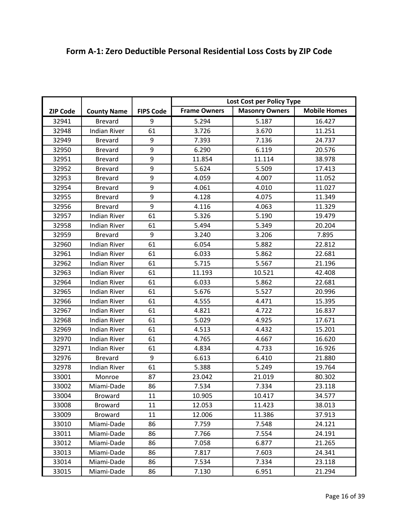|  | Form A-1: Zero Deductible Personal Residential Loss Costs by ZIP Code |
|--|-----------------------------------------------------------------------|
|--|-----------------------------------------------------------------------|

|                 |                     |                  | Lost Cost per Policy Type |                       |                     |
|-----------------|---------------------|------------------|---------------------------|-----------------------|---------------------|
| <b>ZIP Code</b> | <b>County Name</b>  | <b>FIPS Code</b> | <b>Frame Owners</b>       | <b>Masonry Owners</b> | <b>Mobile Homes</b> |
| 32941           | <b>Brevard</b>      | 9                | 5.294                     | 5.187                 | 16.427              |
| 32948           | <b>Indian River</b> | 61               | 3.726                     | 3.670                 | 11.251              |
| 32949           | <b>Brevard</b>      | 9                | 7.393                     | 7.136                 | 24.737              |
| 32950           | <b>Brevard</b>      | 9                | 6.290                     | 6.119                 | 20.576              |
| 32951           | <b>Brevard</b>      | 9                | 11.854                    | 11.114                | 38.978              |
| 32952           | <b>Brevard</b>      | 9                | 5.624                     | 5.509                 | 17.413              |
| 32953           | <b>Brevard</b>      | 9                | 4.059                     | 4.007                 | 11.052              |
| 32954           | <b>Brevard</b>      | 9                | 4.061                     | 4.010                 | 11.027              |
| 32955           | <b>Brevard</b>      | 9                | 4.128                     | 4.075                 | 11.349              |
| 32956           | <b>Brevard</b>      | 9                | 4.116                     | 4.063                 | 11.329              |
| 32957           | <b>Indian River</b> | 61               | 5.326                     | 5.190                 | 19.479              |
| 32958           | <b>Indian River</b> | 61               | 5.494                     | 5.349                 | 20.204              |
| 32959           | <b>Brevard</b>      | 9                | 3.240                     | 3.206                 | 7.895               |
| 32960           | <b>Indian River</b> | 61               | 6.054                     | 5.882                 | 22.812              |
| 32961           | <b>Indian River</b> | 61               | 6.033                     | 5.862                 | 22.681              |
| 32962           | <b>Indian River</b> | 61               | 5.715                     | 5.567                 | 21.196              |
| 32963           | <b>Indian River</b> | 61               | 11.193                    | 10.521                | 42.408              |
| 32964           | <b>Indian River</b> | 61               | 6.033                     | 5.862                 | 22.681              |
| 32965           | <b>Indian River</b> | 61               | 5.676                     | 5.527                 | 20.996              |
| 32966           | <b>Indian River</b> | 61               | 4.555                     | 4.471                 | 15.395              |
| 32967           | <b>Indian River</b> | 61               | 4.821                     | 4.722                 | 16.837              |
| 32968           | <b>Indian River</b> | 61               | 5.029                     | 4.925                 | 17.671              |
| 32969           | <b>Indian River</b> | 61               | 4.513                     | 4.432                 | 15.201              |
| 32970           | <b>Indian River</b> | 61               | 4.765                     | 4.667                 | 16.620              |
| 32971           | <b>Indian River</b> | 61               | 4.834                     | 4.733                 | 16.926              |
| 32976           | <b>Brevard</b>      | 9                | 6.613                     | 6.410                 | 21.880              |
| 32978           | <b>Indian River</b> | 61               | 5.388                     | 5.249                 | 19.764              |
| 33001           | Monroe              | 87               | 23.042                    | 21.019                | 80.302              |
| 33002           | Miami-Dade          | 86               | 7.534                     | 7.334                 | 23.118              |
| 33004           | <b>Broward</b>      | 11               | 10.905                    | 10.417                | 34.577              |
| 33008           | <b>Broward</b>      | 11               | 12.053                    | 11.423                | 38.013              |
| 33009           | <b>Broward</b>      | 11               | 12.006                    | 11.386                | 37.913              |
| 33010           | Miami-Dade          | 86               | 7.759                     | 7.548                 | 24.121              |
| 33011           | Miami-Dade          | 86               | 7.766                     | 7.554                 | 24.191              |
| 33012           | Miami-Dade          | 86               | 7.058                     | 6.877                 | 21.265              |
| 33013           | Miami-Dade          | 86               | 7.817                     | 7.603                 | 24.341              |
| 33014           | Miami-Dade          | 86               | 7.534                     | 7.334                 | 23.118              |
| 33015           | Miami-Dade          | 86               | 7.130                     | 6.951                 | 21.294              |
|                 |                     |                  |                           |                       |                     |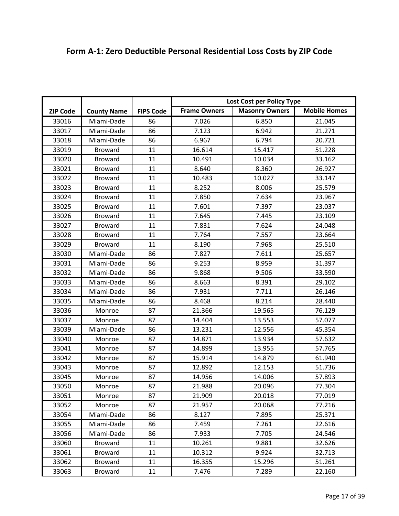|                 |                    |                  | Lost Cost per Policy Type |                       |                     |
|-----------------|--------------------|------------------|---------------------------|-----------------------|---------------------|
| <b>ZIP Code</b> | <b>County Name</b> | <b>FIPS Code</b> | <b>Frame Owners</b>       | <b>Masonry Owners</b> | <b>Mobile Homes</b> |
| 33016           | Miami-Dade         | 86               | 7.026                     | 6.850                 | 21.045              |
| 33017           | Miami-Dade         | 86               | 7.123                     | 6.942                 | 21.271              |
| 33018           | Miami-Dade         | 86               | 6.967                     | 6.794                 | 20.721              |
| 33019           | <b>Broward</b>     | 11               | 16.614                    | 15.417                | 51.228              |
| 33020           | <b>Broward</b>     | 11               | 10.491                    | 10.034                | 33.162              |
| 33021           | <b>Broward</b>     | 11               | 8.640                     | 8.360                 | 26.927              |
| 33022           | <b>Broward</b>     | 11               | 10.483                    | 10.027                | 33.147              |
| 33023           | <b>Broward</b>     | 11               | 8.252                     | 8.006                 | 25.579              |
| 33024           | <b>Broward</b>     | 11               | 7.850                     | 7.634                 | 23.967              |
| 33025           | <b>Broward</b>     | 11               | 7.601                     | 7.397                 | 23.037              |
| 33026           | <b>Broward</b>     | 11               | 7.645                     | 7.445                 | 23.109              |
| 33027           | <b>Broward</b>     | 11               | 7.831                     | 7.624                 | 24.048              |
| 33028           | <b>Broward</b>     | 11               | 7.764                     | 7.557                 | 23.664              |
| 33029           | <b>Broward</b>     | 11               | 8.190                     | 7.968                 | 25.510              |
| 33030           | Miami-Dade         | 86               | 7.827                     | 7.611                 | 25.657              |
| 33031           | Miami-Dade         | 86               | 9.253                     | 8.959                 | 31.397              |
| 33032           | Miami-Dade         | 86               | 9.868                     | 9.506                 | 33.590              |
| 33033           | Miami-Dade         | 86               | 8.663                     | 8.391                 | 29.102              |
| 33034           | Miami-Dade         | 86               | 7.931                     | 7.711                 | 26.146              |
| 33035           | Miami-Dade         | 86               | 8.468                     | 8.214                 | 28.440              |
| 33036           | Monroe             | 87               | 21.366                    | 19.565                | 76.129              |
| 33037           | Monroe             | 87               | 14.404                    | 13.553                | 57.077              |
| 33039           | Miami-Dade         | 86               | 13.231                    | 12.556                | 45.354              |
| 33040           | Monroe             | 87               | 14.871                    | 13.934                | 57.632              |
| 33041           | Monroe             | 87               | 14.899                    | 13.955                | 57.765              |
| 33042           | Monroe             | 87               | 15.914                    | 14.879                | 61.940              |
| 33043           | Monroe             | 87               | 12.892                    | 12.153                | 51.736              |
| 33045           | Monroe             | 87               | 14.956                    | 14.006                | 57.893              |
| 33050           | Monroe             | 87               | 21.988                    | 20.096                | 77.304              |
| 33051           | Monroe             | 87               | 21.909                    | 20.018                | 77.019              |
| 33052           | Monroe             | 87               | 21.957                    | 20.068                | 77.216              |
| 33054           | Miami-Dade         | 86               | 8.127                     | 7.895                 | 25.371              |
| 33055           | Miami-Dade         | 86               | 7.459                     | 7.261                 | 22.616              |
| 33056           | Miami-Dade         | 86               | 7.933                     | 7.705                 | 24.546              |
| 33060           | <b>Broward</b>     | 11               | 10.261                    | 9.881                 | 32.626              |
| 33061           | <b>Broward</b>     | 11               | 10.312                    | 9.924                 | 32.713              |
| 33062           | <b>Broward</b>     | 11               | 16.355                    | 15.296                | 51.261              |
| 33063           | <b>Broward</b>     | 11               | 7.476                     | 7.289                 | 22.160              |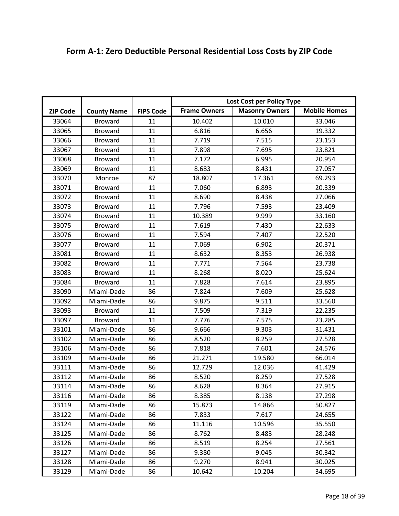|  | Form A-1: Zero Deductible Personal Residential Loss Costs by ZIP Code |
|--|-----------------------------------------------------------------------|
|--|-----------------------------------------------------------------------|

|                 |                    |                  | Lost Cost per Policy Type |                       |                     |
|-----------------|--------------------|------------------|---------------------------|-----------------------|---------------------|
| <b>ZIP Code</b> | <b>County Name</b> | <b>FIPS Code</b> | <b>Frame Owners</b>       | <b>Masonry Owners</b> | <b>Mobile Homes</b> |
| 33064           | <b>Broward</b>     | 11               | 10.402                    | 10.010                | 33.046              |
| 33065           | <b>Broward</b>     | 11               | 6.816                     | 6.656                 | 19.332              |
| 33066           | <b>Broward</b>     | 11               | 7.719                     | 7.515                 | 23.153              |
| 33067           | <b>Broward</b>     | 11               | 7.898                     | 7.695                 | 23.821              |
| 33068           | <b>Broward</b>     | 11               | 7.172                     | 6.995                 | 20.954              |
| 33069           | <b>Broward</b>     | 11               | 8.683                     | 8.431                 | 27.057              |
| 33070           | Monroe             | 87               | 18.807                    | 17.361                | 69.293              |
| 33071           | <b>Broward</b>     | 11               | 7.060                     | 6.893                 | 20.339              |
| 33072           | <b>Broward</b>     | 11               | 8.690                     | 8.438                 | 27.066              |
| 33073           | <b>Broward</b>     | 11               | 7.796                     | 7.593                 | 23.409              |
| 33074           | <b>Broward</b>     | 11               | 10.389                    | 9.999                 | 33.160              |
| 33075           | <b>Broward</b>     | 11               | 7.619                     | 7.430                 | 22.633              |
| 33076           | <b>Broward</b>     | 11               | 7.594                     | 7.407                 | 22.520              |
| 33077           | <b>Broward</b>     | 11               | 7.069                     | 6.902                 | 20.371              |
| 33081           | <b>Broward</b>     | 11               | 8.632                     | 8.353                 | 26.938              |
| 33082           | <b>Broward</b>     | 11               | 7.771                     | 7.564                 | 23.738              |
| 33083           | <b>Broward</b>     | 11               | 8.268                     | 8.020                 | 25.624              |
| 33084           | <b>Broward</b>     | 11               | 7.828                     | 7.614                 | 23.895              |
| 33090           | Miami-Dade         | 86               | 7.824                     | 7.609                 | 25.628              |
| 33092           | Miami-Dade         | 86               | 9.875                     | 9.511                 | 33.560              |
| 33093           | <b>Broward</b>     | 11               | 7.509                     | 7.319                 | 22.235              |
| 33097           | <b>Broward</b>     | 11               | 7.776                     | 7.575                 | 23.285              |
| 33101           | Miami-Dade         | 86               | 9.666                     | 9.303                 | 31.431              |
| 33102           | Miami-Dade         | 86               | 8.520                     | 8.259                 | 27.528              |
| 33106           | Miami-Dade         | 86               | 7.818                     | 7.601                 | 24.576              |
| 33109           | Miami-Dade         | 86               | 21.271                    | 19.580                | 66.014              |
| 33111           | Miami-Dade         | 86               | 12.729                    | 12.036                | 41.429              |
| 33112           | Miami-Dade         | 86               | 8.520                     | 8.259                 | 27.528              |
| 33114           | Miami-Dade         | 86               | 8.628                     | 8.364                 | 27.915              |
| 33116           | Miami-Dade         | 86               | 8.385                     | 8.138                 | 27.298              |
| 33119           | Miami-Dade         | 86               | 15.873                    | 14.866                | 50.827              |
| 33122           | Miami-Dade         | 86               | 7.833                     | 7.617                 | 24.655              |
| 33124           | Miami-Dade         | 86               | 11.116                    | 10.596                | 35.550              |
| 33125           | Miami-Dade         | 86               | 8.762                     | 8.483                 | 28.248              |
| 33126           | Miami-Dade         | 86               | 8.519                     | 8.254                 | 27.561              |
| 33127           | Miami-Dade         | 86               | 9.380                     | 9.045                 | 30.342              |
| 33128           | Miami-Dade         | 86               | 9.270                     | 8.941                 | 30.025              |
| 33129           | Miami-Dade         | 86               | 10.642                    | 10.204                | 34.695              |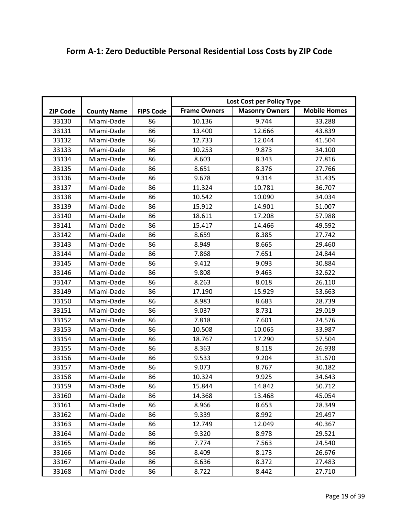|  | Form A-1: Zero Deductible Personal Residential Loss Costs by ZIP Code |
|--|-----------------------------------------------------------------------|
|--|-----------------------------------------------------------------------|

|                 |                    |                  | Lost Cost per Policy Type |                       |                     |
|-----------------|--------------------|------------------|---------------------------|-----------------------|---------------------|
| <b>ZIP Code</b> | <b>County Name</b> | <b>FIPS Code</b> | <b>Frame Owners</b>       | <b>Masonry Owners</b> | <b>Mobile Homes</b> |
| 33130           | Miami-Dade         | 86               | 10.136                    | 9.744                 | 33.288              |
| 33131           | Miami-Dade         | 86               | 13.400                    | 12.666                | 43.839              |
| 33132           | Miami-Dade         | 86               | 12.733                    | 12.044                | 41.504              |
| 33133           | Miami-Dade         | 86               | 10.253                    | 9.873                 | 34.100              |
| 33134           | Miami-Dade         | 86               | 8.603                     | 8.343                 | 27.816              |
| 33135           | Miami-Dade         | 86               | 8.651                     | 8.376                 | 27.766              |
| 33136           | Miami-Dade         | 86               | 9.678                     | 9.314                 | 31.435              |
| 33137           | Miami-Dade         | 86               | 11.324                    | 10.781                | 36.707              |
| 33138           | Miami-Dade         | 86               | 10.542                    | 10.090                | 34.034              |
| 33139           | Miami-Dade         | 86               | 15.912                    | 14.901                | 51.007              |
| 33140           | Miami-Dade         | 86               | 18.611                    | 17.208                | 57.988              |
| 33141           | Miami-Dade         | 86               | 15.417                    | 14.466                | 49.592              |
| 33142           | Miami-Dade         | 86               | 8.659                     | 8.385                 | 27.742              |
| 33143           | Miami-Dade         | 86               | 8.949                     | 8.665                 | 29.460              |
| 33144           | Miami-Dade         | 86               | 7.868                     | 7.651                 | 24.844              |
| 33145           | Miami-Dade         | 86               | 9.412                     | 9.093                 | 30.884              |
| 33146           | Miami-Dade         | 86               | 9.808                     | 9.463                 | 32.622              |
| 33147           | Miami-Dade         | 86               | 8.263                     | 8.018                 | 26.110              |
| 33149           | Miami-Dade         | 86               | 17.190                    | 15.929                | 53.663              |
| 33150           | Miami-Dade         | 86               | 8.983                     | 8.683                 | 28.739              |
| 33151           | Miami-Dade         | 86               | 9.037                     | 8.731                 | 29.019              |
| 33152           | Miami-Dade         | 86               | 7.818                     | 7.601                 | 24.576              |
| 33153           | Miami-Dade         | 86               | 10.508                    | 10.065                | 33.987              |
| 33154           | Miami-Dade         | 86               | 18.767                    | 17.290                | 57.504              |
| 33155           | Miami-Dade         | 86               | 8.363                     | 8.118                 | 26.938              |
| 33156           | Miami-Dade         | 86               | 9.533                     | 9.204                 | 31.670              |
| 33157           | Miami-Dade         | 86               | 9.073                     | 8.767                 | 30.182              |
| 33158           | Miami-Dade         | 86               | 10.324                    | 9.925                 | 34.643              |
| 33159           | Miami-Dade         | 86               | 15.844                    | 14.842                | 50.712              |
| 33160           | Miami-Dade         | 86               | 14.368                    | 13.468                | 45.054              |
| 33161           | Miami-Dade         | 86               | 8.966                     | 8.653                 | 28.349              |
| 33162           | Miami-Dade         | 86               | 9.339                     | 8.992                 | 29.497              |
| 33163           | Miami-Dade         | 86               | 12.749                    | 12.049                | 40.367              |
| 33164           | Miami-Dade         | 86               | 9.320                     | 8.978                 | 29.521              |
| 33165           | Miami-Dade         | 86               | 7.774                     | 7.563                 | 24.540              |
| 33166           | Miami-Dade         | 86               | 8.409                     | 8.173                 | 26.676              |
| 33167           | Miami-Dade         | 86               | 8.636                     | 8.372                 | 27.483              |
| 33168           | Miami-Dade         | 86               | 8.722                     | 8.442                 | 27.710              |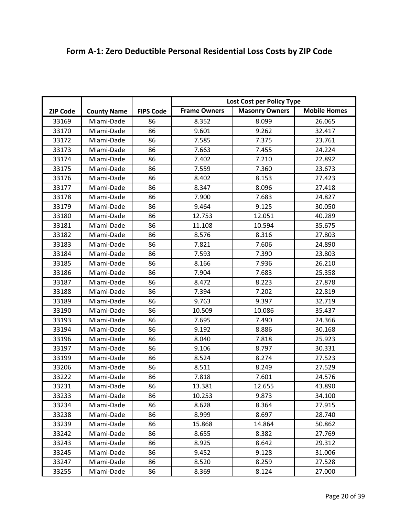|  | Form A-1: Zero Deductible Personal Residential Loss Costs by ZIP Code |
|--|-----------------------------------------------------------------------|
|--|-----------------------------------------------------------------------|

|                 |                    |                  | Lost Cost per Policy Type |                       |                     |
|-----------------|--------------------|------------------|---------------------------|-----------------------|---------------------|
| <b>ZIP Code</b> | <b>County Name</b> | <b>FIPS Code</b> | <b>Frame Owners</b>       | <b>Masonry Owners</b> | <b>Mobile Homes</b> |
| 33169           | Miami-Dade         | 86               | 8.352                     | 8.099                 | 26.065              |
| 33170           | Miami-Dade         | 86               | 9.601                     | 9.262                 | 32.417              |
| 33172           | Miami-Dade         | 86               | 7.585                     | 7.375                 | 23.761              |
| 33173           | Miami-Dade         | 86               | 7.663                     | 7.455                 | 24.224              |
| 33174           | Miami-Dade         | 86               | 7.402                     | 7.210                 | 22.892              |
| 33175           | Miami-Dade         | 86               | 7.559                     | 7.360                 | 23.673              |
| 33176           | Miami-Dade         | 86               | 8.402                     | 8.153                 | 27.423              |
| 33177           | Miami-Dade         | 86               | 8.347                     | 8.096                 | 27.418              |
| 33178           | Miami-Dade         | 86               | 7.900                     | 7.683                 | 24.827              |
| 33179           | Miami-Dade         | 86               | 9.464                     | 9.125                 | 30.050              |
| 33180           | Miami-Dade         | 86               | 12.753                    | 12.051                | 40.289              |
| 33181           | Miami-Dade         | 86               | 11.108                    | 10.594                | 35.675              |
| 33182           | Miami-Dade         | 86               | 8.576                     | 8.316                 | 27.803              |
| 33183           | Miami-Dade         | 86               | 7.821                     | 7.606                 | 24.890              |
| 33184           | Miami-Dade         | 86               | 7.593                     | 7.390                 | 23.803              |
| 33185           | Miami-Dade         | 86               | 8.166                     | 7.936                 | 26.210              |
| 33186           | Miami-Dade         | 86               | 7.904                     | 7.683                 | 25.358              |
| 33187           | Miami-Dade         | 86               | 8.472                     | 8.223                 | 27.878              |
| 33188           | Miami-Dade         | 86               | 7.394                     | 7.202                 | 22.819              |
| 33189           | Miami-Dade         | 86               | 9.763                     | 9.397                 | 32.719              |
| 33190           | Miami-Dade         | 86               | 10.509                    | 10.086                | 35.437              |
| 33193           | Miami-Dade         | 86               | 7.695                     | 7.490                 | 24.366              |
| 33194           | Miami-Dade         | 86               | 9.192                     | 8.886                 | 30.168              |
| 33196           | Miami-Dade         | 86               | 8.040                     | 7.818                 | 25.923              |
| 33197           | Miami-Dade         | 86               | 9.106                     | 8.797                 | 30.331              |
| 33199           | Miami-Dade         | 86               | 8.524                     | 8.274                 | 27.523              |
| 33206           | Miami-Dade         | 86               | 8.511                     | 8.249                 | 27.529              |
| 33222           | Miami-Dade         | 86               | 7.818                     | 7.601                 | 24.576              |
| 33231           | Miami-Dade         | 86               | 13.381                    | 12.655                | 43.890              |
| 33233           | Miami-Dade         | 86               | 10.253                    | 9.873                 | 34.100              |
| 33234           | Miami-Dade         | 86               | 8.628                     | 8.364                 | 27.915              |
| 33238           | Miami-Dade         | 86               | 8.999                     | 8.697                 | 28.740              |
| 33239           | Miami-Dade         | 86               | 15.868                    | 14.864                | 50.862              |
| 33242           | Miami-Dade         | 86               | 8.655                     | 8.382                 | 27.769              |
| 33243           | Miami-Dade         | 86               | 8.925                     | 8.642                 | 29.312              |
| 33245           | Miami-Dade         | 86               | 9.452                     | 9.128                 | 31.006              |
| 33247           | Miami-Dade         | 86               | 8.520                     | 8.259                 | 27.528              |
| 33255           | Miami-Dade         | 86               | 8.369                     | 8.124                 | 27.000              |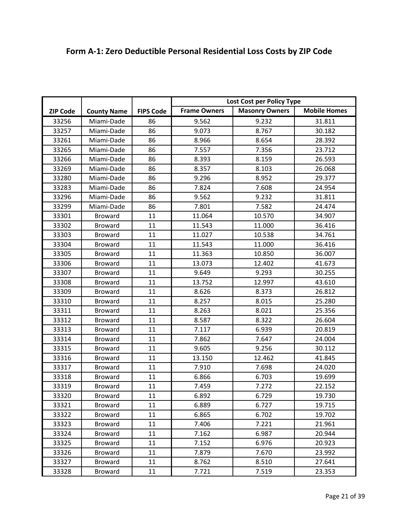|  | Form A-1: Zero Deductible Personal Residential Loss Costs by ZIP Code |
|--|-----------------------------------------------------------------------|
|--|-----------------------------------------------------------------------|

|                 |                    |                  | Lost Cost per Policy Type |                       |                     |
|-----------------|--------------------|------------------|---------------------------|-----------------------|---------------------|
| <b>ZIP Code</b> | <b>County Name</b> | <b>FIPS Code</b> | <b>Frame Owners</b>       | <b>Masonry Owners</b> | <b>Mobile Homes</b> |
| 33256           | Miami-Dade         | 86               | 9.562                     | 9.232                 | 31.811              |
| 33257           | Miami-Dade         | 86               | 9.073                     | 8.767                 | 30.182              |
| 33261           | Miami-Dade         | 86               | 8.966                     | 8.654                 | 28.392              |
| 33265           | Miami-Dade         | 86               | 7.557                     | 7.356                 | 23.712              |
| 33266           | Miami-Dade         | 86               | 8.393                     | 8.159                 | 26.593              |
| 33269           | Miami-Dade         | 86               | 8.357                     | 8.103                 | 26.068              |
| 33280           | Miami-Dade         | 86               | 9.296                     | 8.952                 | 29.377              |
| 33283           | Miami-Dade         | 86               | 7.824                     | 7.608                 | 24.954              |
| 33296           | Miami-Dade         | 86               | 9.562                     | 9.232                 | 31.811              |
| 33299           | Miami-Dade         | 86               | 7.801                     | 7.582                 | 24.474              |
| 33301           | <b>Broward</b>     | 11               | 11.064                    | 10.570                | 34.907              |
| 33302           | <b>Broward</b>     | 11               | 11.543                    | 11.000                | 36.416              |
| 33303           | <b>Broward</b>     | 11               | 11.027                    | 10.538                | 34.761              |
| 33304           | <b>Broward</b>     | 11               | 11.543                    | 11.000                | 36.416              |
| 33305           | <b>Broward</b>     | 11               | 11.363                    | 10.850                | 36.007              |
| 33306           | <b>Broward</b>     | 11               | 13.073                    | 12.402                | 41.673              |
| 33307           | <b>Broward</b>     | 11               | 9.649                     | 9.293                 | 30.255              |
| 33308           | <b>Broward</b>     | 11               | 13.752                    | 12.997                | 43.610              |
| 33309           | <b>Broward</b>     | 11               | 8.626                     | 8.373                 | 26.812              |
| 33310           | <b>Broward</b>     | 11               | 8.257                     | 8.015                 | 25.280              |
| 33311           | <b>Broward</b>     | 11               | 8.263                     | 8.021                 | 25.356              |
| 33312           | <b>Broward</b>     | 11               | 8.587                     | 8.322                 | 26.604              |
| 33313           | <b>Broward</b>     | 11               | 7.117                     | 6.939                 | 20.819              |
| 33314           | <b>Broward</b>     | 11               | 7.862                     | 7.647                 | 24.004              |
| 33315           | <b>Broward</b>     | 11               | 9.605                     | 9.256                 | 30.112              |
| 33316           | <b>Broward</b>     | 11               | 13.150                    | 12.462                | 41.845              |
| 33317           | <b>Broward</b>     | 11               | 7.910                     | 7.698                 | 24.020              |
| 33318           | <b>Broward</b>     | 11               | 6.866                     | 6.703                 | 19.699              |
| 33319           | <b>Broward</b>     | 11               | 7.459                     | 7.272                 | 22.152              |
| 33320           | <b>Broward</b>     | 11               | 6.892                     | 6.729                 | 19.730              |
| 33321           | <b>Broward</b>     | 11               | 6.889                     | 6.727                 | 19.715              |
| 33322           | <b>Broward</b>     | 11               | 6.865                     | 6.702                 | 19.702              |
| 33323           | <b>Broward</b>     | 11               | 7.406                     | 7.221                 | 21.961              |
| 33324           | <b>Broward</b>     | 11               | 7.162                     | 6.987                 | 20.944              |
| 33325           | <b>Broward</b>     | 11               | 7.152                     | 6.976                 | 20.923              |
| 33326           | <b>Broward</b>     | 11               | 7.879                     | 7.670                 | 23.992              |
| 33327           | <b>Broward</b>     | 11               | 8.762                     | 8.510                 | 27.641              |
| 33328           | <b>Broward</b>     | 11               | 7.721                     | 7.519                 | 23.353              |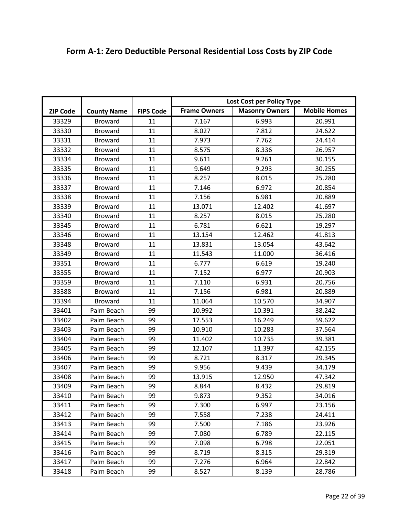|                 |                                      |                  | Lost Cost per Policy Type                                           |        |        |
|-----------------|--------------------------------------|------------------|---------------------------------------------------------------------|--------|--------|
| <b>ZIP Code</b> |                                      | <b>FIPS Code</b> | <b>Mobile Homes</b><br><b>Frame Owners</b><br><b>Masonry Owners</b> |        |        |
| 33329           | <b>County Name</b><br><b>Broward</b> | 11               | 7.167                                                               | 6.993  | 20.991 |
| 33330           | <b>Broward</b>                       | 11               | 8.027                                                               | 7.812  | 24.622 |
|                 |                                      | 11               |                                                                     | 7.762  | 24.414 |
| 33331           | <b>Broward</b>                       | 11               | 7.973                                                               |        |        |
| 33332           | <b>Broward</b>                       |                  | 8.575                                                               | 8.336  | 26.957 |
| 33334           | <b>Broward</b>                       | 11               | 9.611                                                               | 9.261  | 30.155 |
| 33335           | <b>Broward</b>                       | 11               | 9.649                                                               | 9.293  | 30.255 |
| 33336           | <b>Broward</b>                       | 11               | 8.257                                                               | 8.015  | 25.280 |
| 33337           | <b>Broward</b>                       | 11               | 7.146                                                               | 6.972  | 20.854 |
| 33338           | <b>Broward</b>                       | 11               | 7.156                                                               | 6.981  | 20.889 |
| 33339           | <b>Broward</b>                       | 11               | 13.071                                                              | 12.402 | 41.697 |
| 33340           | <b>Broward</b>                       | 11               | 8.257                                                               | 8.015  | 25.280 |
| 33345           | <b>Broward</b>                       | 11               | 6.781                                                               | 6.621  | 19.297 |
| 33346           | <b>Broward</b>                       | 11               | 13.154                                                              | 12.462 | 41.813 |
| 33348           | <b>Broward</b>                       | 11               | 13.831                                                              | 13.054 | 43.642 |
| 33349           | <b>Broward</b>                       | 11               | 11.543                                                              | 11.000 | 36.416 |
| 33351           | <b>Broward</b>                       | 11               | 6.777                                                               | 6.619  | 19.240 |
| 33355           | <b>Broward</b>                       | 11               | 7.152                                                               | 6.977  | 20.903 |
| 33359           | <b>Broward</b>                       | 11               | 7.110                                                               | 6.931  | 20.756 |
| 33388           | <b>Broward</b>                       | 11               | 7.156                                                               | 6.981  | 20.889 |
| 33394           | <b>Broward</b>                       | 11               | 11.064                                                              | 10.570 | 34.907 |
| 33401           | Palm Beach                           | 99               | 10.992                                                              | 10.391 | 38.242 |
| 33402           | Palm Beach                           | 99               | 17.553                                                              | 16.249 | 59.622 |
| 33403           | Palm Beach                           | 99               | 10.910                                                              | 10.283 | 37.564 |
| 33404           | Palm Beach                           | 99               | 11.402                                                              | 10.735 | 39.381 |
| 33405           | Palm Beach                           | 99               | 12.107                                                              | 11.397 | 42.155 |
| 33406           | Palm Beach                           | 99               | 8.721                                                               | 8.317  | 29.345 |
| 33407           | Palm Beach                           | 99               | 9.956                                                               | 9.439  | 34.179 |
| 33408           | Palm Beach                           | 99               | 13.915                                                              | 12.950 | 47.342 |
| 33409           | Palm Beach                           | 99               | 8.844                                                               | 8.432  | 29.819 |
| 33410           | Palm Beach                           | 99               | 9.873                                                               | 9.352  | 34.016 |
| 33411           | Palm Beach                           | 99               | 7.300                                                               | 6.997  | 23.156 |
| 33412           | Palm Beach                           | 99               | 7.558                                                               | 7.238  | 24.411 |
| 33413           | Palm Beach                           | 99               | 7.500                                                               | 7.186  | 23.926 |
| 33414           | Palm Beach                           | 99               | 7.080                                                               | 6.789  | 22.115 |
| 33415           | Palm Beach                           | 99               | 7.098                                                               | 6.798  | 22.051 |
| 33416           | Palm Beach                           | 99               | 8.719                                                               | 8.315  | 29.319 |
| 33417           | Palm Beach                           | 99               | 7.276                                                               | 6.964  | 22.842 |
| 33418           | Palm Beach                           | 99               | 8.527                                                               | 8.139  | 28.786 |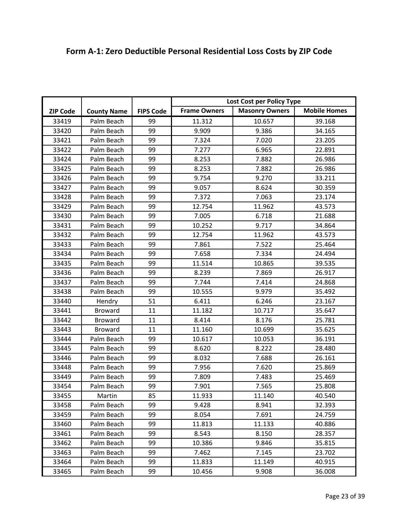|                 |                    |                  | Lost Cost per Policy Type |                       |                     |
|-----------------|--------------------|------------------|---------------------------|-----------------------|---------------------|
| <b>ZIP Code</b> | <b>County Name</b> | <b>FIPS Code</b> | <b>Frame Owners</b>       | <b>Masonry Owners</b> | <b>Mobile Homes</b> |
| 33419           | Palm Beach         | 99               | 11.312                    | 10.657                | 39.168              |
| 33420           | Palm Beach         | 99               | 9.909                     | 9.386                 | 34.165              |
| 33421           | Palm Beach         | 99               | 7.324                     | 7.020                 | 23.205              |
| 33422           | Palm Beach         | 99               | 7.277                     | 6.965                 | 22.891              |
| 33424           | Palm Beach         | 99               | 8.253                     | 7.882                 | 26.986              |
| 33425           | Palm Beach         | 99               | 8.253                     | 7.882                 | 26.986              |
| 33426           | Palm Beach         | 99               | 9.754                     | 9.270                 | 33.211              |
| 33427           | Palm Beach         | 99               | 9.057                     | 8.624                 | 30.359              |
| 33428           | Palm Beach         | 99               | 7.372                     | 7.063                 | 23.174              |
| 33429           | Palm Beach         | 99               | 12.754                    | 11.962                | 43.573              |
| 33430           | Palm Beach         | 99               | 7.005                     | 6.718                 | 21.688              |
| 33431           | Palm Beach         | 99               | 10.252                    | 9.717                 | 34.864              |
| 33432           | Palm Beach         | 99               | 12.754                    | 11.962                | 43.573              |
| 33433           | Palm Beach         | 99               | 7.861                     | 7.522                 | 25.464              |
| 33434           | Palm Beach         | 99               | 7.658                     | 7.334                 | 24.494              |
| 33435           | Palm Beach         | 99               | 11.514                    | 10.865                | 39.535              |
| 33436           | Palm Beach         | 99               | 8.239                     | 7.869                 | 26.917              |
| 33437           | Palm Beach         | 99               | 7.744                     | 7.414                 | 24.868              |
| 33438           | Palm Beach         | 99               | 10.555                    | 9.979                 | 35.492              |
| 33440           | Hendry             | 51               | 6.411                     | 6.246                 | 23.167              |
| 33441           | <b>Broward</b>     | 11               | 11.182                    | 10.717                | 35.647              |
| 33442           | <b>Broward</b>     | 11               | 8.414                     | 8.176                 | 25.781              |
| 33443           | <b>Broward</b>     | 11               | 11.160                    | 10.699                | 35.625              |
| 33444           | Palm Beach         | 99               | 10.617                    | 10.053                | 36.191              |
| 33445           | Palm Beach         | 99               | 8.620                     | 8.222                 | 28.480              |
| 33446           | Palm Beach         | 99               | 8.032                     | 7.688                 | 26.161              |
| 33448           | Palm Beach         | 99               | 7.956                     | 7.620                 | 25.869              |
| 33449           | Palm Beach         | 99               | 7.809                     | 7.483                 | 25.469              |
| 33454           | Palm Beach         | 99               | 7.901                     | 7.565                 | 25.808              |
| 33455           | Martin             | 85               | 11.933                    | 11.140                | 40.540              |
| 33458           | Palm Beach         | 99               | 9.428                     | 8.941                 | 32.393              |
| 33459           | Palm Beach         | 99               | 8.054                     | 7.691                 | 24.759              |
| 33460           | Palm Beach         | 99               | 11.813                    | 11.133                | 40.886              |
| 33461           | Palm Beach         | 99               | 8.543                     | 8.150                 | 28.357              |
| 33462           | Palm Beach         | 99               | 10.386                    | 9.846                 | 35.815              |
| 33463           | Palm Beach         | 99               | 7.462                     | 7.145                 | 23.702              |
| 33464           | Palm Beach         | 99               | 11.833                    | 11.149                | 40.915              |
| 33465           | Palm Beach         | 99               | 10.456                    | 9.908                 | 36.008              |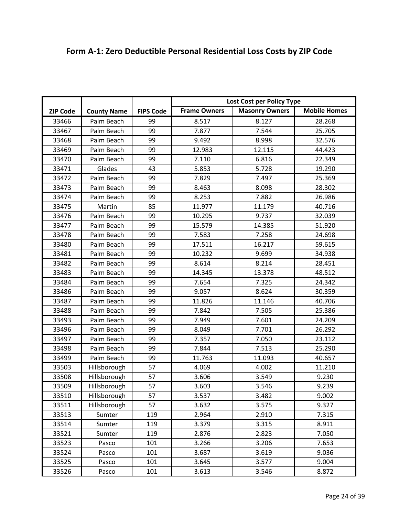|                 |                    |                  | Lost Cost per Policy Type |                       |                     |
|-----------------|--------------------|------------------|---------------------------|-----------------------|---------------------|
| <b>ZIP Code</b> | <b>County Name</b> | <b>FIPS Code</b> | <b>Frame Owners</b>       | <b>Masonry Owners</b> | <b>Mobile Homes</b> |
| 33466           | Palm Beach         | 99               | 8.517                     | 8.127                 | 28.268              |
| 33467           | Palm Beach         | 99               | 7.877                     | 7.544                 | 25.705              |
| 33468           | Palm Beach         | 99               | 9.492                     | 8.998                 | 32.576              |
| 33469           | Palm Beach         | 99               | 12.983                    | 12.115                | 44.423              |
| 33470           | Palm Beach         | 99               | 7.110                     | 6.816                 | 22.349              |
| 33471           | Glades             | 43               | 5.853                     | 5.728                 | 19.290              |
| 33472           | Palm Beach         | 99               | 7.829                     | 7.497                 | 25.369              |
| 33473           | Palm Beach         | 99               | 8.463                     | 8.098                 | 28.302              |
| 33474           | Palm Beach         | 99               | 8.253                     | 7.882                 | 26.986              |
| 33475           | Martin             | 85               | 11.977                    | 11.179                | 40.716              |
| 33476           | Palm Beach         | 99               | 10.295                    | 9.737                 | 32.039              |
| 33477           | Palm Beach         | 99               | 15.579                    | 14.385                | 51.920              |
| 33478           | Palm Beach         | 99               | 7.583                     | 7.258                 | 24.698              |
| 33480           | Palm Beach         | 99               | 17.511                    | 16.217                | 59.615              |
| 33481           | Palm Beach         | 99               | 10.232                    | 9.699                 | 34.938              |
| 33482           | Palm Beach         | 99               | 8.614                     | 8.214                 | 28.451              |
| 33483           | Palm Beach         | 99               | 14.345                    | 13.378                | 48.512              |
| 33484           | Palm Beach         | 99               | 7.654                     | 7.325                 | 24.342              |
| 33486           | Palm Beach         | 99               | 9.057                     | 8.624                 | 30.359              |
| 33487           | Palm Beach         | 99               | 11.826                    | 11.146                | 40.706              |
| 33488           | Palm Beach         | 99               | 7.842                     | 7.505                 | 25.386              |
| 33493           | Palm Beach         | 99               | 7.949                     | 7.601                 | 24.209              |
| 33496           | Palm Beach         | 99               | 8.049                     | 7.701                 | 26.292              |
| 33497           | Palm Beach         | 99               | 7.357                     | 7.050                 | 23.112              |
| 33498           | Palm Beach         | 99               | 7.844                     | 7.513                 | 25.290              |
| 33499           | Palm Beach         | 99               | 11.763                    | 11.093                | 40.657              |
| 33503           | Hillsborough       | 57               | 4.069                     | 4.002                 | 11.210              |
| 33508           | Hillsborough       | 57               | 3.606                     | 3.549                 | 9.230               |
| 33509           | Hillsborough       | 57               | 3.603                     | 3.546                 | 9.239               |
| 33510           | Hillsborough       | 57               | 3.537                     | 3.482                 | 9.002               |
| 33511           | Hillsborough       | 57               | 3.632                     | 3.575                 | 9.327               |
| 33513           | Sumter             | 119              | 2.964                     | 2.910                 | 7.315               |
| 33514           | Sumter             | 119              | 3.379                     | 3.315                 | 8.911               |
| 33521           | Sumter             | 119              | 2.876                     | 2.823                 | 7.050               |
| 33523           | Pasco              | 101              | 3.266                     | 3.206                 | 7.653               |
| 33524           | Pasco              | 101              | 3.687                     | 3.619                 | 9.036               |
| 33525           | Pasco              | 101              | 3.645                     | 3.577                 | 9.004               |
| 33526           | Pasco              | 101              | 3.613                     | 3.546                 | 8.872               |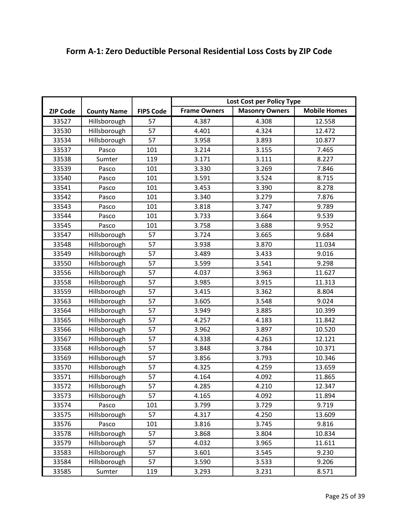| Lost Cost per Policy Type<br><b>Frame Owners</b><br><b>Mobile Homes</b><br><b>Masonry Owners</b><br><b>FIPS Code</b><br><b>ZIP Code</b><br><b>County Name</b> |  |
|---------------------------------------------------------------------------------------------------------------------------------------------------------------|--|
|                                                                                                                                                               |  |
|                                                                                                                                                               |  |
| 57<br>4.387<br>4.308<br>12.558<br>33527<br>Hillsborough                                                                                                       |  |
| 33530<br>Hillsborough<br>57<br>4.401<br>4.324<br>12.472                                                                                                       |  |
| 57<br>33534<br>3.958<br>Hillsborough<br>3.893<br>10.877                                                                                                       |  |
| 33537<br>101<br>3.214<br>3.155<br>Pasco<br>7.465                                                                                                              |  |
| 119<br>3.171<br>8.227<br>33538<br>Sumter<br>3.111                                                                                                             |  |
| 33539<br>101<br>3.330<br>3.269<br>Pasco<br>7.846                                                                                                              |  |
| 101<br>8.715<br>33540<br>3.591<br>3.524<br>Pasco                                                                                                              |  |
| 33541<br>101<br>3.453<br>3.390<br>8.278<br>Pasco                                                                                                              |  |
| 33542<br>101<br>3.340<br>3.279<br>7.876<br>Pasco                                                                                                              |  |
| 101<br>33543<br>3.818<br>3.747<br>9.789<br>Pasco                                                                                                              |  |
| 33544<br>101<br>3.733<br>3.664<br>9.539<br>Pasco                                                                                                              |  |
| 33545<br>101<br>3.758<br>3.688<br>9.952<br>Pasco                                                                                                              |  |
| 57<br>3.724<br>3.665<br>9.684<br>33547<br>Hillsborough                                                                                                        |  |
| 57<br>33548<br>Hillsborough<br>3.938<br>3.870<br>11.034                                                                                                       |  |
| 57<br>33549<br>Hillsborough<br>3.489<br>3.433<br>9.016                                                                                                        |  |
| 57<br>3.599<br>33550<br>Hillsborough<br>3.541<br>9.298                                                                                                        |  |
| 57<br>33556<br>4.037<br>3.963<br>11.627<br>Hillsborough                                                                                                       |  |
| 57<br>33558<br>Hillsborough<br>3.985<br>3.915<br>11.313                                                                                                       |  |
| 57<br>33559<br>Hillsborough<br>3.415<br>3.362<br>8.804                                                                                                        |  |
| 57<br>3.605<br>33563<br>Hillsborough<br>3.548<br>9.024                                                                                                        |  |
| 57<br>33564<br>Hillsborough<br>3.949<br>3.885<br>10.399                                                                                                       |  |
| 57<br>33565<br>4.257<br>11.842<br>Hillsborough<br>4.183                                                                                                       |  |
| 57<br>3.962<br>10.520<br>33566<br>Hillsborough<br>3.897                                                                                                       |  |
| 57<br>33567<br>4.338<br>4.263<br>12.121<br>Hillsborough                                                                                                       |  |
| 57<br>33568<br>Hillsborough<br>3.848<br>3.784<br>10.371                                                                                                       |  |
| 57<br>33569<br>Hillsborough<br>3.856<br>3.793<br>10.346                                                                                                       |  |
| 33570<br>Hillsborough<br>57<br>4.325<br>4.259<br>13.659                                                                                                       |  |
| 57<br>33571<br>Hillsborough<br>4.164<br>11.865<br>4.092                                                                                                       |  |
| 33572<br>Hillsborough<br>57<br>4.285<br>4.210<br>12.347                                                                                                       |  |
| 57<br>33573<br>Hillsborough<br>4.165<br>4.092<br>11.894                                                                                                       |  |
| 101<br>3.799<br>3.729<br>9.719<br>33574<br>Pasco                                                                                                              |  |
| 57<br>33575<br>Hillsborough<br>4.317<br>4.250<br>13.609                                                                                                       |  |
| 33576<br>Pasco<br>101<br>3.816<br>3.745<br>9.816                                                                                                              |  |
| Hillsborough<br>57<br>3.868<br>33578<br>3.804<br>10.834                                                                                                       |  |
| Hillsborough<br>33579<br>4.032<br>57<br>3.965<br>11.611                                                                                                       |  |
| 57<br>33583<br>Hillsborough<br>3.601<br>3.545<br>9.230                                                                                                        |  |
| Hillsborough<br>33584<br>57<br>3.590<br>9.206<br>3.533                                                                                                        |  |

33585 | Sumter | 119 | 3.293 | 3.231 | 8.571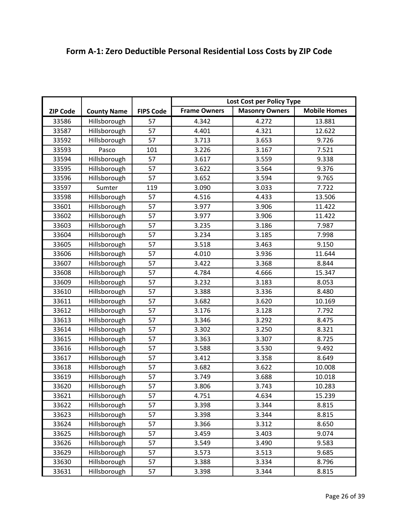|                 |                    |                  | Lost Cost per Policy Type                                           |       |        |
|-----------------|--------------------|------------------|---------------------------------------------------------------------|-------|--------|
| <b>ZIP Code</b> | <b>County Name</b> | <b>FIPS Code</b> | <b>Mobile Homes</b><br><b>Masonry Owners</b><br><b>Frame Owners</b> |       |        |
| 33586           | Hillsborough       | 57               | 4.342                                                               | 4.272 | 13.881 |
| 33587           |                    | 57               | 4.401                                                               | 4.321 | 12.622 |
|                 | Hillsborough       | 57               |                                                                     |       | 9.726  |
| 33592           | Hillsborough       |                  | 3.713                                                               | 3.653 |        |
| 33593           | Pasco              | 101              | 3.226                                                               | 3.167 | 7.521  |
| 33594           | Hillsborough       | 57               | 3.617                                                               | 3.559 | 9.338  |
| 33595           | Hillsborough       | 57               | 3.622                                                               | 3.564 | 9.376  |
| 33596           | Hillsborough       | 57               | 3.652                                                               | 3.594 | 9.765  |
| 33597           | Sumter             | 119              | 3.090                                                               | 3.033 | 7.722  |
| 33598           | Hillsborough       | 57               | 4.516                                                               | 4.433 | 13.506 |
| 33601           | Hillsborough       | 57               | 3.977                                                               | 3.906 | 11.422 |
| 33602           | Hillsborough       | 57               | 3.977                                                               | 3.906 | 11.422 |
| 33603           | Hillsborough       | 57               | 3.235                                                               | 3.186 | 7.987  |
| 33604           | Hillsborough       | 57               | 3.234                                                               | 3.185 | 7.998  |
| 33605           | Hillsborough       | 57               | 3.518                                                               | 3.463 | 9.150  |
| 33606           | Hillsborough       | 57               | 4.010                                                               | 3.936 | 11.644 |
| 33607           | Hillsborough       | 57               | 3.422                                                               | 3.368 | 8.844  |
| 33608           | Hillsborough       | 57               | 4.784                                                               | 4.666 | 15.347 |
| 33609           | Hillsborough       | 57               | 3.232                                                               | 3.183 | 8.053  |
| 33610           | Hillsborough       | 57               | 3.388                                                               | 3.336 | 8.480  |
| 33611           | Hillsborough       | 57               | 3.682                                                               | 3.620 | 10.169 |
| 33612           | Hillsborough       | 57               | 3.176                                                               | 3.128 | 7.792  |
| 33613           | Hillsborough       | 57               | 3.346                                                               | 3.292 | 8.475  |
| 33614           | Hillsborough       | 57               | 3.302                                                               | 3.250 | 8.321  |
| 33615           | Hillsborough       | 57               | 3.363                                                               | 3.307 | 8.725  |
| 33616           | Hillsborough       | 57               | 3.588                                                               | 3.530 | 9.492  |
| 33617           | Hillsborough       | 57               | 3.412                                                               | 3.358 | 8.649  |
| 33618           | Hillsborough       | 57               | 3.682                                                               | 3.622 | 10.008 |
| 33619           | Hillsborough       | 57               | 3.749                                                               | 3.688 | 10.018 |
| 33620           | Hillsborough       | 57               | 3.806                                                               | 3.743 | 10.283 |
| 33621           | Hillsborough       | 57               | 4.751                                                               | 4.634 | 15.239 |
| 33622           | Hillsborough       | 57               | 3.398                                                               | 3.344 | 8.815  |
| 33623           | Hillsborough       | 57               | 3.398                                                               | 3.344 | 8.815  |
| 33624           | Hillsborough       | 57               | 3.366                                                               | 3.312 | 8.650  |
| 33625           | Hillsborough       | 57               | 3.459                                                               | 3.403 | 9.074  |
| 33626           | Hillsborough       | 57               | 3.549                                                               | 3.490 | 9.583  |
| 33629           | Hillsborough       | 57               | 3.573                                                               | 3.513 | 9.685  |
| 33630           | Hillsborough       | 57               | 3.388                                                               | 3.334 | 8.796  |
| 33631           | Hillsborough       | 57               | 3.398                                                               | 3.344 | 8.815  |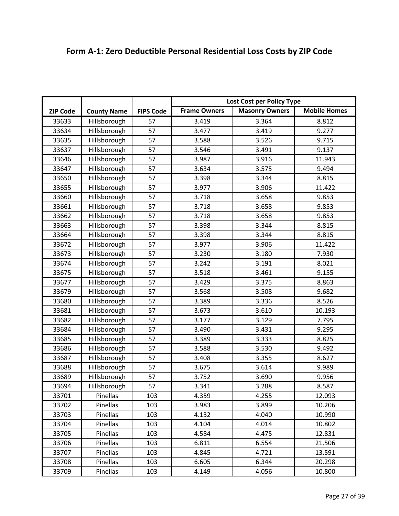|                 |                    |                  | Lost Cost per Policy Type |                       |                     |
|-----------------|--------------------|------------------|---------------------------|-----------------------|---------------------|
| <b>ZIP Code</b> | <b>County Name</b> | <b>FIPS Code</b> | <b>Frame Owners</b>       | <b>Masonry Owners</b> | <b>Mobile Homes</b> |
| 33633           | Hillsborough       | 57               | 3.419                     | 3.364                 | 8.812               |
| 33634           | Hillsborough       | 57               | 3.477                     | 3.419                 | 9.277               |
| 33635           | Hillsborough       | 57               | 3.588                     | 3.526                 | 9.715               |
| 33637           | Hillsborough       | 57               | 3.546                     | 3.491                 | 9.137               |
| 33646           | Hillsborough       | 57               | 3.987                     | 3.916                 | 11.943              |
| 33647           | Hillsborough       | 57               | 3.634                     | 3.575                 | 9.494               |
| 33650           | Hillsborough       | 57               | 3.398                     | 3.344                 | 8.815               |
| 33655           | Hillsborough       | 57               | 3.977                     | 3.906                 | 11.422              |
| 33660           | Hillsborough       | 57               | 3.718                     | 3.658                 | 9.853               |
| 33661           | Hillsborough       | 57               | 3.718                     | 3.658                 | 9.853               |
| 33662           | Hillsborough       | 57               | 3.718                     | 3.658                 | 9.853               |
| 33663           | Hillsborough       | 57               | 3.398                     | 3.344                 | 8.815               |
| 33664           | Hillsborough       | 57               | 3.398                     | 3.344                 | 8.815               |
| 33672           | Hillsborough       | 57               | 3.977                     | 3.906                 | 11.422              |
| 33673           | Hillsborough       | 57               | 3.230                     | 3.180                 | 7.930               |
| 33674           | Hillsborough       | 57               | 3.242                     | 3.191                 | 8.021               |
| 33675           | Hillsborough       | 57               | 3.518                     | 3.461                 | 9.155               |
| 33677           | Hillsborough       | 57               | 3.429                     | 3.375                 | 8.863               |
| 33679           | Hillsborough       | 57               | 3.568                     | 3.508                 | 9.682               |
| 33680           | Hillsborough       | 57               | 3.389                     | 3.336                 | 8.526               |
| 33681           | Hillsborough       | 57               | 3.673                     | 3.610                 | 10.193              |
| 33682           | Hillsborough       | 57               | 3.177                     | 3.129                 | 7.795               |
| 33684           | Hillsborough       | 57               | 3.490                     | 3.431                 | 9.295               |
| 33685           | Hillsborough       | 57               | 3.389                     | 3.333                 | 8.825               |
| 33686           | Hillsborough       | 57               | 3.588                     | 3.530                 | 9.492               |
| 33687           | Hillsborough       | 57               | 3.408                     | 3.355                 | 8.627               |
| 33688           | Hillsborough       | 57               | 3.675                     | 3.614                 | 9.989               |
| 33689           | Hillsborough       | 57               | 3.752                     | 3.690                 | 9.956               |
| 33694           | Hillsborough       | 57               | 3.341                     | 3.288                 | 8.587               |
| 33701           | Pinellas           | 103              | 4.359                     | 4.255                 | 12.093              |
| 33702           | Pinellas           | 103              | 3.983                     | 3.899                 | 10.206              |
| 33703           | Pinellas           | 103              | 4.132                     | 4.040                 | 10.990              |
| 33704           | Pinellas           | 103              | 4.104                     | 4.014                 | 10.802              |
| 33705           | Pinellas           | 103              | 4.584                     | 4.475                 | 12.831              |
| 33706           | Pinellas           | 103              | 6.811                     | 6.554                 | 21.506              |
| 33707           | Pinellas           | 103              | 4.845                     | 4.721                 | 13.591              |
| 33708           | Pinellas           | 103              | 6.605                     | 6.344                 | 20.298              |
| 33709           | Pinellas           | 103              | 4.149                     | 4.056                 | 10.800              |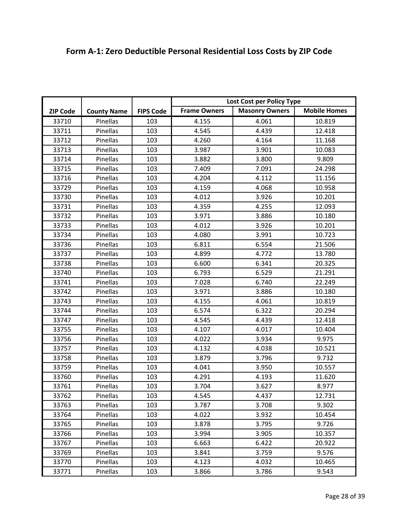|  | Form A-1: Zero Deductible Personal Residential Loss Costs by ZIP Code |
|--|-----------------------------------------------------------------------|
|--|-----------------------------------------------------------------------|

|                 |                    |                  | Lost Cost per Policy Type |                       |                     |
|-----------------|--------------------|------------------|---------------------------|-----------------------|---------------------|
| <b>ZIP Code</b> | <b>County Name</b> | <b>FIPS Code</b> | <b>Frame Owners</b>       | <b>Masonry Owners</b> | <b>Mobile Homes</b> |
| 33710           | Pinellas           | 103              | 4.155                     | 4.061                 | 10.819              |
| 33711           | Pinellas           | 103              | 4.545                     | 4.439                 | 12.418              |
| 33712           | Pinellas           | 103              | 4.260                     | 4.164                 | 11.168              |
| 33713           | Pinellas           | 103              | 3.987                     | 3.901                 | 10.083              |
| 33714           | Pinellas           | 103              | 3.882                     | 3.800                 | 9.809               |
| 33715           | Pinellas           | 103              | 7.409                     | 7.091                 | 24.298              |
| 33716           | Pinellas           | 103              | 4.204                     | 4.112                 | 11.156              |
| 33729           | Pinellas           | 103              | 4.159                     | 4.068                 | 10.958              |
| 33730           | Pinellas           | 103              | 4.012                     | 3.926                 | 10.201              |
| 33731           | Pinellas           | 103              | 4.359                     | 4.255                 | 12.093              |
| 33732           | Pinellas           | 103              | 3.971                     | 3.886                 | 10.180              |
| 33733           | Pinellas           | 103              | 4.012                     | 3.926                 | 10.201              |
| 33734           | Pinellas           | 103              | 4.080                     | 3.991                 | 10.723              |
| 33736           | Pinellas           | 103              | 6.811                     | 6.554                 | 21.506              |
| 33737           | Pinellas           | 103              | 4.899                     | 4.772                 | 13.780              |
| 33738           | Pinellas           | 103              | 6.600                     | 6.341                 | 20.325              |
| 33740           | Pinellas           | 103              | 6.793                     | 6.529                 | 21.291              |
| 33741           | Pinellas           | 103              | 7.028                     | 6.740                 | 22.249              |
| 33742           | Pinellas           | 103              | 3.971                     | 3.886                 | 10.180              |
| 33743           | Pinellas           | 103              | 4.155                     | 4.061                 | 10.819              |
| 33744           | Pinellas           | 103              | 6.574                     | 6.322                 | 20.294              |
| 33747           | Pinellas           | 103              | 4.545                     | 4.439                 | 12.418              |
| 33755           | Pinellas           | 103              | 4.107                     | 4.017                 | 10.404              |
| 33756           | Pinellas           | 103              | 4.022                     | 3.934                 | 9.975               |
| 33757           | Pinellas           | 103              | 4.132                     | 4.038                 | 10.521              |
| 33758           | Pinellas           | 103              | 3.879                     | 3.796                 | 9.732               |
| 33759           | Pinellas           | 103              | 4.041                     | 3.950                 | 10.557              |
| 33760           | Pinellas           | 103              | 4.291                     | 4.193                 | 11.620              |
| 33761           | Pinellas           | 103              | 3.704                     | 3.627                 | 8.977               |
| 33762           | Pinellas           | 103              | 4.545                     | 4.437                 | 12.731              |
| 33763           | Pinellas           | 103              | 3.787                     | 3.708                 | 9.302               |
| 33764           | Pinellas           | 103              | 4.022                     | 3.932                 | 10.454              |
| 33765           | Pinellas           | 103              | 3.878                     | 3.795                 | 9.726               |
| 33766           | Pinellas           | 103              | 3.994                     | 3.905                 | 10.357              |
| 33767           | Pinellas           | 103              | 6.663                     | 6.422                 | 20.922              |
| 33769           | Pinellas           | 103              | 3.841                     | 3.759                 | 9.576               |
| 33770           | Pinellas           | 103              | 4.123                     | 4.032                 | 10.465              |
| 33771           | Pinellas           | 103              | 3.866                     | 3.786                 | 9.543               |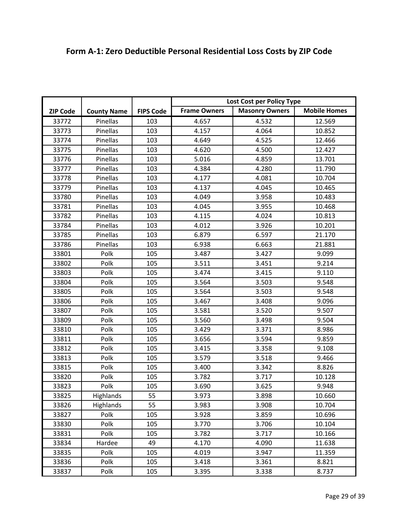|                 |                    |                  | Lost Cost per Policy Type |                       |                     |
|-----------------|--------------------|------------------|---------------------------|-----------------------|---------------------|
| <b>ZIP Code</b> | <b>County Name</b> | <b>FIPS Code</b> | <b>Frame Owners</b>       | <b>Masonry Owners</b> | <b>Mobile Homes</b> |
| 33772           | Pinellas           | 103              | 4.657                     | 4.532                 | 12.569              |
| 33773           | Pinellas           | 103              | 4.157                     | 4.064                 | 10.852              |
| 33774           | Pinellas           | 103              | 4.649                     | 4.525                 | 12.466              |
| 33775           | Pinellas           | 103              | 4.620                     | 4.500                 | 12.427              |
| 33776           | Pinellas           | 103              | 5.016                     | 4.859                 | 13.701              |
| 33777           | Pinellas           | 103              | 4.384                     | 4.280                 | 11.790              |
| 33778           | Pinellas           | 103              | 4.177                     | 4.081                 | 10.704              |
| 33779           | Pinellas           | 103              | 4.137                     | 4.045                 | 10.465              |
| 33780           | Pinellas           | 103              | 4.049                     | 3.958                 | 10.483              |
| 33781           | Pinellas           | 103              | 4.045                     | 3.955                 | 10.468              |
| 33782           | Pinellas           | 103              | 4.115                     | 4.024                 | 10.813              |
| 33784           | Pinellas           | 103              | 4.012                     | 3.926                 | 10.201              |
| 33785           | Pinellas           | 103              | 6.879                     | 6.597                 | 21.170              |
| 33786           | Pinellas           | 103              | 6.938                     | 6.663                 | 21.881              |
| 33801           | Polk               | 105              | 3.487                     | 3.427                 | 9.099               |
| 33802           | Polk               | 105              | 3.511                     | 3.451                 | 9.214               |
| 33803           | Polk               | 105              | 3.474                     | 3.415                 | 9.110               |
| 33804           | Polk               | 105              | 3.564                     | 3.503                 | 9.548               |
| 33805           | Polk               | 105              | 3.564                     | 3.503                 | 9.548               |
| 33806           | Polk               | 105              | 3.467                     | 3.408                 | 9.096               |
| 33807           | Polk               | 105              | 3.581                     | 3.520                 | 9.507               |
| 33809           | Polk               | 105              | 3.560                     | 3.498                 | 9.504               |
| 33810           | Polk               | 105              | 3.429                     | 3.371                 | 8.986               |
| 33811           | Polk               | 105              | 3.656                     | 3.594                 | 9.859               |
| 33812           | Polk               | 105              | 3.415                     | 3.358                 | 9.108               |
| 33813           | Polk               | 105              | 3.579                     | 3.518                 | 9.466               |
| 33815           | Polk               | 105              | 3.400                     | 3.342                 | 8.826               |
| 33820           | Polk               | 105              | 3.782                     | 3.717                 | 10.128              |
| 33823           | Polk               | 105              | 3.690                     | 3.625                 | 9.948               |
| 33825           | Highlands          | 55               | 3.973                     | 3.898                 | 10.660              |
| 33826           | Highlands          | 55               | 3.983                     | 3.908                 | 10.704              |
| 33827           | Polk               | 105              | 3.928                     | 3.859                 | 10.696              |
| 33830           | Polk               | 105              | 3.770                     | 3.706                 | 10.104              |
| 33831           | Polk               | 105              | 3.782                     | 3.717                 | 10.166              |
| 33834           | Hardee             | 49               | 4.170                     | 4.090                 | 11.638              |
| 33835           | Polk               | 105              | 4.019                     | 3.947                 | 11.359              |
| 33836           | Polk               | 105              | 3.418                     | 3.361                 | 8.821               |
| 33837           | Polk               | 105              | 3.395                     | 3.338                 | 8.737               |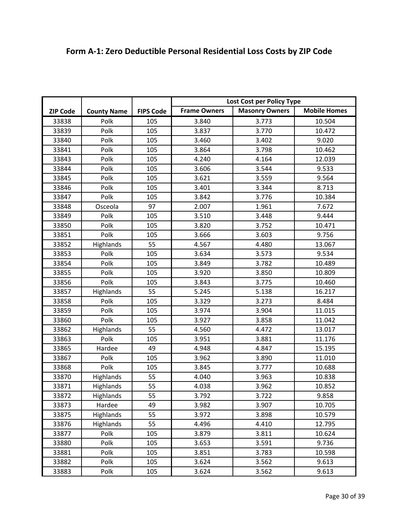|                 |                    |                  | Lost Cost per Policy Type |                       |                     |
|-----------------|--------------------|------------------|---------------------------|-----------------------|---------------------|
| <b>ZIP Code</b> | <b>County Name</b> | <b>FIPS Code</b> | <b>Frame Owners</b>       | <b>Masonry Owners</b> | <b>Mobile Homes</b> |
| 33838           | Polk               | 105              | 3.840                     | 3.773                 | 10.504              |
| 33839           | Polk               | 105              | 3.837                     | 3.770                 | 10.472              |
| 33840           | Polk               | 105              | 3.460                     | 3.402                 | 9.020               |
| 33841           | Polk               | 105              | 3.864                     | 3.798                 | 10.462              |
| 33843           | Polk               | 105              | 4.240                     | 4.164                 | 12.039              |
| 33844           | Polk               | 105              | 3.606                     | 3.544                 | 9.533               |
| 33845           | Polk               | 105              | 3.621                     | 3.559                 | 9.564               |
| 33846           | Polk               | 105              | 3.401                     | 3.344                 | 8.713               |
| 33847           | Polk               | 105              | 3.842                     | 3.776                 | 10.384              |
| 33848           | Osceola            | 97               | 2.007                     | 1.961                 | 7.672               |
| 33849           | Polk               | 105              | 3.510                     | 3.448                 | 9.444               |
| 33850           | Polk               | 105              | 3.820                     | 3.752                 | 10.471              |
| 33851           | Polk               | 105              | 3.666                     | 3.603                 | 9.756               |
| 33852           | Highlands          | 55               | 4.567                     | 4.480                 | 13.067              |
| 33853           | Polk               | 105              | 3.634                     | 3.573                 | 9.534               |
| 33854           | Polk               | 105              | 3.849                     | 3.782                 | 10.489              |
| 33855           | Polk               | 105              | 3.920                     | 3.850                 | 10.809              |
| 33856           | Polk               | 105              | 3.843                     | 3.775                 | 10.460              |
| 33857           | Highlands          | 55               | 5.245                     | 5.138                 | 16.217              |
| 33858           | Polk               | 105              | 3.329                     | 3.273                 | 8.484               |
| 33859           | Polk               | 105              | 3.974                     | 3.904                 | 11.015              |
| 33860           | Polk               | 105              | 3.927                     | 3.858                 | 11.042              |
| 33862           | Highlands          | 55               | 4.560                     | 4.472                 | 13.017              |
| 33863           | Polk               | 105              | 3.951                     | 3.881                 | 11.176              |
| 33865           | Hardee             | 49               | 4.948                     | 4.847                 | 15.195              |
| 33867           | Polk               | 105              | 3.962                     | 3.890                 | 11.010              |
| 33868           | Polk               | 105              | 3.845                     | 3.777                 | 10.688              |
| 33870           | Highlands          | 55               | 4.040                     | 3.963                 | 10.838              |
| 33871           | Highlands          | 55               | 4.038                     | 3.962                 | 10.852              |
| 33872           | Highlands          | 55               | 3.792                     | 3.722                 | 9.858               |
| 33873           | Hardee             | 49               | 3.982                     | 3.907                 | 10.705              |
| 33875           | Highlands          | 55               | 3.972                     | 3.898                 | 10.579              |
| 33876           | Highlands          | 55               | 4.496                     | 4.410                 | 12.795              |
| 33877           | Polk               | 105              | 3.879                     | 3.811                 | 10.624              |
| 33880           | Polk               | 105              | 3.653                     | 3.591                 | 9.736               |
| 33881           | Polk               | 105              | 3.851                     | 3.783                 | 10.598              |
| 33882           | Polk               | 105              | 3.624                     | 3.562                 | 9.613               |
| 33883           | Polk               | 105              | 3.624                     | 3.562                 | 9.613               |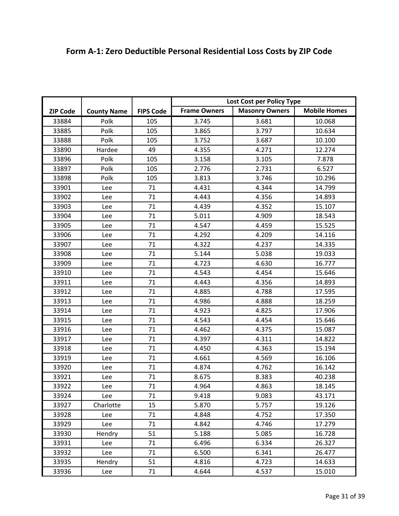|                 |                    |                  | Lost Cost per Policy Type                                           |       |        |
|-----------------|--------------------|------------------|---------------------------------------------------------------------|-------|--------|
| <b>ZIP Code</b> | <b>County Name</b> | <b>FIPS Code</b> | <b>Mobile Homes</b><br><b>Frame Owners</b><br><b>Masonry Owners</b> |       |        |
| 33884           | Polk               | 105              | 3.745                                                               | 3.681 | 10.068 |
|                 | Polk               | 105              | 3.865                                                               | 3.797 | 10.634 |
| 33885           | Polk               |                  |                                                                     |       |        |
| 33888           |                    | 105              | 3.752                                                               | 3.687 | 10.100 |
| 33890           | Hardee             | 49               | 4.355                                                               | 4.271 | 12.274 |
| 33896           | Polk               | 105              | 3.158                                                               | 3.105 | 7.878  |
| 33897           | Polk               | 105              | 2.776                                                               | 2.731 | 6.527  |
| 33898           | Polk               | 105              | 3.813                                                               | 3.746 | 10.296 |
| 33901           | Lee                | 71               | 4.431                                                               | 4.344 | 14.799 |
| 33902           | Lee                | 71               | 4.443                                                               | 4.356 | 14.893 |
| 33903           | Lee                | 71               | 4.439                                                               | 4.352 | 15.107 |
| 33904           | Lee                | 71               | 5.011                                                               | 4.909 | 18.543 |
| 33905           | Lee                | 71               | 4.547                                                               | 4.459 | 15.525 |
| 33906           | Lee                | 71               | 4.292                                                               | 4.209 | 14.116 |
| 33907           | Lee                | 71               | 4.322                                                               | 4.237 | 14.335 |
| 33908           | Lee                | 71               | 5.144                                                               | 5.038 | 19.033 |
| 33909           | Lee                | 71               | 4.723                                                               | 4.630 | 16.777 |
| 33910           | Lee                | 71               | 4.543                                                               | 4.454 | 15.646 |
| 33911           | Lee                | 71               | 4.443                                                               | 4.356 | 14.893 |
| 33912           | Lee                | 71               | 4.885                                                               | 4.788 | 17.595 |
| 33913           | Lee                | 71               | 4.986                                                               | 4.888 | 18.259 |
| 33914           | Lee                | 71               | 4.923                                                               | 4.825 | 17.906 |
| 33915           | Lee                | 71               | 4.543                                                               | 4.454 | 15.646 |
| 33916           | Lee                | 71               | 4.462                                                               | 4.375 | 15.087 |
| 33917           | Lee                | 71               | 4.397                                                               | 4.311 | 14.822 |
| 33918           | Lee                | 71               | 4.450                                                               | 4.363 | 15.194 |
| 33919           | Lee                | 71               | 4.661                                                               | 4.569 | 16.106 |
| 33920           | Lee                | 71               | 4.874                                                               | 4.762 | 16.142 |
| 33921           | Lee                | 71               | 8.675                                                               | 8.383 | 40.238 |
| 33922           | Lee                | 71               | 4.964                                                               | 4.863 | 18.145 |
| 33924           | Lee                | 71               | 9.418                                                               | 9.083 | 43.171 |
| 33927           | Charlotte          | 15               | 5.870                                                               | 5.757 | 19.126 |
| 33928           | Lee                | 71               | 4.848                                                               | 4.752 | 17.350 |
| 33929           | Lee                | 71               | 4.842                                                               | 4.746 | 17.279 |
| 33930           | Hendry             | 51               | 5.188                                                               | 5.085 | 16.728 |
| 33931           | Lee                | 71               | 6.496                                                               | 6.334 | 26.327 |
| 33932           | Lee                | 71               | 6.500                                                               | 6.341 | 26.477 |
| 33935           | Hendry             | 51               | 4.816                                                               | 4.723 | 14.633 |
| 33936           | Lee                | 71               | 4.644                                                               | 4.537 | 15.010 |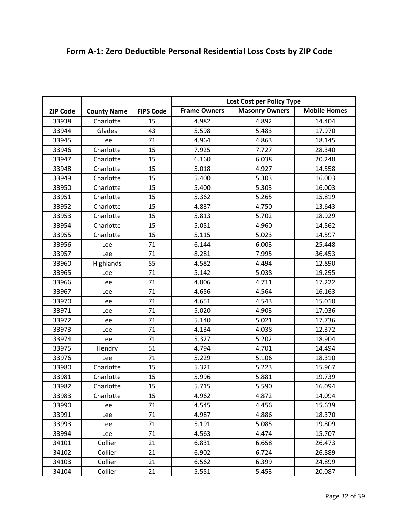| Form A-1: Zero Deductible Personal Residential Loss Costs by ZIP Code |  |
|-----------------------------------------------------------------------|--|
|-----------------------------------------------------------------------|--|

|                 |                    |                  | Lost Cost per Policy Type |                       |                     |
|-----------------|--------------------|------------------|---------------------------|-----------------------|---------------------|
| <b>ZIP Code</b> | <b>County Name</b> | <b>FIPS Code</b> | <b>Frame Owners</b>       | <b>Masonry Owners</b> | <b>Mobile Homes</b> |
| 33938           | Charlotte          | 15               | 4.982                     | 4.892                 | 14.404              |
| 33944           | Glades             | 43               | 5.598                     | 5.483                 | 17.970              |
| 33945           | Lee                | 71               | 4.964                     | 4.863                 | 18.145              |
| 33946           | Charlotte          | 15               | 7.925                     | 7.727                 | 28.340              |
| 33947           | Charlotte          | 15               | 6.160                     | 6.038                 | 20.248              |
| 33948           | Charlotte          | 15               | 5.018                     | 4.927                 | 14.558              |
| 33949           | Charlotte          | 15               | 5.400                     | 5.303                 | 16.003              |
| 33950           | Charlotte          | 15               | 5.400                     | 5.303                 | 16.003              |
| 33951           | Charlotte          | 15               | 5.362                     | 5.265                 | 15.819              |
| 33952           | Charlotte          | 15               | 4.837                     | 4.750                 | 13.643              |
| 33953           | Charlotte          | 15               | 5.813                     | 5.702                 | 18.929              |
| 33954           | Charlotte          | 15               | 5.051                     | 4.960                 | 14.562              |
| 33955           | Charlotte          | 15               | 5.115                     | 5.023                 | 14.597              |
| 33956           | Lee                | 71               | 6.144                     | 6.003                 | 25.448              |
| 33957           | Lee                | 71               | 8.281                     | 7.995                 | 36.453              |
| 33960           | Highlands          | 55               | 4.582                     | 4.494                 | 12.890              |
| 33965           | Lee                | 71               | 5.142                     | 5.038                 | 19.295              |
| 33966           | Lee                | 71               | 4.806                     | 4.711                 | 17.222              |
| 33967           | Lee                | 71               | 4.656                     | 4.564                 | 16.163              |
| 33970           | Lee                | 71               | 4.651                     | 4.543                 | 15.010              |
| 33971           | Lee                | 71               | 5.020                     | 4.903                 | 17.036              |
| 33972           | Lee                | 71               | 5.140                     | 5.021                 | 17.736              |
| 33973           | Lee                | 71               | 4.134                     | 4.038                 | 12.372              |
| 33974           | Lee                | 71               | 5.327                     | 5.202                 | 18.904              |
| 33975           | Hendry             | 51               | 4.794                     | 4.701                 | 14.494              |
| 33976           | Lee                | 71               | 5.229                     | 5.106                 | 18.310              |
| 33980           | Charlotte          | 15               | 5.321                     | 5.223                 | 15.967              |
| 33981           | Charlotte          | 15               | 5.996                     | 5.881                 | 19.739              |
| 33982           | Charlotte          | 15               | 5.715                     | 5.590                 | 16.094              |
| 33983           | Charlotte          | 15               | 4.962                     | 4.872                 | 14.094              |
| 33990           | Lee                | 71               | 4.545                     | 4.456                 | 15.639              |
| 33991           | Lee                | 71               | 4.987                     | 4.886                 | 18.370              |
| 33993           | Lee                | 71               | 5.191                     | 5.085                 | 19.809              |
| 33994           | Lee                | 71               | 4.563                     | 4.474                 | 15.707              |
| 34101           | Collier            | 21               | 6.831                     | 6.658                 | 26.473              |
| 34102           | Collier            | 21               | 6.902                     | 6.724                 | 26.889              |
| 34103           | Collier            | 21               | 6.562                     | 6.399                 | 24.899              |
| 34104           | Collier            | 21               | 5.551                     | 5.453                 | 20.087              |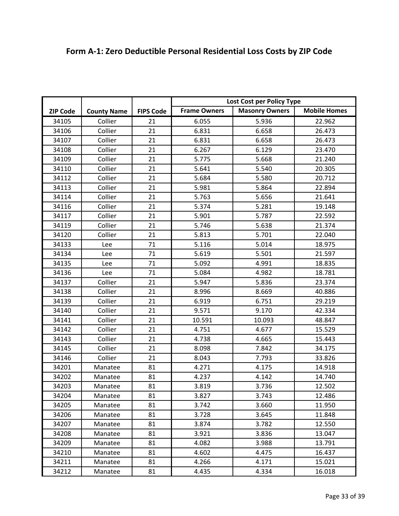|                 |                    |                  | Lost Cost per Policy Type |                       |                     |
|-----------------|--------------------|------------------|---------------------------|-----------------------|---------------------|
| <b>ZIP Code</b> | <b>County Name</b> | <b>FIPS Code</b> | <b>Frame Owners</b>       | <b>Masonry Owners</b> | <b>Mobile Homes</b> |
| 34105           | Collier            | 21               | 6.055                     | 5.936                 | 22.962              |
| 34106           | Collier            | 21               | 6.831                     | 6.658                 | 26.473              |
| 34107           | Collier            | 21               | 6.831                     | 6.658                 | 26.473              |
| 34108           | Collier            | 21               | 6.267                     | 6.129                 | 23.470              |
| 34109           | Collier            | 21               | 5.775                     | 5.668                 | 21.240              |
| 34110           | Collier            | 21               | 5.641                     | 5.540                 | 20.305              |
| 34112           | Collier            | 21               | 5.684                     | 5.580                 | 20.712              |
| 34113           | Collier            | 21               | 5.981                     | 5.864                 | 22.894              |
| 34114           | Collier            | 21               | 5.763                     | 5.656                 | 21.641              |
| 34116           | Collier            | 21               | 5.374                     | 5.281                 | 19.148              |
| 34117           | Collier            | 21               | 5.901                     | 5.787                 | 22.592              |
| 34119           | Collier            | 21               | 5.746                     | 5.638                 | 21.374              |
| 34120           | Collier            | 21               | 5.813                     | 5.701                 | 22.040              |
| 34133           | Lee                | 71               | 5.116                     | 5.014                 | 18.975              |
| 34134           | Lee                | 71               | 5.619                     | 5.501                 | 21.597              |
| 34135           | Lee                | 71               | 5.092                     | 4.991                 | 18.835              |
| 34136           | Lee                | 71               | 5.084                     | 4.982                 | 18.781              |
| 34137           | Collier            | 21               | 5.947                     | 5.836                 | 23.374              |
| 34138           | Collier            | 21               | 8.996                     | 8.669                 | 40.886              |
| 34139           | Collier            | 21               | 6.919                     | 6.751                 | 29.219              |
| 34140           | Collier            | 21               | 9.571                     | 9.170                 | 42.334              |
| 34141           | Collier            | 21               | 10.591                    | 10.093                | 48.847              |
| 34142           | Collier            | 21               | 4.751                     | 4.677                 | 15.529              |
| 34143           | Collier            | 21               | 4.738                     | 4.665                 | 15.443              |
| 34145           | Collier            | 21               | 8.098                     | 7.842                 | 34.175              |
| 34146           | Collier            | 21               | 8.043                     | 7.793                 | 33.826              |
| 34201           | Manatee            | 81               | 4.271                     | 4.175                 | 14.918              |
| 34202           | Manatee            | 81               | 4.237                     | 4.142                 | 14.740              |
| 34203           | Manatee            | 81               | 3.819                     | 3.736                 | 12.502              |
| 34204           | Manatee            | 81               | 3.827                     | 3.743                 | 12.486              |
| 34205           | Manatee            | 81               | 3.742                     | 3.660                 | 11.950              |
| 34206           | Manatee            | 81               | 3.728                     | 3.645                 | 11.848              |
| 34207           | Manatee            | 81               | 3.874                     | 3.782                 | 12.550              |
| 34208           | Manatee            | 81               | 3.921                     | 3.836                 | 13.047              |
| 34209           | Manatee            | 81               | 4.082                     | 3.988                 | 13.791              |
| 34210           | Manatee            | 81               | 4.602                     | 4.475                 | 16.437              |

34211 | Manatee | 81 | 4.266 | 4.171 | 15.021 34212 Manatee 81 4.435 4.334 16.018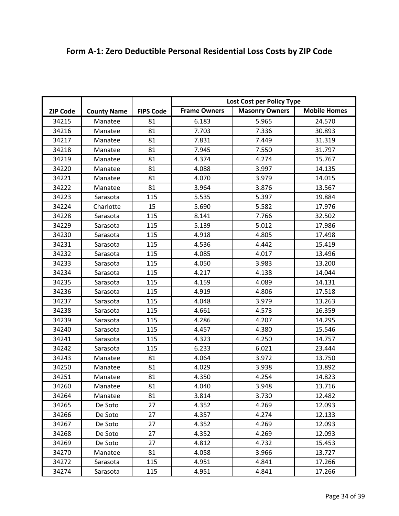|                 |                    |                  | Lost Cost per Policy Type |                       |                     |
|-----------------|--------------------|------------------|---------------------------|-----------------------|---------------------|
| <b>ZIP Code</b> | <b>County Name</b> | <b>FIPS Code</b> | <b>Frame Owners</b>       | <b>Masonry Owners</b> | <b>Mobile Homes</b> |
| 34215           | Manatee            | 81               | 6.183                     | 5.965                 | 24.570              |
| 34216           | Manatee            | 81               | 7.703                     | 7.336                 | 30.893              |
| 34217           | Manatee            | 81               | 7.831                     | 7.449                 | 31.319              |
| 34218           | Manatee            | 81               | 7.945                     | 7.550                 | 31.797              |
| 34219           | Manatee            | 81               | 4.374                     | 4.274                 | 15.767              |
| 34220           | Manatee            | 81               | 4.088                     | 3.997                 | 14.135              |
| 34221           | Manatee            | 81               | 4.070                     | 3.979                 | 14.015              |
| 34222           | Manatee            | 81               | 3.964                     | 3.876                 | 13.567              |
| 34223           | Sarasota           | 115              | 5.535                     | 5.397                 | 19.884              |
| 34224           | Charlotte          | 15               | 5.690                     | 5.582                 | 17.976              |
| 34228           | Sarasota           | 115              | 8.141                     | 7.766                 | 32.502              |
| 34229           | Sarasota           | 115              | 5.139                     | 5.012                 | 17.986              |
| 34230           | Sarasota           | 115              | 4.918                     | 4.805                 | 17.498              |
| 34231           | Sarasota           | 115              | 4.536                     | 4.442                 | 15.419              |
| 34232           | Sarasota           | 115              | 4.085                     | 4.017                 | 13.496              |
| 34233           | Sarasota           | 115              | 4.050                     | 3.983                 | 13.200              |
| 34234           | Sarasota           | 115              | 4.217                     | 4.138                 | 14.044              |
| 34235           | Sarasota           | 115              | 4.159                     | 4.089                 | 14.131              |
| 34236           | Sarasota           | 115              | 4.919                     | 4.806                 | 17.518              |
| 34237           | Sarasota           | 115              | 4.048                     | 3.979                 | 13.263              |
| 34238           | Sarasota           | 115              | 4.661                     | 4.573                 | 16.359              |
| 34239           | Sarasota           | 115              | 4.286                     | 4.207                 | 14.295              |
| 34240           | Sarasota           | 115              | 4.457                     | 4.380                 | 15.546              |
| 34241           | Sarasota           | 115              | 4.323                     | 4.250                 | 14.757              |
| 34242           | Sarasota           | 115              | 6.233                     | 6.021                 | 23.444              |
| 34243           | Manatee            | 81               | 4.064                     | 3.972                 | 13.750              |
| 34250           | Manatee            | 81               | 4.029                     | 3.938                 | 13.892              |
| 34251           | Manatee            | 81               | 4.350                     | 4.254                 | 14.823              |
| 34260           | Manatee            | 81               | 4.040                     | 3.948                 | 13.716              |
| 34264           | Manatee            | 81               | 3.814                     | 3.730                 | 12.482              |
| 34265           | De Soto            | 27               | 4.352                     | 4.269                 | 12.093              |
| 34266           | De Soto            | 27               | 4.357                     | 4.274                 | 12.133              |
| 34267           | De Soto            | 27               | 4.352                     | 4.269                 | 12.093              |
| 34268           | De Soto            | 27               | 4.352                     | 4.269                 | 12.093              |
| 34269           | De Soto            | 27               | 4.812                     | 4.732                 | 15.453              |
| 34270           | Manatee            | 81               | 4.058                     | 3.966                 | 13.727              |
| 34272           | Sarasota           | 115              | 4.951                     | 4.841                 | 17.266              |
| 34274           | Sarasota           | 115              | 4.951                     | 4.841                 | 17.266              |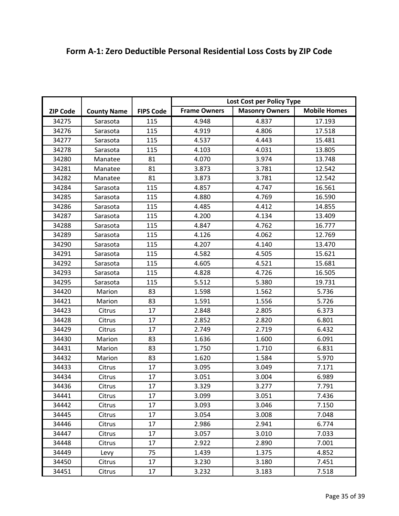| <b>Frame Owners</b><br><b>Masonry Owners</b><br><b>Mobile Homes</b><br><b>County Name</b><br><b>FIPS Code</b><br><b>ZIP Code</b><br>34275<br>115<br>4.948<br>4.837<br>17.193<br>Sarasota<br>34276<br>Sarasota<br>115<br>4.919<br>4.806<br>17.518<br>34277<br>115<br>4.537<br>15.481<br>4.443<br>Sarasota<br>34278<br>115<br>4.103<br>4.031<br>13.805<br>Sarasota<br>3.974<br>34280<br>81<br>4.070<br>13.748<br>Manatee<br>81<br>34281<br>3.873<br>3.781<br>12.542<br>Manatee<br>34282<br>81<br>3.781<br>Manatee<br>3.873<br>12.542<br>34284<br>115<br>4.857<br>4.747<br>16.561<br>Sarasota<br>34285<br>Sarasota<br>115<br>4.880<br>4.769<br>16.590<br>115<br>34286<br>4.485<br>4.412<br>14.855<br>Sarasota<br>34287<br>115<br>4.200<br>4.134<br>13.409<br>Sarasota<br>16.777<br>34288<br>115<br>4.847<br>4.762<br>Sarasota<br>115<br>4.126<br>4.062<br>12.769<br>34289<br>Sarasota<br>115<br>34290<br>4.207<br>4.140<br>13.470<br>Sarasota<br>115<br>15.621<br>34291<br>4.582<br>4.505<br>Sarasota<br>34292<br>115<br>4.605<br>4.521<br>15.681<br>Sarasota<br>115<br>4.726<br>34293<br>4.828<br>16.505<br>Sarasota<br>115<br>34295<br>5.512<br>5.380<br>19.731<br>Sarasota<br>34420<br>83<br>5.736<br>Marion<br>1.598<br>1.562<br>34421<br>83<br>1.591<br>1.556<br>5.726<br>Marion<br>17<br>34423<br>Citrus<br>2.848<br>2.805<br>6.373<br>2.852<br>2.820<br>6.801<br>34428<br>17<br>Citrus<br>34429<br>17<br>2.749<br>2.719<br>6.432<br>Citrus<br>83<br>1.636<br>34430<br>Marion<br>1.600<br>6.091<br>83<br>1.750<br>34431<br>Marion<br>1.710<br>6.831<br>83<br>5.970<br>34432<br>Marion<br>1.620<br>1.584<br>17<br>3.095<br>34433<br>3.049<br>7.171<br>Citrus<br>3.051<br>34434<br>17<br>3.004<br>6.989<br>Citrus<br>17<br>34436<br>3.329<br>3.277<br>7.791<br>Citrus<br>17<br>34441<br>3.099<br>3.051<br>7.436<br>Citrus<br>17<br>3.093<br>3.046<br>7.150<br>34442<br>Citrus<br>17<br>34445<br>3.054<br>3.008<br>7.048<br>Citrus<br>17<br>34446<br>2.986<br>2.941<br>6.774<br>Citrus<br>17<br>3.057<br>34447<br>3.010<br>7.033<br>Citrus<br>2.922<br>34448<br>17<br>2.890<br>7.001<br>Citrus<br>75<br>34449<br>1.439<br>1.375<br>4.852<br>Levy<br>17<br>34450<br>3.230<br>3.180<br>7.451<br>Citrus |       |        |    | Lost Cost per Policy Type |       |       |
|------------------------------------------------------------------------------------------------------------------------------------------------------------------------------------------------------------------------------------------------------------------------------------------------------------------------------------------------------------------------------------------------------------------------------------------------------------------------------------------------------------------------------------------------------------------------------------------------------------------------------------------------------------------------------------------------------------------------------------------------------------------------------------------------------------------------------------------------------------------------------------------------------------------------------------------------------------------------------------------------------------------------------------------------------------------------------------------------------------------------------------------------------------------------------------------------------------------------------------------------------------------------------------------------------------------------------------------------------------------------------------------------------------------------------------------------------------------------------------------------------------------------------------------------------------------------------------------------------------------------------------------------------------------------------------------------------------------------------------------------------------------------------------------------------------------------------------------------------------------------------------------------------------------------------------------------------------------------------------------------------------------------------------------------------------------------------------------------------------------------------------------------------------------------------------------------------|-------|--------|----|---------------------------|-------|-------|
|                                                                                                                                                                                                                                                                                                                                                                                                                                                                                                                                                                                                                                                                                                                                                                                                                                                                                                                                                                                                                                                                                                                                                                                                                                                                                                                                                                                                                                                                                                                                                                                                                                                                                                                                                                                                                                                                                                                                                                                                                                                                                                                                                                                                      |       |        |    |                           |       |       |
|                                                                                                                                                                                                                                                                                                                                                                                                                                                                                                                                                                                                                                                                                                                                                                                                                                                                                                                                                                                                                                                                                                                                                                                                                                                                                                                                                                                                                                                                                                                                                                                                                                                                                                                                                                                                                                                                                                                                                                                                                                                                                                                                                                                                      |       |        |    |                           |       |       |
|                                                                                                                                                                                                                                                                                                                                                                                                                                                                                                                                                                                                                                                                                                                                                                                                                                                                                                                                                                                                                                                                                                                                                                                                                                                                                                                                                                                                                                                                                                                                                                                                                                                                                                                                                                                                                                                                                                                                                                                                                                                                                                                                                                                                      |       |        |    |                           |       |       |
|                                                                                                                                                                                                                                                                                                                                                                                                                                                                                                                                                                                                                                                                                                                                                                                                                                                                                                                                                                                                                                                                                                                                                                                                                                                                                                                                                                                                                                                                                                                                                                                                                                                                                                                                                                                                                                                                                                                                                                                                                                                                                                                                                                                                      |       |        |    |                           |       |       |
|                                                                                                                                                                                                                                                                                                                                                                                                                                                                                                                                                                                                                                                                                                                                                                                                                                                                                                                                                                                                                                                                                                                                                                                                                                                                                                                                                                                                                                                                                                                                                                                                                                                                                                                                                                                                                                                                                                                                                                                                                                                                                                                                                                                                      |       |        |    |                           |       |       |
|                                                                                                                                                                                                                                                                                                                                                                                                                                                                                                                                                                                                                                                                                                                                                                                                                                                                                                                                                                                                                                                                                                                                                                                                                                                                                                                                                                                                                                                                                                                                                                                                                                                                                                                                                                                                                                                                                                                                                                                                                                                                                                                                                                                                      |       |        |    |                           |       |       |
|                                                                                                                                                                                                                                                                                                                                                                                                                                                                                                                                                                                                                                                                                                                                                                                                                                                                                                                                                                                                                                                                                                                                                                                                                                                                                                                                                                                                                                                                                                                                                                                                                                                                                                                                                                                                                                                                                                                                                                                                                                                                                                                                                                                                      |       |        |    |                           |       |       |
|                                                                                                                                                                                                                                                                                                                                                                                                                                                                                                                                                                                                                                                                                                                                                                                                                                                                                                                                                                                                                                                                                                                                                                                                                                                                                                                                                                                                                                                                                                                                                                                                                                                                                                                                                                                                                                                                                                                                                                                                                                                                                                                                                                                                      |       |        |    |                           |       |       |
|                                                                                                                                                                                                                                                                                                                                                                                                                                                                                                                                                                                                                                                                                                                                                                                                                                                                                                                                                                                                                                                                                                                                                                                                                                                                                                                                                                                                                                                                                                                                                                                                                                                                                                                                                                                                                                                                                                                                                                                                                                                                                                                                                                                                      |       |        |    |                           |       |       |
|                                                                                                                                                                                                                                                                                                                                                                                                                                                                                                                                                                                                                                                                                                                                                                                                                                                                                                                                                                                                                                                                                                                                                                                                                                                                                                                                                                                                                                                                                                                                                                                                                                                                                                                                                                                                                                                                                                                                                                                                                                                                                                                                                                                                      |       |        |    |                           |       |       |
|                                                                                                                                                                                                                                                                                                                                                                                                                                                                                                                                                                                                                                                                                                                                                                                                                                                                                                                                                                                                                                                                                                                                                                                                                                                                                                                                                                                                                                                                                                                                                                                                                                                                                                                                                                                                                                                                                                                                                                                                                                                                                                                                                                                                      |       |        |    |                           |       |       |
|                                                                                                                                                                                                                                                                                                                                                                                                                                                                                                                                                                                                                                                                                                                                                                                                                                                                                                                                                                                                                                                                                                                                                                                                                                                                                                                                                                                                                                                                                                                                                                                                                                                                                                                                                                                                                                                                                                                                                                                                                                                                                                                                                                                                      |       |        |    |                           |       |       |
|                                                                                                                                                                                                                                                                                                                                                                                                                                                                                                                                                                                                                                                                                                                                                                                                                                                                                                                                                                                                                                                                                                                                                                                                                                                                                                                                                                                                                                                                                                                                                                                                                                                                                                                                                                                                                                                                                                                                                                                                                                                                                                                                                                                                      |       |        |    |                           |       |       |
|                                                                                                                                                                                                                                                                                                                                                                                                                                                                                                                                                                                                                                                                                                                                                                                                                                                                                                                                                                                                                                                                                                                                                                                                                                                                                                                                                                                                                                                                                                                                                                                                                                                                                                                                                                                                                                                                                                                                                                                                                                                                                                                                                                                                      |       |        |    |                           |       |       |
|                                                                                                                                                                                                                                                                                                                                                                                                                                                                                                                                                                                                                                                                                                                                                                                                                                                                                                                                                                                                                                                                                                                                                                                                                                                                                                                                                                                                                                                                                                                                                                                                                                                                                                                                                                                                                                                                                                                                                                                                                                                                                                                                                                                                      |       |        |    |                           |       |       |
|                                                                                                                                                                                                                                                                                                                                                                                                                                                                                                                                                                                                                                                                                                                                                                                                                                                                                                                                                                                                                                                                                                                                                                                                                                                                                                                                                                                                                                                                                                                                                                                                                                                                                                                                                                                                                                                                                                                                                                                                                                                                                                                                                                                                      |       |        |    |                           |       |       |
|                                                                                                                                                                                                                                                                                                                                                                                                                                                                                                                                                                                                                                                                                                                                                                                                                                                                                                                                                                                                                                                                                                                                                                                                                                                                                                                                                                                                                                                                                                                                                                                                                                                                                                                                                                                                                                                                                                                                                                                                                                                                                                                                                                                                      |       |        |    |                           |       |       |
|                                                                                                                                                                                                                                                                                                                                                                                                                                                                                                                                                                                                                                                                                                                                                                                                                                                                                                                                                                                                                                                                                                                                                                                                                                                                                                                                                                                                                                                                                                                                                                                                                                                                                                                                                                                                                                                                                                                                                                                                                                                                                                                                                                                                      |       |        |    |                           |       |       |
|                                                                                                                                                                                                                                                                                                                                                                                                                                                                                                                                                                                                                                                                                                                                                                                                                                                                                                                                                                                                                                                                                                                                                                                                                                                                                                                                                                                                                                                                                                                                                                                                                                                                                                                                                                                                                                                                                                                                                                                                                                                                                                                                                                                                      |       |        |    |                           |       |       |
|                                                                                                                                                                                                                                                                                                                                                                                                                                                                                                                                                                                                                                                                                                                                                                                                                                                                                                                                                                                                                                                                                                                                                                                                                                                                                                                                                                                                                                                                                                                                                                                                                                                                                                                                                                                                                                                                                                                                                                                                                                                                                                                                                                                                      |       |        |    |                           |       |       |
|                                                                                                                                                                                                                                                                                                                                                                                                                                                                                                                                                                                                                                                                                                                                                                                                                                                                                                                                                                                                                                                                                                                                                                                                                                                                                                                                                                                                                                                                                                                                                                                                                                                                                                                                                                                                                                                                                                                                                                                                                                                                                                                                                                                                      |       |        |    |                           |       |       |
|                                                                                                                                                                                                                                                                                                                                                                                                                                                                                                                                                                                                                                                                                                                                                                                                                                                                                                                                                                                                                                                                                                                                                                                                                                                                                                                                                                                                                                                                                                                                                                                                                                                                                                                                                                                                                                                                                                                                                                                                                                                                                                                                                                                                      |       |        |    |                           |       |       |
|                                                                                                                                                                                                                                                                                                                                                                                                                                                                                                                                                                                                                                                                                                                                                                                                                                                                                                                                                                                                                                                                                                                                                                                                                                                                                                                                                                                                                                                                                                                                                                                                                                                                                                                                                                                                                                                                                                                                                                                                                                                                                                                                                                                                      |       |        |    |                           |       |       |
|                                                                                                                                                                                                                                                                                                                                                                                                                                                                                                                                                                                                                                                                                                                                                                                                                                                                                                                                                                                                                                                                                                                                                                                                                                                                                                                                                                                                                                                                                                                                                                                                                                                                                                                                                                                                                                                                                                                                                                                                                                                                                                                                                                                                      |       |        |    |                           |       |       |
|                                                                                                                                                                                                                                                                                                                                                                                                                                                                                                                                                                                                                                                                                                                                                                                                                                                                                                                                                                                                                                                                                                                                                                                                                                                                                                                                                                                                                                                                                                                                                                                                                                                                                                                                                                                                                                                                                                                                                                                                                                                                                                                                                                                                      |       |        |    |                           |       |       |
|                                                                                                                                                                                                                                                                                                                                                                                                                                                                                                                                                                                                                                                                                                                                                                                                                                                                                                                                                                                                                                                                                                                                                                                                                                                                                                                                                                                                                                                                                                                                                                                                                                                                                                                                                                                                                                                                                                                                                                                                                                                                                                                                                                                                      |       |        |    |                           |       |       |
|                                                                                                                                                                                                                                                                                                                                                                                                                                                                                                                                                                                                                                                                                                                                                                                                                                                                                                                                                                                                                                                                                                                                                                                                                                                                                                                                                                                                                                                                                                                                                                                                                                                                                                                                                                                                                                                                                                                                                                                                                                                                                                                                                                                                      |       |        |    |                           |       |       |
|                                                                                                                                                                                                                                                                                                                                                                                                                                                                                                                                                                                                                                                                                                                                                                                                                                                                                                                                                                                                                                                                                                                                                                                                                                                                                                                                                                                                                                                                                                                                                                                                                                                                                                                                                                                                                                                                                                                                                                                                                                                                                                                                                                                                      |       |        |    |                           |       |       |
|                                                                                                                                                                                                                                                                                                                                                                                                                                                                                                                                                                                                                                                                                                                                                                                                                                                                                                                                                                                                                                                                                                                                                                                                                                                                                                                                                                                                                                                                                                                                                                                                                                                                                                                                                                                                                                                                                                                                                                                                                                                                                                                                                                                                      |       |        |    |                           |       |       |
|                                                                                                                                                                                                                                                                                                                                                                                                                                                                                                                                                                                                                                                                                                                                                                                                                                                                                                                                                                                                                                                                                                                                                                                                                                                                                                                                                                                                                                                                                                                                                                                                                                                                                                                                                                                                                                                                                                                                                                                                                                                                                                                                                                                                      |       |        |    |                           |       |       |
|                                                                                                                                                                                                                                                                                                                                                                                                                                                                                                                                                                                                                                                                                                                                                                                                                                                                                                                                                                                                                                                                                                                                                                                                                                                                                                                                                                                                                                                                                                                                                                                                                                                                                                                                                                                                                                                                                                                                                                                                                                                                                                                                                                                                      |       |        |    |                           |       |       |
|                                                                                                                                                                                                                                                                                                                                                                                                                                                                                                                                                                                                                                                                                                                                                                                                                                                                                                                                                                                                                                                                                                                                                                                                                                                                                                                                                                                                                                                                                                                                                                                                                                                                                                                                                                                                                                                                                                                                                                                                                                                                                                                                                                                                      |       |        |    |                           |       |       |
|                                                                                                                                                                                                                                                                                                                                                                                                                                                                                                                                                                                                                                                                                                                                                                                                                                                                                                                                                                                                                                                                                                                                                                                                                                                                                                                                                                                                                                                                                                                                                                                                                                                                                                                                                                                                                                                                                                                                                                                                                                                                                                                                                                                                      |       |        |    |                           |       |       |
|                                                                                                                                                                                                                                                                                                                                                                                                                                                                                                                                                                                                                                                                                                                                                                                                                                                                                                                                                                                                                                                                                                                                                                                                                                                                                                                                                                                                                                                                                                                                                                                                                                                                                                                                                                                                                                                                                                                                                                                                                                                                                                                                                                                                      |       |        |    |                           |       |       |
|                                                                                                                                                                                                                                                                                                                                                                                                                                                                                                                                                                                                                                                                                                                                                                                                                                                                                                                                                                                                                                                                                                                                                                                                                                                                                                                                                                                                                                                                                                                                                                                                                                                                                                                                                                                                                                                                                                                                                                                                                                                                                                                                                                                                      |       |        |    |                           |       |       |
|                                                                                                                                                                                                                                                                                                                                                                                                                                                                                                                                                                                                                                                                                                                                                                                                                                                                                                                                                                                                                                                                                                                                                                                                                                                                                                                                                                                                                                                                                                                                                                                                                                                                                                                                                                                                                                                                                                                                                                                                                                                                                                                                                                                                      |       |        |    |                           |       |       |
|                                                                                                                                                                                                                                                                                                                                                                                                                                                                                                                                                                                                                                                                                                                                                                                                                                                                                                                                                                                                                                                                                                                                                                                                                                                                                                                                                                                                                                                                                                                                                                                                                                                                                                                                                                                                                                                                                                                                                                                                                                                                                                                                                                                                      |       |        |    |                           |       |       |
|                                                                                                                                                                                                                                                                                                                                                                                                                                                                                                                                                                                                                                                                                                                                                                                                                                                                                                                                                                                                                                                                                                                                                                                                                                                                                                                                                                                                                                                                                                                                                                                                                                                                                                                                                                                                                                                                                                                                                                                                                                                                                                                                                                                                      |       |        |    |                           |       |       |
|                                                                                                                                                                                                                                                                                                                                                                                                                                                                                                                                                                                                                                                                                                                                                                                                                                                                                                                                                                                                                                                                                                                                                                                                                                                                                                                                                                                                                                                                                                                                                                                                                                                                                                                                                                                                                                                                                                                                                                                                                                                                                                                                                                                                      | 34451 | Citrus | 17 | 3.232                     | 3.183 | 7.518 |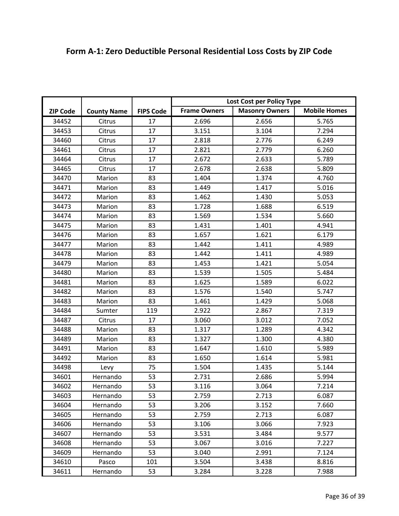|                 |                    |                  | Lost Cost per Policy Type                                           |       |       |
|-----------------|--------------------|------------------|---------------------------------------------------------------------|-------|-------|
| <b>ZIP Code</b> |                    | <b>FIPS Code</b> | <b>Mobile Homes</b><br><b>Frame Owners</b><br><b>Masonry Owners</b> |       |       |
|                 | <b>County Name</b> |                  |                                                                     |       |       |
| 34452           | Citrus             | 17               | 2.696                                                               | 2.656 | 5.765 |
| 34453           | Citrus             | 17               | 3.151                                                               | 3.104 | 7.294 |
| 34460           | Citrus             | 17               | 2.818                                                               | 2.776 | 6.249 |
| 34461           | Citrus             | 17               | 2.821                                                               | 2.779 | 6.260 |
| 34464           | Citrus             | 17               | 2.672                                                               | 2.633 | 5.789 |
| 34465           | Citrus             | 17               | 2.678                                                               | 2.638 | 5.809 |
| 34470           | Marion             | 83               | 1.404                                                               | 1.374 | 4.760 |
| 34471           | Marion             | 83               | 1.449                                                               | 1.417 | 5.016 |
| 34472           | Marion             | 83               | 1.462                                                               | 1.430 | 5.053 |
| 34473           | Marion             | 83               | 1.728                                                               | 1.688 | 6.519 |
| 34474           | Marion             | 83               | 1.569                                                               | 1.534 | 5.660 |
| 34475           | Marion             | 83               | 1.431                                                               | 1.401 | 4.941 |
| 34476           | Marion             | 83               | 1.657                                                               | 1.621 | 6.179 |
| 34477           | Marion             | 83               | 1.442                                                               | 1.411 | 4.989 |
| 34478           | Marion             | 83               | 1.442                                                               | 1.411 | 4.989 |
| 34479           | Marion             | 83               | 1.453                                                               | 1.421 | 5.054 |
| 34480           | Marion             | 83               | 1.539                                                               | 1.505 | 5.484 |
| 34481           | Marion             | 83               | 1.625                                                               | 1.589 | 6.022 |
| 34482           | Marion             | 83               | 1.576                                                               | 1.540 | 5.747 |
| 34483           | Marion             | 83               | 1.461                                                               | 1.429 | 5.068 |
| 34484           | Sumter             | 119              | 2.922                                                               | 2.867 | 7.319 |
| 34487           | Citrus             | 17               | 3.060                                                               | 3.012 | 7.052 |
| 34488           | Marion             | 83               | 1.317                                                               | 1.289 | 4.342 |
| 34489           | Marion             | 83               | 1.327                                                               | 1.300 | 4.380 |
| 34491           | Marion             | 83               | 1.647                                                               | 1.610 | 5.989 |
| 34492           | Marion             | 83               | 1.650                                                               | 1.614 | 5.981 |
| 34498           | Levy               | 75               | 1.504                                                               | 1.435 | 5.144 |
| 34601           | Hernando           | 53               | 2.731                                                               | 2.686 | 5.994 |
| 34602           | Hernando           | 53               | 3.116                                                               | 3.064 | 7.214 |
| 34603           | Hernando           | 53               | 2.759                                                               | 2.713 | 6.087 |
| 34604           | Hernando           | 53               | 3.206                                                               | 3.152 | 7.660 |
| 34605           | Hernando           | 53               | 2.759                                                               | 2.713 | 6.087 |
| 34606           | Hernando           | 53               | 3.106                                                               | 3.066 | 7.923 |
| 34607           | Hernando           | 53               | 3.531                                                               | 3.484 | 9.577 |
| 34608           | Hernando           | 53               | 3.067                                                               | 3.016 | 7.227 |
| 34609           | Hernando           | 53               | 3.040                                                               | 2.991 | 7.124 |
| 34610           | Pasco              | 101              | 3.504                                                               | 3.438 | 8.816 |
| 34611           | Hernando           | 53               | 3.284                                                               | 3.228 | 7.988 |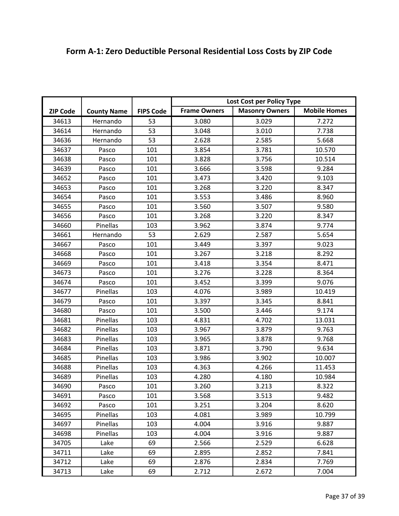|                 |                    |                  | Lost Cost per Policy Type |                       |                     |
|-----------------|--------------------|------------------|---------------------------|-----------------------|---------------------|
| <b>ZIP Code</b> | <b>County Name</b> | <b>FIPS Code</b> | <b>Frame Owners</b>       | <b>Masonry Owners</b> | <b>Mobile Homes</b> |
| 34613           | Hernando           | 53               | 3.080                     | 3.029                 | 7.272               |
| 34614           | Hernando           | 53               | 3.048                     | 3.010                 | 7.738               |
| 34636           | Hernando           | 53               | 2.628                     | 2.585                 | 5.668               |
| 34637           | Pasco              | 101              | 3.854                     | 3.781                 | 10.570              |
| 34638           | Pasco              | 101              | 3.828                     | 3.756                 | 10.514              |
| 34639           | Pasco              | 101              | 3.666                     | 3.598                 | 9.284               |
| 34652           | Pasco              | 101              | 3.473                     | 3.420                 | 9.103               |
| 34653           | Pasco              | 101              | 3.268                     | 3.220                 | 8.347               |
| 34654           | Pasco              | 101              | 3.553                     | 3.486                 | 8.960               |
| 34655           | Pasco              | 101              | 3.560                     | 3.507                 | 9.580               |
| 34656           | Pasco              | 101              | 3.268                     | 3.220                 | 8.347               |
| 34660           | Pinellas           | 103              | 3.962                     | 3.874                 | 9.774               |
| 34661           | Hernando           | 53               | 2.629                     | 2.587                 | 5.654               |
| 34667           | Pasco              | 101              | 3.449                     | 3.397                 | 9.023               |
| 34668           | Pasco              | 101              | 3.267                     | 3.218                 | 8.292               |
| 34669           | Pasco              | 101              | 3.418                     | 3.354                 | 8.471               |
| 34673           | Pasco              | 101              | 3.276                     | 3.228                 | 8.364               |
| 34674           | Pasco              | 101              | 3.452                     | 3.399                 | 9.076               |
| 34677           | Pinellas           | 103              | 4.076                     | 3.989                 | 10.419              |
| 34679           | Pasco              | 101              | 3.397                     | 3.345                 | 8.841               |
| 34680           | Pasco              | 101              | 3.500                     | 3.446                 | 9.174               |
| 34681           | Pinellas           | 103              | 4.831                     | 4.702                 | 13.031              |
| 34682           | Pinellas           | 103              | 3.967                     | 3.879                 | 9.763               |
| 34683           | Pinellas           | 103              | 3.965                     | 3.878                 | 9.768               |
| 34684           | Pinellas           | 103              | 3.871                     | 3.790                 | 9.634               |
| 34685           | Pinellas           | 103              | 3.986                     | 3.902                 | 10.007              |
| 34688           | Pinellas           | 103              | 4.363                     | 4.266                 | 11.453              |
| 34689           | Pinellas           | 103              | 4.280                     | 4.180                 | 10.984              |
| 34690           | Pasco              | 101              | 3.260                     | 3.213                 | 8.322               |
| 34691           | Pasco              | 101              | 3.568                     | 3.513                 | 9.482               |
| 34692           | Pasco              | 101              | 3.251                     | 3.204                 | 8.620               |
| 34695           | Pinellas           | 103              | 4.081                     | 3.989                 | 10.799              |
| 34697           | <b>Pinellas</b>    | 103              | 4.004                     | 3.916                 | 9.887               |
| 34698           | Pinellas           | 103              | 4.004                     | 3.916                 | 9.887               |
| 34705           | Lake               | 69               | 2.566                     | 2.529                 | 6.628               |
| 34711           | Lake               | 69               | 2.895                     | 2.852                 | 7.841               |
| 34712           | Lake               | 69               | 2.876                     | 2.834                 | 7.769               |
| 34713           | Lake               | 69               | 2.712                     | 2.672                 | 7.004               |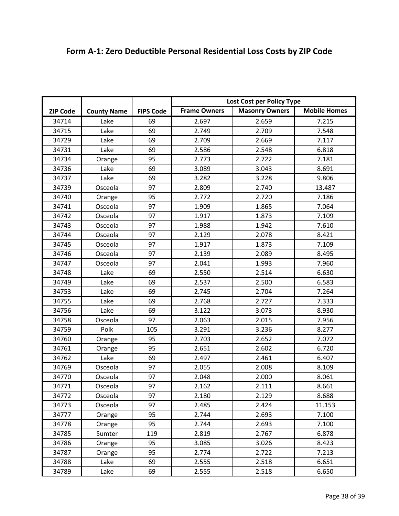|                 |                    |                  | Lost Cost per Policy Type |                       |                     |
|-----------------|--------------------|------------------|---------------------------|-----------------------|---------------------|
| <b>ZIP Code</b> | <b>County Name</b> | <b>FIPS Code</b> | <b>Frame Owners</b>       | <b>Masonry Owners</b> | <b>Mobile Homes</b> |
| 34714           | Lake               | 69               | 2.697                     | 2.659                 | 7.215               |
| 34715           | Lake               | 69               | 2.749                     | 2.709                 | 7.548               |
| 34729           | Lake               | 69               | 2.709                     | 2.669                 | 7.117               |
| 34731           | Lake               | 69               | 2.586                     | 2.548                 | 6.818               |
| 34734           |                    | 95               | 2.773                     | 2.722                 | 7.181               |
| 34736           | Orange<br>Lake     | 69               | 3.089                     | 3.043                 | 8.691               |
| 34737           | Lake               | 69               | 3.282                     | 3.228                 | 9.806               |
| 34739           | Osceola            | 97               | 2.809                     | 2.740                 | 13.487              |
| 34740           |                    | 95               | 2.772                     | 2.720                 | 7.186               |
| 34741           | Orange             | 97               |                           |                       |                     |
|                 | Osceola            | 97               | 1.909<br>1.917            | 1.865<br>1.873        | 7.064               |
| 34742           | Osceola            |                  |                           |                       | 7.109               |
| 34743           | Osceola            | 97               | 1.988                     | 1.942                 | 7.610               |
| 34744           | Osceola            | 97               | 2.129                     | 2.078                 | 8.421               |
| 34745           | Osceola            | 97               | 1.917                     | 1.873                 | 7.109               |
| 34746           | Osceola            | 97               | 2.139                     | 2.089                 | 8.495               |
| 34747           | Osceola            | 97               | 2.041                     | 1.993                 | 7.960               |
| 34748           | Lake               | 69               | 2.550                     | 2.514                 | 6.630               |
| 34749           | Lake               | 69               | 2.537                     | 2.500                 | 6.583               |
| 34753           | Lake               | 69               | 2.745                     | 2.704                 | 7.264               |
| 34755           | Lake               | 69               | 2.768                     | 2.727                 | 7.333               |
| 34756           | Lake               | 69               | 3.122                     | 3.073                 | 8.930               |
| 34758           | Osceola            | 97               | 2.063                     | 2.015                 | 7.956               |
| 34759           | Polk               | 105              | 3.291                     | 3.236                 | 8.277               |
| 34760           | Orange             | 95               | 2.703                     | 2.652                 | 7.072               |
| 34761           | Orange             | 95               | 2.651                     | 2.602                 | 6.720               |
| 34762           | Lake               | 69               | 2.497                     | 2.461                 | 6.407               |
| 34769           | Osceola            | 97               | 2.055                     | 2.008                 | 8.109               |
| 34770           | Osceola            | 97               | 2.048                     | 2.000                 | 8.061               |
| 34771           | Osceola            | 97               | 2.162                     | 2.111                 | 8.661               |
| 34772           | Osceola            | 97               | 2.180                     | 2.129                 | 8.688               |
| 34773           | Osceola            | 97               | 2.485                     | 2.424                 | 11.153              |
| 34777           | Orange             | 95               | 2.744                     | 2.693                 | 7.100               |
| 34778           | Orange             | 95               | 2.744                     | 2.693                 | 7.100               |
| 34785           | Sumter             | 119              | 2.819                     | 2.767                 | 6.878               |
| 34786           | Orange             | 95               | 3.085                     | 3.026                 | 8.423               |
| 34787           | Orange             | 95               | 2.774                     | 2.722                 | 7.213               |
| 34788           | Lake               | 69               | 2.555                     | 2.518                 | 6.651               |
| 34789           | Lake               | 69               | 2.555                     | 2.518                 | 6.650               |